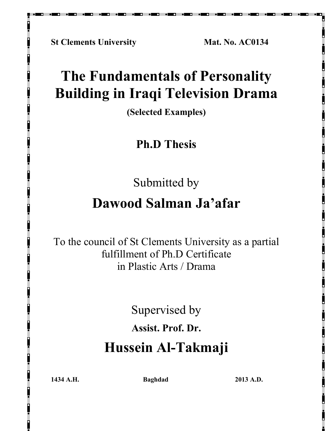**St Clements University Mat. No. AC0134** 

## **The Fundamentals of Personality Building in Iraqi Television Drama**

**(Selected Examples)** 

**Ph.D Thesis** 

Submitted by

## **Dawood Salman Ja'afar**

To the council of St Clements University as a partial fulfillment of Ph.D Certificate in Plastic Arts / Drama

Supervised by

**Assist. Prof. Dr.** 

## **Hussein Al-Takmaji**

**1434 A.H. Baghdad 2013 A.D.**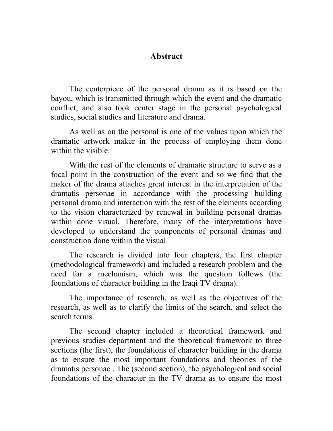#### **Abstract**

The centerpiece of the personal drama as it is based on the bayou, which is transmitted through which the event and the dramatic conflict, and also took center stage in the personal psychological studies, social studies and literature and drama.

As well as on the personal is one of the values upon which the dramatic artwork maker in the process of employing them done within the visible

With the rest of the elements of dramatic structure to serve as a focal point in the construction of the event and so we find that the maker of the drama attaches great interest in the interpretation of the dramatis personae in accordance with the processing building personal drama and interaction with the rest of the elements according to the vision characterized by renewal in building personal dramas within done visual. Therefore, many of the interpretations have developed to understand the components of personal dramas and construction done within the visual.

The research is divided into four chapters, the first chapter (methodological framework) and included a research problem and the need for a mechanism, which was the question follows (the foundations of character building in the Iraqi TV drama).

The importance of research, as well as the objectives of the research, as well as to clarify the limits of the search, and select the search terms.

The second chapter included a theoretical framework and previous studies department and the theoretical framework to three sections (the first), the foundations of character building in the drama as to ensure the most important foundations and theories of the dramatis personae . The (second section), the psychological and social foundations of the character in the TV drama as to ensure the most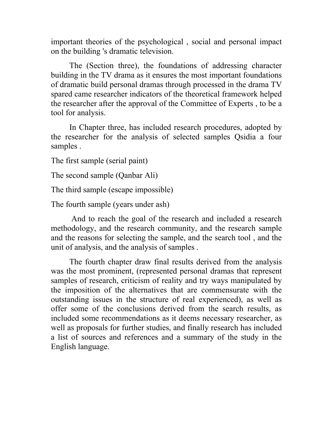important theories of the psychological , social and personal impact on the building 's dramatic television.

The (Section three), the foundations of addressing character building in the TV drama as it ensures the most important foundations of dramatic build personal dramas through processed in the drama TV spared came researcher indicators of the theoretical framework helped the researcher after the approval of the Committee of Experts , to be a tool for analysis.

In Chapter three, has included research procedures, adopted by the researcher for the analysis of selected samples Qsidia a four samples .

The first sample (serial paint)

The second sample (Qanbar Ali)

The third sample (escape impossible)

The fourth sample (years under ash)

 And to reach the goal of the research and included a research methodology, and the research community, and the research sample and the reasons for selecting the sample, and the search tool , and the unit of analysis, and the analysis of samples .

The fourth chapter draw final results derived from the analysis was the most prominent, (represented personal dramas that represent samples of research, criticism of reality and try ways manipulated by the imposition of the alternatives that are commensurate with the outstanding issues in the structure of real experienced), as well as offer some of the conclusions derived from the search results, as included some recommendations as it deems necessary researcher, as well as proposals for further studies, and finally research has included a list of sources and references and a summary of the study in the English language.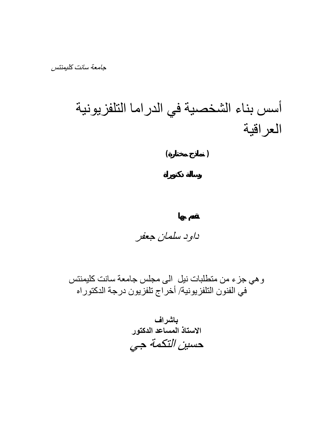أسس بناء الشخصية في الدراما التلفزيونية العراقية  **( نماذج مختارة )** 

داود سلمان جعفر

وهي جزء من متطلبات نيل الى مجلس جامعة سانت كليمنتس في الفنون التلفزيونية/ أخراج تلفزيون درجة الدكتوراه

**باشراف الاستاذ المساعد الدآتور** حسين التكمة جي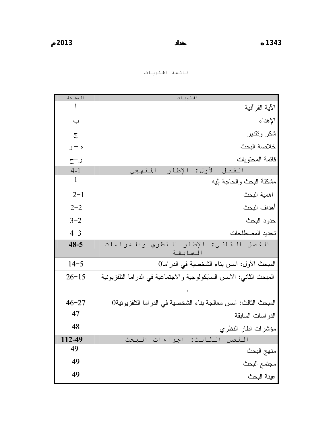| الصفحة    | الحتويات                                                               |
|-----------|------------------------------------------------------------------------|
|           | الآية القر آنية                                                        |
| ب         | الإهداء                                                                |
| ج         | شكر وتقدير                                                             |
| ه – و     | خلاصة البحث                                                            |
| ز−ح       | قائمة المحتويات                                                        |
| $4 - 1$   | الإطار<br>الفصل الأول:<br>المنهجى                                      |
| 1         | مشكلة البحث والحاجة إليه                                               |
| $2 - 1$   | اهمية البحث                                                            |
| $2 - 2$   | أهداف البحث                                                            |
| $3 - 2$   | حدود البحث                                                             |
| $4 - 3$   | تحديد المصطلحات                                                        |
| $48 - 5$  | والدراسات<br>الثاني: الإطار النظري<br>الفصل<br>السابقة                 |
| $14 - 5$  | المبحث الأول: اسس بناء الشخصية في الدراما0                             |
| $26 - 15$ | المبحث الثانـي: الاسس السابكولوجية والاجتماعية فـي الدراما التلفزيونية |
|           |                                                                        |
| $46 - 27$ | المبحث الثالث: اسس معالجة بناء الشخصية في الدراما التلفزيونية0         |
| 47        | الدر اسات السابقة                                                      |
| 48        | مؤشرات اطار النظري                                                     |
| 112-49    | البحث<br>اجراءات<br>الثالث:<br>الفصل                                   |
| 49        | منهج البحث                                                             |
| 49        | مجتمع البحث                                                            |
| 49        | ـ<br>عينة البحث                                                        |

قائمة المحتويات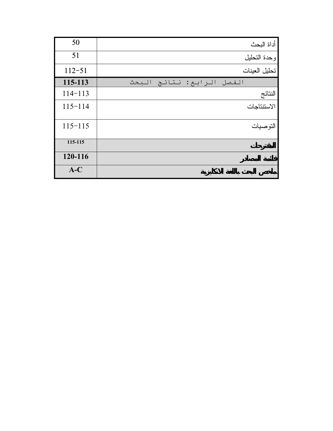| 50          | أداة البحث                |
|-------------|---------------------------|
| 51          | وحدة التحليل              |
| $112 - 51$  | تحليل العينات             |
| 115-113     | الفصل الرابع: نتائج البحث |
| $114 - 113$ | النتائج                   |
| $115 - 114$ | الاستتناجات               |
| $115 - 115$ | التو صيات                 |
| 115-115     |                           |
| 120-116     |                           |
| $A-C$       |                           |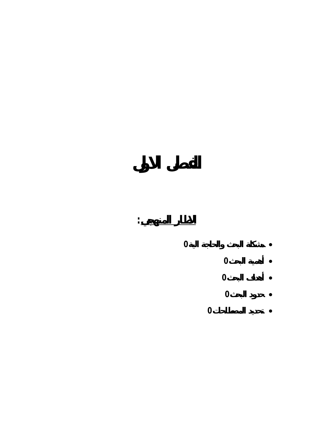# **مشكلة البحث والحاجة الية<sup>0</sup> الاطار المنهجي: الفصل الاول** • **أهمية البحث0** • **أهداف البحث0** • **حدود البحث0** •

**تحديد المصطلحات0** •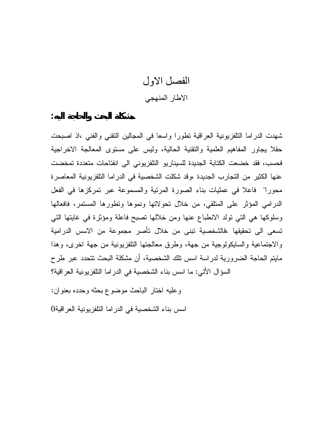### الفصل الاول الاطار المنهجي

شهدت الدراما التلفزيونية العراقية تطورا واسعا في المجالين التقني والفني ،اذ اصبحت حقلا يجاور المفاهيم العلمية والتقنية الحالية، وليس على مستوى المعالجة الاخراجية فحسب، فقد خضعت الكتابة الجديدة للسيناريو التلفزيوني الى انفتاحات متعددة تمخضت عنها الكثير من التجارب الجديدة ،وقد شكلت الشخصية في الدراما التلفزيونية المعاصرة محورا" فاعلا في عمليات بناء الصورة المرئية والمسموعة عبر تمركزها في الفعل الدرامي المؤثر على المتلقي، من خلال تحولاتها ونموها وتطورها المستمر، فافعالها وسلوكها هي التي تولد الانطباع عنها ومن خلالها تصبح فاعلة ومؤثرة في غايتها التي تسعى الى تحقيقها ،فالشخصية تبنى من خلال تأصر مجموعة من الاسس الدرامية والاجتماعية والسايكولوجية من جهة، وطرق معالجتها التلفزيونية من جهة اخرى، وهذا مايتم الحاجة الضرورية لدراسة اسس تلك الشخصية، أن مشكلة البحث تتحدد عبر طرح السؤال الأتي: ما اسس بناء الشخصية في الدراما التلفزيونية العراقية؟

وعليه اختار الباحث موضوع بحثه وحدده بعنوان :

**مشكلة البحث والحاجة اليه :**

اسس بناء الشخصية في الدراما التلفزيونية العراقية0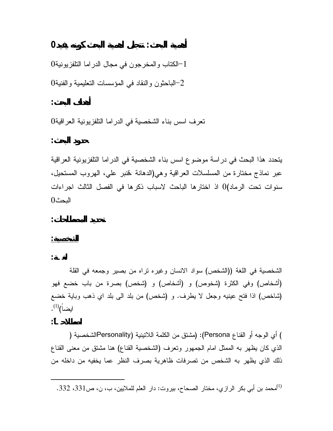**أهمية البحث: تتجلى اهمية البحث كونه يفيد0**

 $0$ الكتاب والمخرجون في مجال الدراما التلفزيونية  $-1$  $-2$ الباحثون والنقاد في المؤسسات التعليمية والفنية  $-2$ 

تعرف اسس بناء الشخصية في الدراما التلفزيونية العراقية 0

**حدود البحث :**

**أهداف البحث :**

يتحدد هذا البحث في دراسة موضوع اسس بناء الشخصية في الدراما التلفزيونية العراقية عبر نماذج مختارة من المسلسلات العراقية وهي(الدهانة ،قنبر علي، الهروب المستحيل، سنوات تحت الرماد)0 اذ اختارها الباحث لاسباب ذكرها في الفصل الثالث اجراءات البحث 0

**تحديد المصطلحات :**

**الشخصية:**

**اصطلاحـاً :**

**لغـة :**

الشخصية في اللغة ((الشخص) سواد الانسان وغيره تراه من بصير وجمعه في القلة (أشخاص) وفي الكثرة (شخوص) و (أشخاص) و (شخص) بصرة من باب خضع فهو (شاخص) اذا فتح عينيه وجعل لا يطرف. و (شخص) من بلد الى بلد اي ذهب وباية خضع ايضاً) $^{(1)}$ .

) أي الوجه أو القناع Persona): (مشتق من الكلمة اللاتينية (Personalityالشخصية ( الذي كان يظهر به الممثل امام الجمهور وتعرف (الشخصية القناع) هنا مشتق من معنى القناع ذلك الذي يظهر به الشخص من تصرفات ظاهرية بصرف النظر عما يخفيه من داخله من

محمد بن أبي بكر الرازي، مختار الصحاح، بيروت: دار العلم للملايين، ب، ن، ص331، 332.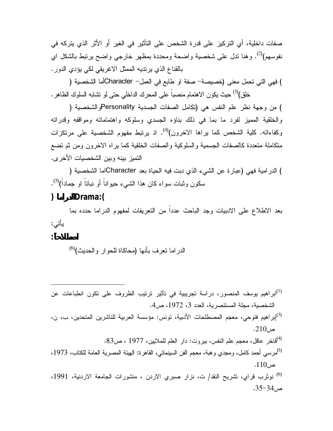صفات داخلية، أي التركيز على قدرة الشخص على التأثير في الغير أو الأثر الذي يتركه في نفوسهم)<sup>(2)</sup>. وهنا تدل على شخصية واضحة ومحددة بمظهر خارجي واضح يرتبط بالشكل اي بالقناع الذي يرتديه الممثل الاغريقي لكي يؤدي الدور .

) فهي التي تحمل معنى (خصيصة- صفة او طابع في العمل- Characterأما الشخصية ( حيث يكون الاهتمام منصباً على المحرك الداخلي حتى لو تشابه السلوك الظاهر . (3) خلق)

من وجهة نظر علم النفس هي (تكامل الصفات الجسدية والشخصية ) Personality) والخلقية المميز لفرد ما بما في ذلك بناؤه الجسدي وسلوكه واهتماماته ومواقفه وقدراته وكفاءاته. كلية الشخص كما يراها الاخرون)<sup>(4)</sup>. اذ يرتبط مفهوم الشخصية على مرتكزات متكاملة متعددة كالصفات الجسمية والسلوكية والصفات الخلقية كما يراه الاخرون ومن ثم تضع التميز بينه وبين الشخصيات الأخرى .

الدرامية فهي (عبارة عن الشيء الذي دبت فيه الحياة بعد اما الشخصية ) Character) . (5) سكون وثبات سواء كان هذا الشيء حيواناً أو نباتاً او جماداً)

#### **الدراما ):Drama)**

بعد الاطلاع على الادبيات وجد الباحث عدداً من التعريفات لمفهوم الدراما حدده بما يأتي :

**اصطلاحاً :**

الدراما تعرف بأنها (محاكاة للحوار والحديث)<sup>(6)</sup>

- ابراهيم يوسف المنصور، دراسة تجريبية في تأثير ترتيب الظروف على تكون انطباعات عن (1) الشخصية، مجلة المستنصرية، العدد ،3 ،1972 ص.4
- إبراهيم فتوحي، معجم المصطلحات الأدبية، تونس: مؤسسة العربية للناشرين المتحدين، ب، ن، (3)  $.210$ ص
	- فاخر عاقل، معجم علم النفس، بيروت: دار العلم للملايين، 1977 ، ص.83 (4)
- (<sup>5)</sup>مرسي أحمد كامل، ومجدي وهبة، معجم الفن السينمائي، القاهرة: الهيئة المصرية العامة للكتاب، 1973،  $.110$ ص
- <sup>(6)</sup> نوثرب قراي، تشريح النقد/ ت، نزار صبري الاردن ، منشورات الجامعة الاردنية، 1991،  $-35-34$ ص.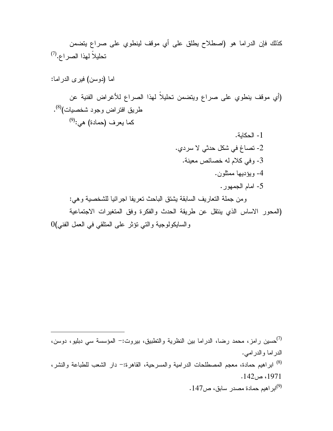كذلك فإن الدراما هو (اصطلاح يطلق على أي موقف لينطوي على صراع يتضمن (7) تحليلاً لهذا الصراع. اما (دوسن) فيرى الدراما : (أي موقف ينطوي على صراع ويتضمن تحليلاً لهذا الصراع للأغراض الفنية عن . (8) طريق افتراض وجود شخصيات) (9) كما يعرف (حمادة) هي: -1 الحكاية. -2 تصاغ في شكل حدثي لا سردي. -3 وفي كلام له خصائص معينة. -4 ويؤديها ممثلون. -5 امام الجمهور. ومن جملة التعاريف السابقة يشتق الباحث تعريفا اجرائيا للشخصية وهي : (المحور الاساس الذي ينتقل عن طريقة الحدث والفكرة وفق المتغيرات الاجتماعية

والسايكولوجية والتي تؤثر على المتلقي في العمل الفني) 0

حسين رامز، محمد رضا، الدراما بين النظرية والنطبيق، بيروت:– المؤسسة سي دبليو، دوسن،  $^{(7)}$ الدراما والدرامي. ابراهيم حمادة، معجم المصطلحات الدرامية والمسرحية، القاهرة-: دار الشعب للطباعة والنشر، (8) ،1971 ص.142 ابراهيم حمادة مصدر سابق، ص.147 (9)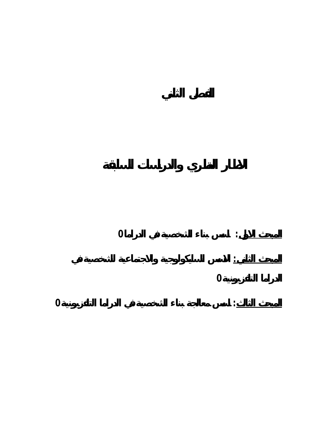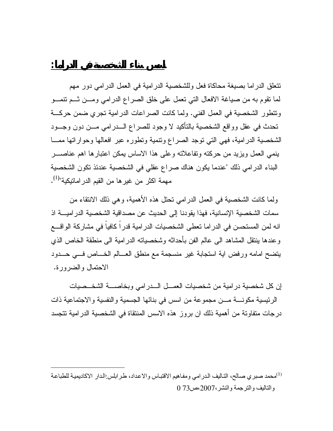تتعلق الدراما بصيغة محاكاة فعل وللشخصية الدرامية في العمل الدرامي دور مهم لما تقوم به من صياغة الافعال التي تعمل على خلق الصراع الدرامي ومـن ثـم تنمـو وتتطور الشخصية في العمل الفني. ولما كانت الصراعات الدرامية تجري ضمن حركـة تحدث في عقل وواقع الشخصية بالتأكيد لا وجود للصراع الـدرامي مـن دون وجـود الشخصية الدرامية، فهي التي توجد الصراع وتنمية وتطوره عبر افعالها وحواراتها ممـا ينمي العمل ويزيد من حركته وتفاعلاته وعلى هذا الاساس يمكن اعتبارها اهم عناصـر البناء الدرامي ذلك "عندما يكون هناك صراع عقلي في الشخصية عندئذ تكون الشخصية مهمة اكثر من غيرها من القيم الدراماتيكية"<sup>(1)</sup>.

**اسس بناء الشخصية في الدراما:**

ولما كانت الشخصية في العمل الدرامي تحتل هذه الأهمية، وهي ذلك الانتقاء من سمات الشخصية الإنسانية، فهذا يقودنا إلى الحديث عن مصداقية الشخصية الدراميـة اذ انه لمن المستحسن في الدراما تعطى الشخصيات الدرامية قدراً كافياً في مشاركة الواقـع وعندها ينتقل المشاهد الى عالم الفن بأحداثه وشخصياته الدرامية الى منطقة الخاص الذي يتضح امامه ورفض اية استجابة غير منسجمة مع منطق العـالم الخـاص فـي حـدود الاحتمال والضرورة .

إن كل شخصية درامية من شخصيات العمـل الـدرامي وبخاصـة الشخـصيات الرئيسية مكونـة مـن مجموعة من اسس في بنائها الجسمية والنفسية والاجتماعية ذات درجات متفاوتة من أهمية ذلك ان بروز هذه الاسس المنتقاة في الشخصية الدرامية تتجسد

محمد صبري صالح، التاليف الدرامي ومفاهيم الاقتباس والاعداد، طرابلس:الدار الاكاديمية للطباعة) والتاليف والترجمة والنشر،2007،ص73 0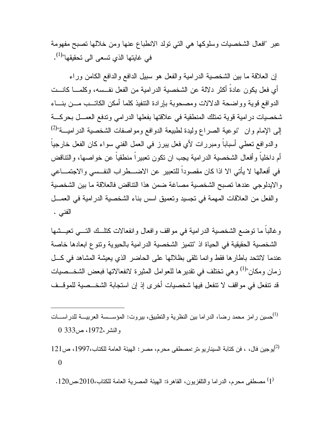عبر "افعال الشخصيات وسلوكها هي التي تولد الانطباع عنها ومن خلالها تصبح مفهومة في غايتها الذي تسعى الى تحقيقها"<sup>(1)</sup>.

إن العلاقة ما بين الشخصية الدرامية والفعل هو سبيل الدافع والدافع الكامن وراء أي فعل يكون عادةً أكثر دلالة عن الشخصية الدرامية من الفعل نفـسه، وكلمـا كانـت الدوافع قوية وواضحة الدلالات ومصحوبة بإرادة التنفيذ كلما أمكن الكاتـب مـن بنـاء شخصيات درامية قوية تمتلك المنطقية في علاقتها بفعلها الدرامي وتدفع العمـل بحركـة (2) إلى الإمام وان "نوعية الصراع وليدة لطبيعة الدوافع ومواصفات الشخصية الدراميـة" والدوافع تعطي أسباباً ومبررات لأي فعل يبرز في العمل الفني سواء كان الفعل خارجياً أم داخلياً وأفعال الشخصية الدرامية يجب ان تكون تعبيراً منطقياً عن خواصها، والتناقض في أفعالها لا يأتي الا اذا كان مقصوداً للتعبير عن الاضـطراب النفـسي والاجتمـاعي والايدلوجي عندها تصبح الشخصية مصاغة ضمن هذا التناقض فالعلاقة ما بين الشخصية والفعل من العلاقات المهمة في تجسيد وتعميق اسس بناء الشخصية الدرامية في العمـل الفني .

وغالباً ما توضع الشخصية الدرامية في مواقف وافعال وانفعالات كتلـك التـي تعيـشها الشخصية الحقيقية في الحياة اذ "تتميز الشخصية الدرامية بالحيوية وتنوع ابعادها خاصة عندما لاتتحد باطارها فقط وانما تلقى بظلالها على الحاضر الذي يعيشة المشاهد في كـل زمان ومكان"<sup>(1)</sup> وهي تختلف في تقديرها للعوامل المثيرة لانفعالاتها فبعض الشخــصيات قد تنفعل في مواقف لا تنفعل فيها شخصيات أخرى إذ إن استجابة الشخـصية للموقـف

حسين رامز محمد رضا، الدراما بين النظرية والتطبيق، بيروت: المؤســسة العربيـــة للدراســـات (1) والنشر،1972، ص333 0

يوجين فال، ، فن كتابة السيناريو،تر:مصطفى محرم، مصر: الهيئة العامة للكتاب،1997، ص121 (2) 0

أ) مصطفى محرم، الدراما والتلفزيون، القاهرة: الهيئة المصرية العامة للكتاب،2010،ص $2010\,$ .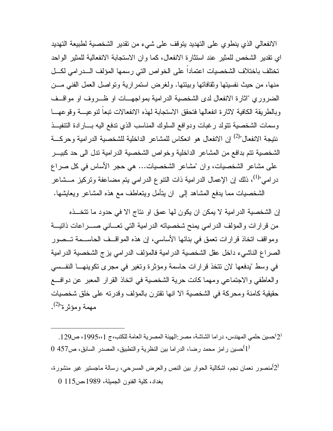الانفعالي الذي ينطوي على التهديد يتوقف على شيء من تقدير الشخصية لطبيعة التهديد اي تقدير الشخص للمثير عند استثارة الانفعال، كما وان الاستجابة الانفعالية للمثير الواحد تختلف باختلاف الشخصيات اعتماداً على الخواص التي رسمها المؤلف الـدرامي لكـل منها، من حيث نفسيتها وثقافاتها وبيئتها. ولغرض استمرارية وتواصل العمل الفني مـن الضروري "اثارة الانفعال لدى الشخصية الدرامية بمواجهـات او ظـروف او مواقـف وبالطريقة الكافية لاثارة انفعالها فتحقق الاستجابة لهذه الانفعالات تبعاً لنوعيـة وقوعهـا وسمات الشخصية تتولد رغبات ودوافع السلوك المناسب الذي تدفع اليه بـارادة التنفيـذ نتيجة الانفعال"<sup>(2)</sup> إن الانفعال هو انعكاس للمشاعر الداخلية للشخصية الدرامية وحركــة الشخصية تتم بدافع من المشاعر الداخلية وخواص الشخصية الدرامية تدل الى حد كبيـر على مشاعر الشخصيات، وان "مشاعر الشخصيات... هي حجر الأساس في كل صراع در امي"<sup>(1)</sup>، ذلك إن الإعمال الدرامية ذات النتوع الدرامي يتم مضاعفة وتركيز مــشاعر الشخصيات مما يدفع المشاهد إلى ان يتأمل ويتعاطف مع هذه المشاعر ويعايشها .

إن الشخصية الدرامية لا يمكن ان يكون لها عمق او نتاج الا في حدود ما تتخـذه من قرارات والمؤلف الدرامي يمنح شخصياته الدرامية التي تعـاني صـراعات ذاتيـة ومواقف اتخاذ قرارات تعمق في بنائها الأساسي، إن هذه المواقـف الحاسـمة تـصور الصراع الناشيء داخل عقل الشخصية الدرامية فالمؤلف الدرامي يزج الشخصية الدرامية في وسط "يدفعها لان تتخذ قرارات حاسمة ومؤثرة وتغير في مجرى تكوينهـا النفـسي والعاطفي والاجتماعي ومهما كانت حرية الشخصية في اتخاذ القرار المعبر عن دوافـع حقيقية كامنة ومحركة في الشخصية الا انها تقترن بالمؤلف وقدرته على خلق شخصيات مهمة ومؤثرة"<sup>(2)</sup>.

.2 $^{(2)}$ حسين حلمي المهندس، در اما الشاشة، مصر :الهيئة المصرية العامة للكتب،ج 1995،،1 ص $\cdot$ 1.  $0$  حسين رامز محمد رضا، الدراما بين النظرية والتطبيق، المصدر السابق، ص $\left( 1\right)$ 

منصور نعمان نجم، اشكالية الحوار بين النص والعرض المسرحي، رسالة ماجستير غير منشورة، $\left( 2\right)$ بغداد، كلية الفنون الجميلة، ،1989ص115 0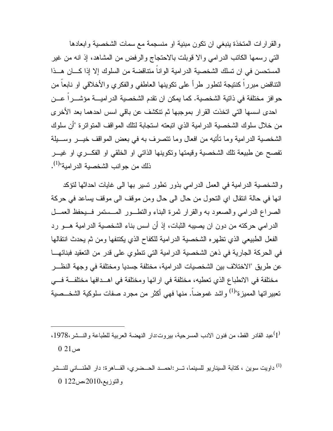والقرارات المتخذة ينبغي ان تكون مبنية او منسجمة مع سمات الشخصية وابعادها التي رسمها الكاتب الدرامي والا قوبلت بالاحتجاج والرفض من المشاهد، إذ انه من غير المستحسن في ان تسلك الشخصية الدرامية الواناً متناقضة من السلوك إلا إذا كـان هـذا التناقض مبرراً كنتيجة لتطور طرأ على تكوينها العاطفي والفكري والأخلاقي او نابعاً من حوافز مختلفة في ذاتية الشخصية. كما يمكن ان تقدم الشخصية الدراميـة مؤشـراً عـن احدى اسسها التي اتخذت القرار بموجبها ثم تنكشف عن باقي اسس احدهما بعد الأخرى من خلال سلوك الشخصية الدرامية الذي اتبعته استجابة لتلك المواقف المتواترة "أن سلوك الشخصية الدرامية وما تأتيه من افعال وما تتصرف به في بعض المواقف خيـر وسـيلة تفصح عن طبيعة تلك الشخصية وقيمتها وتكوينها الذاتي او الخلقي او الفكـري او غيـر ذلك من جوانب الشخصية الدر امية"<sup>(1)</sup>.

والشخصية الدرامية في العمل الدرامي بذور تطور تسير بها الى غايات احداثها لتؤكد انها في حالة انتقال اي التحول من حال الى حال ومن موقف الى موقف يساعد في حركة الصراع الدرامي والصعود به والقرار ثمرة البناء والتطـور المـستمر فـيحفظ العمـل الدرامي حركته من دون ان يصيبه الثبات، إذ أن اسس بناء الشخصية الدرامية هـو رد الفعل الطبيعي الذي تظهره الشخصية الدرامية للكفاح الذي يكتنفها ومن ثم يحدث انتقالها في الحركة الجارية في ذهن الشخصية الدرامية التي تنطوي على قدر من التعقيد فبنائهـا عن طريق "الاختلاف بين الشخصيات الدرامية، مختلفة جسديا ومختلفة في وجهة النظـر مختلفة في الانطباع الذي تعطيه، مختلفة في ارائها ومختلفة في اهـدافها مختلفـة فـي تعبير اتها المميزة"<sup>(1)</sup> واشد غموضاً. منها فهي أكثر من مجرد صفات سلوكية الشخــصية

عبد القادر القط، من فنون الادب المسرحية، بيروت:دار النهضة العربية للطباعة والنـــشر،1978، $(1)$  $021$ ص

داويت سوين ، كتابة السيناريو للسينما، تـر:احمـد الحـضري، القـاهرة: دار الطنـاني للنـشر (1) والتوزيع،2010،ص122 0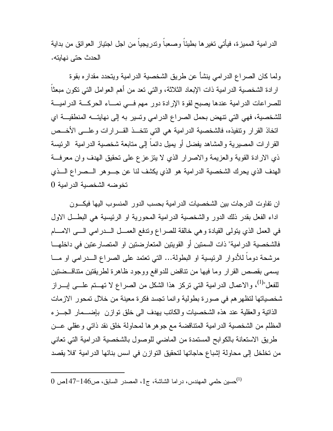الدرامية المميزة، فيأتي تغيرها بطيئاً وصعباً وتدريجياً من اجل اجتياز العوائق من بداية الحدث حتى نهايته .

ولما كان الصراع الدرامي ينشأ عن طريق الشخصية الدرامية ويتحدد مقداره بقوة ارادة الشخصية الدرامية ذات الإبعاد الثلاثة، والتي تعد من أهم العوامل التي تكون مبعثاً للصراعات الدرامية عندها يصبح لقوة الإرادة دور مهم فـي نمـاء الحركـة الدراميـة للشخصية، فهي التي تنهض بحمل الصراع الدرامي وتسير به إلى نهايتـه المنطقيـة اي اتخاذ القرار وتنفيذه، فالشخصية الدرامية هي التي تتخـذ القـرارات وعلـى الأخـص القرارات المصيرية والمشاهد يفضل أو يميل دائماً إلى متابعة شخصية الدرامية الرئيسة ذي الارادة القوية والعزيمة والاصرار الذي لا يتزعزع على تحقيق الهدف وان معرفـة الهدف الذي يحرك الشخصية الدرامية هو الذي يكشف لنا عن جـوهر الـصراع الـذي تخوضه الشخصية الدرامية 0

ان تفاوت الدرجات بين الشخصيات الدرامية بحسب الدور المنسوب اليها فيكـون اداء الفعل بقدر ذلك الدور والشخصية الدرامية المحورية او الرئيسية هي البطـل الاول في العمل الذي يتولى القيادة وهي خالقة للصراع وتدفع العمـل الـدرامي الـى الامـام فالشخصية الدرامية" ذات السمتين أو القويتين المتعارضتين او المتصارعتين في داخلهـا مرشحة دوماً للأدوار الرئيسية او البطولة... التي تعتمد على الصراع الـدرامي او مـا يسمى بقصص القرار وما فيها من تناقض للدوافع ووجود ظاهرة لطريقتين متناقـضتين للفعل"<sup>(1)</sup>، والاعمال الدرامية التي تركز هذا الشكل من الصراع لا تهــتم علـــي إبـــراز شخصياتها لتظهرهم في صورة بطولية وانما تجسد فكرة معينة من خلال تمحور الازمات الذاتية والعقلية عند هذه الشخصيات والكاتب يهدف الى خلق توازن بإضـمار الجـزء المظلم من الشخصية الدرامية المتناقضة مع جوهرها لمحاولة خلق نقد ذاتي وعقلي عـن طريق الاستعانة بالكوابح المستمدة من الماضي للوصول بالشخصية الدرامية التي تعاني من تخلخل إلى محاولة إشباع حاجاتها لتحقيق التوازن في اسس بنائها الدرامية "فلا يقصد

حسين حلمي المهندس، دراما الشاشة، ج،1 المصدر السابق، ص147-146ص 0 (1)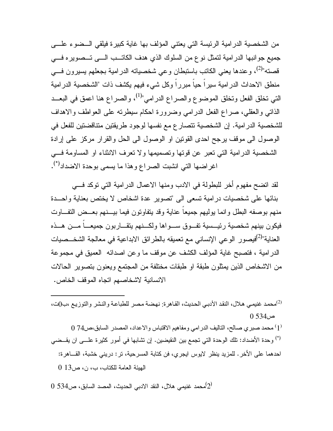من الشخصية الدرامية الرئيسة التي يعتني المؤلف بها غاية كبيرة فيلقي الـضوء علـى جميع جوانبها الدرامية لتمثل نوع من السلوك الذي هدف الكاتـب الـى تـصويره فـي قصته"<sup>(2)</sup>، وعندها يعني الكاتب باستبطان وعي شخصياته الدرامية بجعلهم يسيرون فــي منطق الاحداث الدرامية سيراً حياً مبرراً وكل شيء فيهم يكشف ذات "الشخصية الدرامية التي تخلق الفعل وتخلق الموضوع والصراع الدرامي"<sup>(1)</sup>، والصراع هنا اعمق في البعــد الذاتي والعقلي، صراع الفعل الدرامي وضرورة احكام سيطرته على العواطف والاهداف للشخصية الدرامية. إن الشخصية تتصارع مع نفسها لوجود طريقتين متناقضتين للفعل في الوصول الى موقف يرجح احدى القوتين او الوصول الى الحل والقرار مركز على إرادة الشخصية الدرامية التي تعبر عن قوتها وتصميمها ولا تعرف الانثناء او المساومة فـي اغراضها التي انشبت الصراع وهذا ما يسمى بوحدة الاضداد<sup>(\*)</sup>.

لقد اتضح مفهوم أخر للبطولة في الادب ومنها الاعمال الدرامية التي توكد فـي بنائها على شخصيات درامية تسعى الى "تصوير عدة اشخاص لا يختص بعناية واحـدة منهم بوصفه البطل وانما يوليهم جميعاً عناية وقد يتفاوتون فيما بيـنهم بعـض التفـاوت فيكون بينهم شخصية رئيـسية تفـوق سـواها ولكـنهم يتقـاربون جميعـاً مـن هـذه العناية"<sup>(2)</sup>فيصور الوعي الإنساني مع تعميقه بالطرائق الابداعية في معالجة الشخــصيات الدرامية ، فتصبح غاية المؤلف الكشف عن موقف ما وعن اصدائه العميق في مجموعة من الاشخاص الذين يمثلون طبقة او طبقات مختلفة من المجتمع ويعنون بتصوير الحالات الانسانية لاشخاصهم اتجاه الموقف الخاص .

محمد غنيمي هلال، النقد الأدبي الحديث، القاهرة: نهضة مصر للطباعة والنشر والتوزيع ،ب0ت، (2)  $0.534$  $\approx$ 

 $(1\, 1)$  محمد صبري صـالح، التاليف الدر امي ومفاهيم الاقتباس والاعداد، المصدر السابق،ص $(1\, 1)$ وحدة الأضداد: تلك الوحدة التي تجمع بين النقيضين. إن تشابها في أمور كثيرة علـى ان يقـضي (\*) احدهما على الأخر. للمزيد ينظر لايوس ايجري، فن كتابة المسرحية، تر: دريني خشبة، القـاهرة: الهيئة العامة للكتاب، ب، ن، ص13 0

 $0$  محمد غنيمي هلال، النقد الادبي الحديث، المصد السابق، ص534 $\left( 2\right)$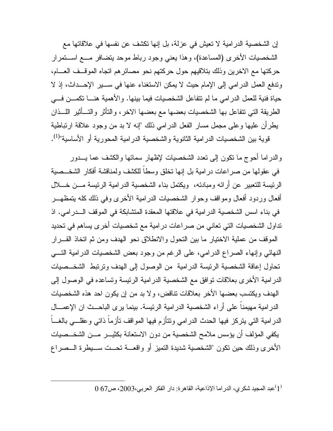إن الشخصية الدرامية لا تعيش في عزلة، بل إنها تكشف عن نفسها في علاقاتها مع الشخصيات الأخرى (المساعدة)، وهذا يعني وجود رباط موحد يتضافر مـع اسـتمرار حركتها مع الاخرين وذلك بتلاقيهم حول حركتهم نحو مصائرهم اتجاه الموقـف العـام، وتدفع العمل الدرامي إلى الإمام حيث لا يمكن الاستغناء عنها في سـير الإحـداث، إذ لا حياة فنية للعمل الدرامي ما لم تتفاعل الشخصيات فيما بينها. والأهمية هنـا تكمـن فـي الطريقة التي تتفاعل بها الشخصيات بعضها مع بعضها الاخر، والتأثر والتـأثير اللـذان يطرأن عليها وعلى مجمل مسار الفعل الدرامي ذلك "إنه لا بد من وجود علاقة ارتباطية قوية بين الشخصيات الدرامية الثانوية والشخصية الدرامية المحورية أو الأساسية"<sup>(1)</sup>.

والدراما أحوج ما تكون إلى تعدد الشخصيات لإظهار سماتها والكشف عما يـدور في عقولها من صراعات درامية بل إنها تخلق وسطاً للكشف ولمناقشة أفكار الشخـصية الرئيسة للتعبير عن أرائه ومبادئه، ويكتمل بناء الشخصية الدرامية الرئيسة مـن خـلال أفعال وردود أفعال ومواقف وحوار الشخصيات الدرامية الأخرى وفي ذلك كله يتمظهـر في بناء اسس الشخصية الدرامية في علاقتها المعقدة المتشابكة في الموقف الـدرامي. اذ تداول الشخصيات التي تعاني من صراعات درامية مع شخصيات أخرى يساهم في تحديد الموقف من عملية الاختيار ما بين التحول والانطلاق نحو الهدف ومن ثم اتخاذ القـرار النهائي وإنهاء الصراع الدرامي، على الرغم من وجود بعض الشخصيات الدرامية التـي تحاول إعاقة الشخصية الرئيسة الدرامية من الوصول إلى الهدف وترتبط الشخـصيات الدرامية الأخرى بعلاقات توافق مع الشخصية الدرامية الرئيسة وتساعده في الوصول إلى الهدف ويكتسب بعضها الأخر بعلاقات تناقض، ولا بد من إن يكون احد هذه الشخصيات الدرامية مهيمناً على أراء الشخصية الدرامية الرئيسة. بينما يرى الباحـث ان الإعمـال الدرامية التي يتركز فيها الحدث الدرامي وتتأزم فيها المواقف تأزماً ذاتي وعقلـي بالغـاً يكفي المؤلف أن يؤسس ملامح الشخصية من دون الاستعانة بكثيـر مـن الشخـصيات الأخرى وذلك حين تكون "الشخصية شديدة التميز أو واقعـة تحـت سـيطرة الـصراع

 $(1)$ عبد المجيد شكري، الدراما الإذاعية، القاهرة: دار الفكر العربي،2003، ص $(1)$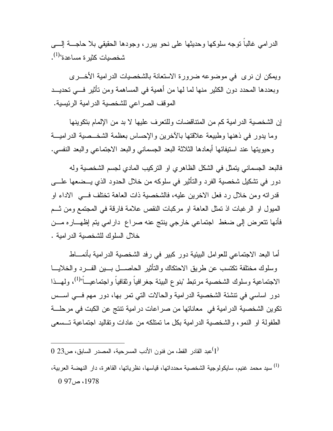الدرامي غالباً توجه سلوكها وحديثها على نحو يبرر، وجودها الحقيقي بلا حاجـة إلـى شخصيات كثيرة مساعدة"<sup>(1)</sup>.

ويمكن ان نرى في موضوعه ضرورة الاستعانة بالشخصيات الدرامية الأخـرى وبعددها المحدد دون الكثير منها لما لها من أهمية في المساهمة ومن تأثير فـي تحديـد الموقف الصراعي للشخصية الدرامية الرئيسية .

إن الشخصية الدرامية كم من المتناقضات وللتعرف عليها لا بد من الإلمام بتكوينها وما يدور في ذهنها وطبيعة علاقتها بالآخرين والإحساس بعظمة الشخـصية الدراميـة وحيويتها عند استيفائها أبعادها الثلاثة البعد الجسماني والبعد الاجتماعي والبعد النفسي .

فالبعد الجسماني يتمثل في الشكل الظاهري او التركيب المادي لجسم الشخصية وله دور في تشكيل شخصية الفرد والتأثير في سلوكه من خلال الحدود الذي يـضعها علـى قدراته ومن خلال رد فعل الاخرين عليه، فالشخصية ذات العاهة تختلف فـي الاداء او الميول او الرغبات اذ تمثل العاهة او مركبات النقص علامة فارقة في المجتمع ومن ثـم فأنها تتعرض إلى ضغط اجتماعي خارجي ينتج عنه صراع دارامي يتم إظهـاره مـن خلال السلوك للشخصية الدرامية .

أما البعد الاجتماعي للعوامل البيئية دور كبير في رفد الشخصية الدرامية بأنمـاط وسلوك مختلفة تكتسب عن طريق الاحتكاك والتأثير الحاصـل بـين الفـرد والخلايـا الاجتماعية وسلوك الشخصية مرتبط "بنوع البيئة جغرافياً وثقافياً واجتماعيـــاً"<sup>(1)</sup>، ولمهــذا دور اساسي في تنشئة الشخصية الدرامية والحالات التي تمر بها، دور مهم فـي اسـس تكوين الشخصية الدرامية في معاناتها من صراعات درامية تنتج عن الكبت في مرحلـة الطفولة او النمو، والشخصية الدرامية بكل ما تمتلكه من عادات وتقاليد اجتماعية تـسعى

 $(1\, 23$ عبد القادر القط، من فنون الأدب المسرحية، المصدر السابق، ص $(1\,$ 

سيد محمد غنيم، سايكولوجية الشخصية محدداتها، قياسها، نظرياتها، القاهرة، دار النهضة العربية، (1)  $0.97 \rightarrow 1978$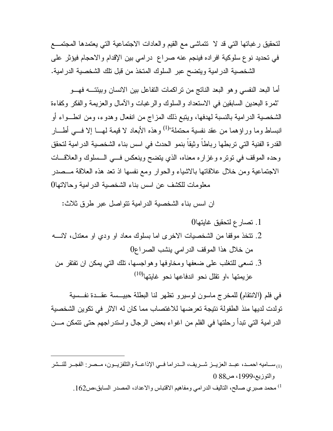لتحقيق رغباتها التي قد لا تتماشى مع القيم والعادات الاجتماعية التي يعتمدها المجتمـع في تحديد نوع سلوكية افراده فينجم عنه صراع درامي بين الإقدام والاحجام فيؤثر على الشخصية الدرامية ويتضح عبر السلوك المتخذ من قبل تلك الشخصية الدرامية .

أما البعد النفسي وهو البعد الناتج من تراكمات التفاعل بين الانسان وبيئتـه فهـو "ثمرة البعدين السابقين في الاستعداد والسلوك والرغبات والآمال والعزيمة والفكر وكفاءة الشخصية الدرامية بالنسبة لهدفها، ويتبع ذلك المزاج من انفعال وهدوء، ومن انطـواء أو انبساط وما وراؤهما من عقد نفسية محتملة"<sup>(1)</sup> وهذه الأبعاد لا قيمة لهـــا إلا فـــي أطــــار القدرة الفنية التي تربطها رباطاً وثيقاً بنمو الحدث في اسس بناء الشخصية الدرامية لتحقق وحده الموقف في توتره وغزاره معناه، الذي يتضح وينعكس فـي الـسلوك والعلاقـات الاجتماعية ومن خلال علاقاتها بالاشياء والحوار ومع نفسها اذ تعد هذه العلاقة مـصدر معلومات للكشف عن اسس بناء الشخصية الدرامية وحالاتها 0

ان اسس بناء الشخصية الدرامية تتواصل عبر طرق ثلاث :

.1 تصارع لتحقيق غايتها0 .2 تتخذ موقفا من الشخصيات الاخرى اما بسلوك معاد او ودي او معتدل، لانـه من خلال هذا الموقف الدرامي ينشب الصراع0 .3 تسعى للتغلب على ضعفها ومخاوفها وهواجسها، تلك التي يمكن ان تفتقر من عزيمتها ،او تقلل نحو اندفاعها نحو غايتها<sup>(10)</sup>

في فلم (الانتقام) للمخرج ماسون لوسيرو تظهر لنا البطلة حبيـسة عقـدة نفـسية تولدت لديها منذ الطفولة نتيجة تعرضها للاغتصاب مما كان له الاثر في تكوين الشخصية الدرامية التي تبدأ رحلتها في الفلم من اغواء بعض الرجال واستدراجهم حتى تتمكن مـن

، محمد صبري صـالح، التاليف الدرامي ومفاهيم الاقتباس والاعداد، المصدر السابق،ص162  $^{(1)}$ 

ون المساميه احمـد، عبـد العزيــز شــريف، الــدراما فــي الإذاعــة والتلفزيــون، مــصر: الفجــر للنــشر ال والتوزيع،1999، ص88 0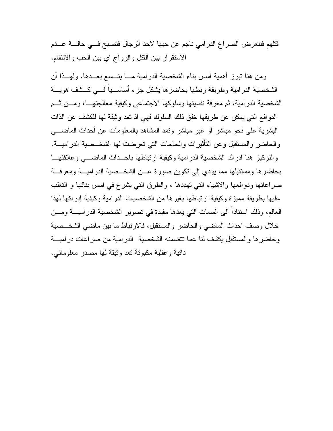قتلهم فتتعرض الصراع الدرامي ناجم عن حبها لاحد الرجال فتصبح فـي حالـة عـدم الاستقرار بين القتل والزواج اي بين الحب والانتقام .

 ومن هنا تبرز أهمية اسس بناء الشخصية الدرامية مـا يتـسع بعـدها. ولهـذا أن الشخصية الدرامية وطريقة ربطها بحاضرها يشكل جزء أساسـياً فـي كـشف هويـة الشخصية الدرامية، ثم معرفة نفسيتها وسلوكها الاجتماعي وكيفية معالجتهـا، ومـن ثـم الدوافع التي يمكن عن طريقها خلق ذلك السلوك فهي اذ تعد وثيقة لها للكشف عن الذات البشرية على نحو مباشر او غير مباشر وتمد المشاهد بالمعلومات عن أحداث الماضـي والحاضر والمستقبل وعن التأثيرات والحاجات التي تعرضت لها الشخـصية الدراميـة. والتركيز هنا ادراك الشخصية الدرامية وكيفية ارتباطها باحـداث الماضـي وعلاقتهـا بحاضرها ومستقبلها مما يؤدي إلى تكوين صورة عـن الشخـصية الدراميـة ومعرفـة صراعاتها ودوافعها والاشياء التي تهددها ، والطرق التي يشرع في اسس بنائها و التغلب عليها بطريقة مميزة وكيفية ارتباطها بغيرها من الشخصيات الدرامية وكيفية إدراكها لهذا العالم، وذلك استناداً الى السمات التي يعدها مفيدة في تصوير الشخصية الدراميـة ومـن خلال وصف احداث الماضي والحاضر والمستقبل، فالارتباط ما بين ماضي الشخـصية وحاضرها والمستقبل يكشف لنا عما تتضمنه الشخصية الدرامية من صراعات دراميـة ذاتية وعقلية مكبوتة تعد وثيقة لها مصدر معلوماتي .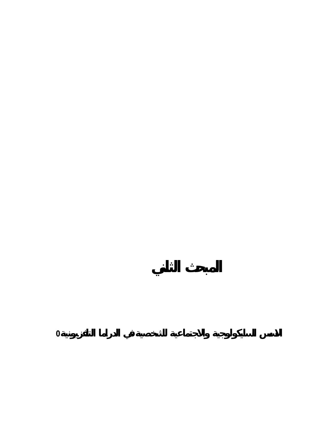**الاسس السايك لوجية والاجتماعية للشخصية في الدراما التلفزيونية**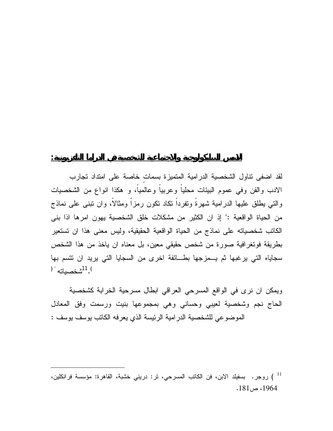لقد اضفى تناول الشخصية الدرامية المتميزة بسماتٍ خاصة على امتداد تجارب الادب والفن وفي عموم البيئات محلياً وعربياً وعالمياً، و هكذا انواع من الشخصيات والتي يطلق عليها الدرامية شهرةً وتفرداً تكاد تكون رمزاً ومثالاً، وان تبنى على نماذج من الحياة الواقعية :" إذ ان الكثير من مشكلات خلق الشخصية يهون امرها اذا بنى الكاتب شخصياته على نماذج من الحياة الواقعية الحقيقية، وليس معنى هذا ان تستعير بطريقة فوتغرافية صورة من شخص حقيقي معين، بل معناه ان ياخذ من هذا الشخص سجاياه التي يرغبها ثم يـمزجها بطـائفة اخرى من السجايا التي يريد ان تتسم بها ) <sup>11</sup>شخصياته <sup>" (</sup>

**الاسس السايكولوجية والاجتماعية للشخصية في الدراما التلفزيونية:**

ويمكن ان نرى في الواقع المسرحي العراقي ابطال مسرحية الخرابة كشخصية الحاج نجم وشخصية لعيبي وحساني وهي بمجموعها بنيت ورسمت وفق المعادل الموضوعي للشخصية الدرامية الرئيسة الذي يعرفه الكاتب يوسف يوسف :

 <sup>)</sup> روجر. بسفيلد الابن، فن الكاتب المسرحي، تر: دريني خشبة، القاهرة: مؤسسة فرانكلين، <sup>11</sup> ،1964 ص.181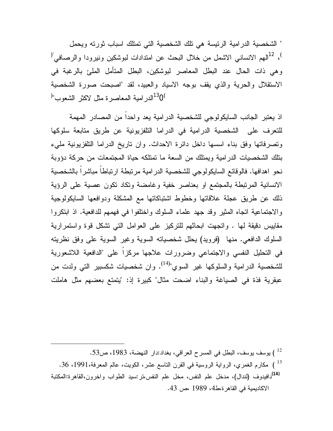" الشخصية الدرامية الرئيسة هي تلك الشخصية التي تمتلك اسباب ثورته ويحمل <sup>)</sup>، <sup>12</sup>الهم الانساني الاشمل من خلال البحث عن امتدادات لبوشكين ونيرودا والرصـافي<sup>"(</sup> وهي ذات الحال عند البطل المعاصر لبوشكين، البطل المتأمل الملئ بالرغبة في الاستقلال والحرية والذي يقف بوجه الاسياد والعبيد، لقد "اصبحت صورة الشخصية  $^{13}$ الدرامية المعاصرة مثل لاكثر الشعوب" $^{0}$ 

اذ يعتبر الجانب السايكولوجي للشخصية الدرامية يعد واحداً من المصادر المهمة للتعرف على الشخصية الدرامية في الدراما التلفزيونية عن طريق متابعة سلوكها وتصرفاتها وفق بناء اسسها داخل دائرة الاحداث. وان تاريخ الدراما التلفزيونية مليء بتلك الشخصيات الدرامية ويمتلك من السعة ما تمتلكه حياة المجتمعات من حركة دؤوبة نحو اهدافها. فالوقائع السايكولوجي للشخصية الدرامية مرتبطة ارتباطاً مباشراً بالشخصية الانسانية المرتبطة بالمجتمع او بعناصر خفية وغامضة وتكاد تكون عصية على الرؤية ذلك عن طريق عجلة علاقاتها وخطوط اشتباكاتها مع المشكلة ودوافعها السايكولوجية والاجتماعية اتجاه المثير وقد جهد علماء السلوك واختلفوا في فهمهم للدافعية. اذ ابتكروا مقاييس دقيقة لها . واتجهت ابحاثهم للتركيز على العوامل التي تشكل قوة واستمرارية السلوك الدافعي. منها (فرويد) يحلل شخصياته السوية وغير السوية على وفق نظريته في التحليل النفسي والاجتماعي وضرورات علاجها مركزاً على "الدافعية اللاشعورية للشخصية الدرامية والسلوكها غير السوي"<sup>(14)</sup>. وان شخصيات شكسبير التبي ولدت من عبقرية فذة في الصياغة والبناء اضحت مثال" كبيرة إذ: "يتمتع بعضهم مثل هاملت

) يوسف يوسف، البطل في المسرح العراقي، بغداد:دار النهضة، 1983، ص53. ) مكارم الغمري، الرواية الروسية في القرن الناسع عشر، الكويت، عالم المعرفة،1991، 36. دافيدوف (لندال)، مدخل علم النفس، مخل علم النفس،تر:سيد الطواب واخرون،القاهرة:المكتبة **(14)** الاكاديمية في القاهرة،ط،4 1989 ،ص .43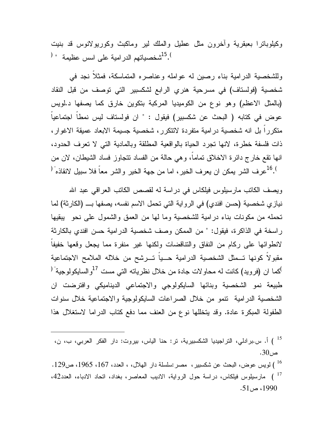وكيلوباترا بعبقرية وآخرون مثل عطيل والملك لير وماكبث وكوريولانوس قد بنيت  $^{15}.^{\circ}$ شخصياتهم الدر امية على اسس عظيمة  $^{15}.^{\circ}$ 

وللشخصية الدرامية بناء رصين له عوامله وعناصره المتماسكة، فمثلاً نجد في شخصية (فولستاف) في مسرحية هنري الرابع لشكسبير التي توصف من قبل النقاد (بالمثل الاعظم) وهو نوع من الكوميديا المركبة بتكوين خارق كما يصفها د.لويس عوض في كتابه ( البحث عن شكسبير) فيقول : " ان فولستاف ليس نمطاً اجتماعياً متكرراً بل انه شخصية درامية متفردة لاتتكرر، شخصية جسيمة الابعاد عميقة الاغوار، ذات فلسفة خطرة، لانها تجرد الحياة بالواقعية المطلقة وبالمادية التي لا تعرف الحدود، انها تقع خارج دائرة الاخلاق تماماً، وهي حالة من الفساد تتجاوز فساد الشيطان، لان من <sup>16</sup>.1 عرف الشر يمكن ان يعرف الخير، اما من جهة الخير والشر معاً فلا سبيل لانقاذه<sup>" (</sup>

ويصف الكاتب مارسيلوس فيلكاس في دراسة له لقصص الكاتب العراقي عبد االله نيازي شخصية (حسن افندي) في الرواية التي تحمل الاسم نفسه، يصفها بـ (الكارثة) لما تحمله من مكونات بناء درامية للشخصية وما لها من العمق والشمول على نحو يبقيها راسخة في الذاكرة، فيقول: " من الممكن وصف شخصية الدرامية حسن افندي بالكارثة لانطوائها على ركام من النفاق والتناقضات ولكنها غير منفرة مما يجعل وقعها خفيفاً مقبولاً كونها تـمثل الشخصية الدرامية حـياً تـرشح من خلاله الملامح الاجتماعية <sup>)</sup>كما ان (فرويد) كانت له محاولات جادة من خلال نظرياته التي مست <sup>17</sup>والسايكولوجية<sup>" (</sup> طبيعة نمو الشخصية وبنائها السايكولوجي والاجتماعي الديناميكي وافترضت ان الشخصية الدرامية تنمو من خلال الصراعات السايكولوجية والاجتماعية خلال سنوات الطفولة المبكرة عادة. وقد يتخللها نوع من العنف مما دفع كتاب الدراما لاستغلال هذا

 ) أ. س.برادلي، التراجيديا الشكسبيرية، تر: حنا الياس، بيروت: دار الفكر العربي، ب، ن، <sup>15</sup> ص.30 ) لويس عوض، البحث عن شكسبير، مصر:سلسلة دار الهلال، ، العدد، ،167 ،1965 ص.129 <sup>16</sup> ) مارسيلوس فيلكاس، دراسة حول الرواية، الاديب المعاصر، بغداد، اتحاد الادباء، العدد،42 <sup>17</sup> ، ص 51.  $-1990$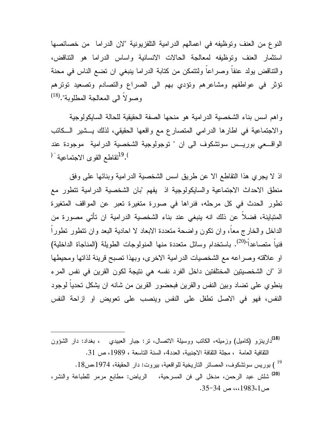النوع من العنف وتوظيفه في اعمالهم الدرامية التلفزيونية "لان الدراما من خصائصها استثمار العنف وتوظيفه لمعالجة الحالات الانسانية واساس الدراما هو التناقض، والتناقض يولد عنفاً وصراعاً ولتتمكن من كتابة الدراما ينبغي ان تضع الناس في محنة تؤثر في عواطفهم ومشاعرهم وتؤدي بهم الى الصراع والتصادم وتصعيد توترهم وصولاً الى المعالجة المطلوبة".<sup>(18)</sup>

واهم اسس بناء الشخصية الدرامية هو منحها الصفة الحقيقية للحالة السايكولوجية والاجتماعية في اطارها الدرامي المتصارع مع واقعها الحقيقي، لذلك يـشير الـكاتب الواقـعي بوريـس سوتشكوف الى ان " توجولوجية الشخصية الدرامية موجودة عند <sup>19</sup>. أتقاطع القوى الاجتماعية <sup>" (</sup>

اذ لا يجري هذا التقاطع الا عن طريق اسس الشخصية الدرامية وبنائها على وفق منطق الاحداث الاجتماعية والسايكولوجية اذ يفهم "بان الشخصية الدرامية تتطور مع تطور الحدث في كل مرحله، فنراها في صورة متغيرة تعبر عن المواقف المتغيرة المتباينة، فضلاً عن ذلك انه ينبغي عند بناء الشخصية الدرامية ان تأتي مصورة من الداخل والخارج معاً، وان تكون واضحة متعددة الابعاد لا احادية البعد وان تتطور تطوراً فنياً متصاعداً"<sup>(20)</sup>. باستخدام وسائل متعددة منها المنولوجات الطويلة (المناجاة الداخلية) او علاقته وصراعه مع الشخصيات الدرامية الاخرى، وبهذا تصبح قرينة لذاتها ومحيطها اذ "ان الشخصيتين المختلفتين داخل الفرد نفسه هي نتيجة لكون القرين في نفس المرء ينطوي على تضاد وبين النفس والقرين فبحضور القرين من شانه ان يشكل تحدياً لوجود النفس، فهو في الاصل تطفل على النفس وينصب على تعويض او ازاحة النفس

دارينزو (كاميل) وزميله، الكاتب ووسيلة الاتصال، تر: جبار العبيدي ، بغداد: دار الشؤون **(18)** الثقافية العامة ، مجلة الثقافة الاجنبية، العدد4، السنة التاسعة ، 1989، ص 31. ) بوريس سوتشكوف، المصائر التاريخية للواقعية، بيروت: دار الحقيقة، ،1974ص.18 <sup>19</sup> شلش عبد الرحمن، مدخل الى فن المسرحية، الرياض: مطابع مرمر للطباعة والنشر، **(20)** ص،،،1983،1 ص .35-34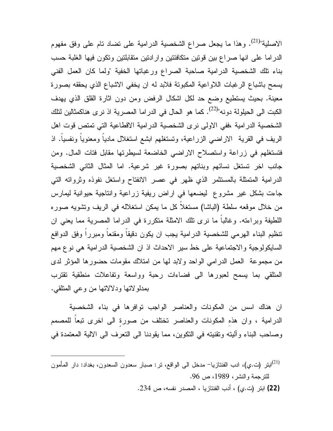الاصلية"<sup>(21)</sup>. وهذا ما يجعل صراع الشخصية الدرامية على تضاد تام على وفق مفهوم الدراما على انها صراع بين قوتين متكافئتين وارادتين متقابلتين وتكون فيها الغلبة حسب بناء تلك الشخصية الدرامية صاحبة الصراع ورغباتها الخفية "ولما كان العمل الفني يسمح باشباع الرغبات اللاواعية المكبوتة فلابد له ان يخفي الاشباع الذي يحققه بصورة معينة. بحيث يستطيع وضع حد لكل اشكال الرفض ومن دون اثارة القلق الذي يهدف الكبت الى الحيلولة دونه"<sup>(22)</sup>. كما هو الحال في الدراما المصرية اذ نرى هناكمثالين لتلك الشخصية الدرامية ،ففي الاولى نرى الشخصية الدرامية الاقطاعية التي تمتص قوت اهل الريف في القرية الاراضي الزراعية، وتستغلهم ابشع استغلال مادياً ومعنوياً ونفسياً. اذ فتستغلهم في زراعة واستصلاح الاراضي الخاضعة لسيطرتها مقابل فتات المال. ومن جانب اخر تستغل نسائهم وبناتهم بصورة غير شرعية. اما المثال الثاني الشخصية الدرامية المتمثلة بالمستثمر الذي ظهر في عصر الانفتاح واستغل نفوذه وثرواته التي جاءت بشكل غير مشروع ليضعها في اراض ريفية زراعية وانتاجية حيوانية ليمارس من خلال موقعه سلطة (الباشا) مستغلاً كل ما يمكن استغلاله في الريف وتشويه صوره اللطيفة وبراءته. وغالباً ما نرى تلك الامثلة متكررة في الدراما المصرية مما يعني ان تنظيم البناء الهرمي للشخصية الدرامية يجب ان يكون دقيقاً ومقنعاً ومبرراً وفق الدوافع السايكولوجية والاجتماعية على خط سير الاحداث اذ ان الشخصية الدرامية هي نوع مهم من مجموعة العمل الدرامي الواحد ولابد لها من امتلاك مقومات حضورها المؤثر لدى المتلقي بما يسمح لعبورها الى فضاءات رحبة وواسعة وتفاعلات منطقية تقترب بمدلولاتها ودلالاتها من وعي المتلقي .

ان هناك اسس من المكونات والعناصر الواجب توافرها في بناء الشخصية الدرامية ، وان هذهِ المكونات والعناصر تختلف من صورةٍ الى اخرى تبعاً للمصمم وصاحب البناء وآليته وتقنيته في التكوين، مما يقودنا الى التعرف الى الالية المعتمدة في

ابتر (ت.ي)، ادب الفنتازيا<sup>ــ</sup> مدخل الى الواقع، تر: صبار سعدون السعدون، بغداد: دار المأمون(21) للترجمة والنشر، ،1989 ص .96 **(22)** ابتر (ت.ي) ، أدب الفنتازيا ، المصدر نفسه، ص .234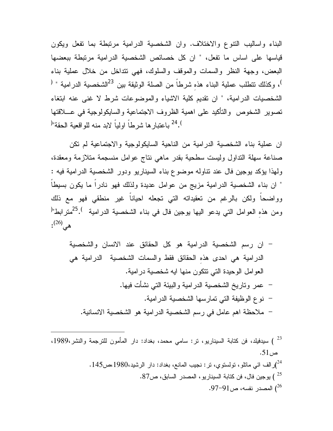البناء واساليب التنوع والاختلاف. وان الشخصية الدرامية مرتبطة بما تفعل ويكون قياسها على اساس ما تفعل، " ان كل خصائص الشخصية الدرامية مرتبطة ببعضها البعض، وجهة النظر والسمات والموقف والسلوك، فهي تتداخل من خلال عملية بناء ، وكذلك نتطلب عملية البناء هذه شرطاً من الصلة الوثيقة بين <sup>23</sup>الشخصية الدرامية " <sup>(</sup> الشخصيات الدرامية، " ان تقديم كلية الاشياء والموضوعات شرط لا غنى عنه ابتغاء تصوير الشخوص والتأكيد على اهمية الظروف الاجتماعية والسايكولوجية في عـلاقتها <sup>) 24</sup> باعتبار ها شرطاً اولياً لابد منه للواقعية الحقة"<sup>(</sup>

ان عملية بناء الشخصية الدرامية من الناحية السايكولوجية والاجتماعية لم تكن صناعة سهلة التداول وليست سطحية بقدر ماهي نتاج عوامل منسجمة متلازمة ومعقدة، ولهذا يؤكد يوجين فال عند تناوله موضوع بناء السيناريو ودور الشخصية الدرامية فيه : " ان بناء الشخصية الدرامية مزيج من عوامل عديدة ولذلك فهو نادراً ما يكون بسيطاً وواضحاً ولكن بالرغم من تعقيداته التي تجعله احياناً غير منطقي فهو مع ذلك ومن هذه العوامل التي يدعو اليها يوجين فال في بناء الشخصية الدرامية <sup>) 25</sup>مترابط"<sup>(</sup>  $\cdot^{(26)}$ .

- ان رسم الشخصية الدرامية هو كل الحقائق عند الانسان والشخصية الدرامية هي احدى هذهِ الحقائق فقط والسمات الشخصية الدرامية هي العوامل الوحيدة التي تتكون منها ايه شخصية درامية. - عمر وتاريخ الشخصية الدرامية والبيئة التي نشأت فيها. - نوع الوظيفة التي تمارسها الشخصية الدرامية. - ملاحظة اهم عامل في رسم الشخصية الدرامية هو الشخصية الانسانية.

 ) سيدفيلد، فن كتابة السيناريو، تر: سامي محمد، بغداد: دار المأمون للترجمة والنشر،1989، <sup>23</sup> ص.51 )رالف ائي ماتلو، تولستوي، تر: نجيب المانع، بغداد: دار الرشيد،1980،ص.145 <sup>24</sup> ) يوجين فال، فن كتابة السيناريو، المصدر السابق، ص.87 <sup>25</sup> ) المصدر نفسه، ص.97-91 <sup>26</sup>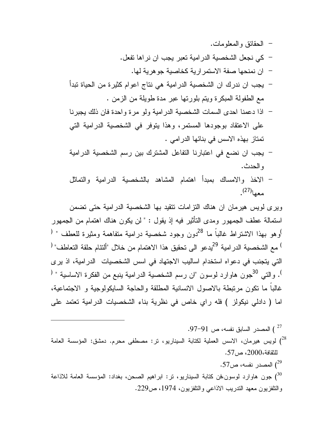- الحقائق والمعلومات. - كي نجعل الشخصية الدرامية تعبر يجب ان نراها تفعل. - ان نمنحها صفة الاستمرارية كخاصية جوهرية لها. - يجب ان ندرك ان الشخصية الدرامية هي نتاج اعوام كثيرة من الحياة تبدأ
	- مع الطفولة المبكرة ويتم بلورتها عبر مدة طويلة من الزمن .
- اذا دعمنا احدى السمات الشخصية الدرامية ولو مرة واحدة فان ذلك يجبرنا على الاعتقاد بوجودها المستمر، وهذا يتوفر في الشخصية الدرامية التي تمتاز بهذه الاسس في بنائها الدرامي .
- يجب ان نضع في اعتبارنا التفاعل المشترك بين رسم الشخصية الدرامية والحدث.
- الاخذ والامساك بمبدأ اهتمام المشاهد بالشخصية الدرامية والتماثل . (27) معها

ويرى لويس هيرمان ان هناك التزامات تتقيد بها الشخصية الدرامية حتى تضمن استمالة عطف الجمهور ومدى التأثير فيه إذ يقول : " لن يكون هناك اهتمام من الجمهور وهو بهذا الاشتراط غالباً ما <sup>28</sup>دون وجود شخصية درامية متفاهمة ومثيرة للعطف " <sup>(</sup> <sup>)</sup> مع الشخصية الدرامية <sup>29</sup>يدعو الى تحقيق هذا الاهتمام من خلال "ألتئام حلقة التعاطف" <sup>(</sup> التي يتجنب في دعواه استخدام اساليب الاجتهاد في اسس الشخصيات الدرامية، اذ يرى . والتي <sup>30</sup>جون هاوارد لوسون "ان رسم الشخصية الدرامية ينبع من الفكرة الاساسية " <sup>(</sup> غالباً ما تكون مرتبطة بالاصول الانسانية المطلقة والحاجة السايكولوجية و الاجتماعية، اما ( دادلي نيكولز ) فله راي خاص في نظرية بناء الشخصيات الدرامية تعتمد على

- ) المصدر السابق نفسه، ص .97-91 <sup>27</sup> لويس هيرمان، الاسس العملية لكتابة السيناريو، تر: مصطفى محرم. دمشق: المؤسسة العامة  $^{\prime 28}$ للثقافة،2000، ص.57
	- المصدر نفسه، ص $57$ .  $\,$

جون هاوارد لوسون،فن كتابة السيناريو، تر: ابراهيم الصحن، بغداد: المؤسسة العامة للاذاعة  $\gamma^{30}$ والتلفزيون معهد التدريب الاذاعي والتلفزيون، ،1974 ص.229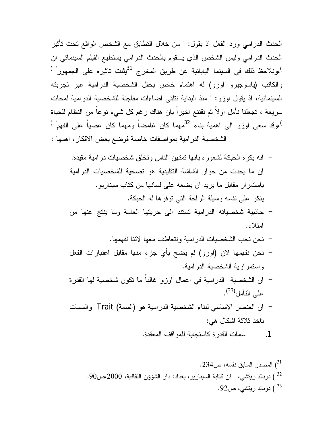الحدث الدرامي ورد الفعل اذ يقول: " من خلال التطابق مع الشخص الواقع تحت تأثير الحدث الدرامي وليس الشخص الذي يـقوم بالحدث الدرامي يستطيع الفيلم السينمائي ان <sup>)</sup>،ونلاحظ ذلك في السينما اليابانية عن طريق المخرج <sup>31</sup>يثبت تاثيره على الجمهور<sup>" (</sup> والكاتب (ياسوجيرو اوزو) له اهتمام خاص بحقل الشخصية الدرامية عبر تجربته السينمائية، اذ يقول اوزو: " منذ البداية نتلقى اضاءات مفاجئة للشخصية الدرامية لمحات سريعة ، تجعلنا نأمل اولاً ثم نقتنع اخيراً بان هناك رغم كل شيء نوعاً من النظام للحياة ،وقد سعى اوزو الى اهمية بناء <sup>32</sup>مهما كان غامضاً ومهما كان عصباً على الفهم<sup>" (</sup> ، الشخصية الدرامية بمواصفات خاصة فوضع بعض الافكار، اهمها :

- انه يكره الحبكة لشعوره بانها تمتهن الناس وتخلق شخصيات درامية مقيدة. - ان ما يحدث من حوار الشاشة التقليدية هو تضحية للشخصيات الدرامية باستمرار مقابل ما يريد ان يضعه على لسانها من كتاب سيناريو. - ينكر على نفسه وسيلة الراحة التي توفرها له الحبكة. - جاذبية شخصياته الدرامية تستند الى حريتها العامة وما ينتج عنها من
	- امتلاء.
		- نحن نحب الشخصيات الدرامية ونتعاطف معها لاننا نفهمها.
- نحن نفهمها لان (اوزو) لم يضح بأي جزءٍ منها مقابل اعتبارات الفعل واستمرارية الشخصية الدرامية.
- ان الشخصية الدرامية في اعمال اوزو غالباً ما تكون شخصية لها القدرة . (33) على التأمل
- ان العنصر الاساسي لبناء الشخصية الدرامية هو (السمة) Trait والسمات تاخذ ثلاثة اشكال هي:

.1 سمات القدرة كاستجابة للمواقف المعقدة.

) المصدر السابق نفسه، ص.234 <sup>31</sup> ) دونالد ريتشي، فن كتابة السيناريو، بغداد: دار الشؤؤن الثقافية، ،2000ص.90 <sup>32</sup> ) دونالد ريتشي، ص.92 <sup>33</sup>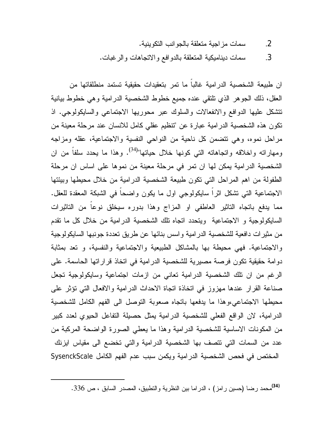.2 سمات مزاجية متعلقة بالجوانب التكوينية.

.3 سمات ديناميكية المتعلقة بالدوافع والاتجاهات والرغبات.

ان طبيعة الشخصية الدرامية غالباً ما تمر بتعقيدات حقيقية تستمد منطلقاتها من العقل، ذلك الجوهر الذي تلتقي عنده جميع خطوط الشخصية الدرامية وهي خطوط بيانية تتشكل عليها الدوافع والانفعالات والسلوك عبر محوريها الاجتماعي والسايكولوجي. اذ تكون هذه الشخصية الدرامية عبارة عن "تنظيم عقلي كامل للانسان عند مرحلة معينة من مراحل نموه، وهي تتضمن كل ناحية من النواحي النفسية والاجتماعية، عقله ومزاجه ومهاراته واخلاقه واتجاهاته التي كونها خلال حياتها"<sup>(34)</sup>. وهذا ما يحدد سلفاً من ان الشخصية الدرامية يمكن لها ان تمر في مرحلة معينة من نموها على اساس ان مرحلة الطفولة من اهم المراحل التي تكون طبيعة الشخصية الدرامية من خلال محيطها وبيئتها الاجتماعية التي تشكل اثراً سايكولوجي اول ما يكون واضحاً في الشبكة المعقدة للعقل. مما يدفع باتجاه التاثير العاطفي او المزاج وهذا بدوره سيخلق نوعاً من التاثيرات السايكولوجية و الاجتماعية ويتحدد اتجاه تلك الشخصية الدرامية من خلال كل ما تقدم من مثيرات دافعية للشخصية الدرامية واسس بنائها عن طريق تعددة جونبها السايكولوجية والاجتماعية. فهي محيطة بها بالمشاكل الطبيعية والاجتماعية والنفسية، و تعد بمثابة دوامة حقيقية تكون فرصة مصيرية للشخصية الدرامية في اتخاذ قراراتها الحاسمة. على الرغم من ان تلك الشخصية الدرامية تعاني من ازمات اجتماعية وسايكولوجية تجعل صناعة القرار عندها مهزوز في اتخاذة اتجاة الاحداث الدرامية والافعال التي تؤثر على محيطها الاجتماعي،وهذا ما يدفعها باتجاه صعوبة التوصل الى الفهم الكامل للشخصية الدرامية، لان الواقع الفعلي للشخصية الدرامية يمثل حصيلة التفاعل الحيوي لعدد كبير من المكونات الاساسية للشخصية الدرامية وهذا ما يعطي الصورة الواضحة المركبة من عدد من السمات التي تتصف بها الشخصية الدرامية والتي تخضع الى مقياس ايزنك المختص في فحص الشخصية الدرامية ويكمن سبب عدم الفهم الكامل SysenckScale

محمد رضا (حسين رامز) ، الدراما بين النظرية والتطبيق، المصدر السابق ، ص .336 **(34)**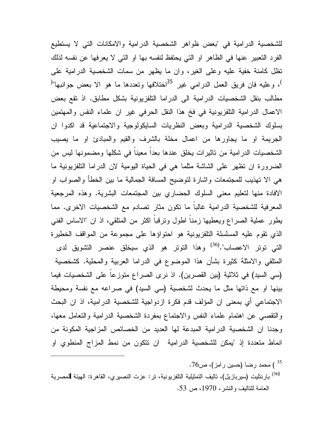للشخصية الدرامية في "بعض ظواهر الشخصية الدرامية والامكانات التي لا يستطيع الفرد التعبير عنها في الظاهر او التي يحتفظ لنفسه بها او التي لا يعرفها عن نفسه لذلك تظل كامنة خفية عليه وعلى الغير، وان ما يظهر من سمات الشخصية الدرامية على <sup>)</sup>، وعليه فان فريق العمل الدرامي غير <sup>35</sup>اختلافها وتعددها ما هو الا بعض جوانبها"<sup>(</sup> مطالب بنقل الشخصيات الدرامية الى الدراما التلفزيونية بشكل مطابق. اذ تقع بعض الاعمال الدرامية التلفزيونية في فخ هذا النقل الحرفي غير ان علماء النفس والمهتمين بسلوك الشخصية الدرامية وبعض النظريات السايكولوجية والاجتماعية قد اكدوا ان الجريمة او ما يجاورها من اعمال مخلة بالشرف والقيم والمبادئ او ما يصيب الشخصيات الدرامية من تاثيرات يخلق عندها بعداً معيناً في شكلها ومضمونها ليس من الضرورة ان تظهر على الشاشة مثلما هي في الحياة اليومية لان الدراما التلفزيونية ما هي الا تهذيب للمجتمعات واشارة لتوضيح المسافة الجمالية ما بين الخطأ والصواب او الافادة منها لتعليم معنى السلوك الحضاري بين المجتمعات البشرية. وهذه المرجعية المعرفية للشخصية الدرامية غالباً ما تكون مثار تصادم مع الشخصيات الاخرى. مما يطور عملية الصراع ويعطيها زمناً اطول وترقباً اكثر من المتلقي، اذ ان "الاساس الفني الذي تقوم عليه المسلسلة التلفزيونية هو احتواؤها على مجموعة من المواقف الخطيرة التي توتر الاعصاب".<sup>(36)</sup> وهذا التوتر هو الذي سيخلق عنصر التشويق لدى المتلقي والامثلة كثيرة بشأن هذا الموضوع في الدراما العربية والمحلية. كشخصية (سي السيد) في ثلاثية (بين القصرين). اذ نرى الصراع متوزعاً على الشخصيات فيما بينها او مع ذاتها مثل ما يحدث لشخصية (سي السيد) في صراعه مع نفسة ومحيطة الاجتماعي أي بمعنى ان المؤلف قدم فكرة ازدواجية للشخصية الدرامية، اذ ان البحث والتقصي عن اهتمام علماء النفس والاجتماع بمفردة الشخصية الدرامية والتعامل معها، وجدنا ان الشخصية الدرامية المبدعة لها العديد من الخصائص المزاجية المكونة من انماط متعددة إذ "يمكن للشخصية الدرامية ان تتكون من نمط المزاج المنطوي او

- ) محمد رضا (حسين رامز)، ص76.  $($   $^{\rm 35}$
- بارنتليت (سيربازيل)، تاليف التمثيلية التلفزيونية، تر: عزت النصيري، القاهرة: الهيئة لمصرية **(**36) العامة للتاليف والنشر، ،1970 ص .53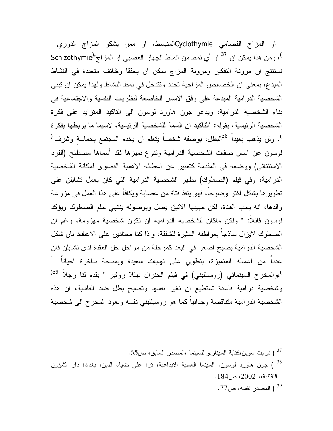او المزاج الفصامي Cyclothymieالمنبسط، او ممن يشكو المزاج الدوري )، ومن هذا يمكن ان <sup>37</sup> او أي نمط من انماط الجهاز العصبي او المزاج"<sup>(</sup>Schizothymie نستنتج ان مرونة التفكير ومرونة المزاج يمكن ان يحققا وظائف متعددة في النشاط المبدع، بمعنى ان الخصائص المزاجية تحدد وتتدخل في نمط النشاط ولهذا يمكن ان تبنى الشخصية الدرامية المبدعة على وفق الاسس الخاضعة لنظريات النفسية والاجتماعية في بناء الشخصية الدرامية، ويدعو جون هاورد لوسون الى التاكيد المتزايد على فكرة الشخصية الرئيسية، بقوله: "التاكيد ان السمة للشخصية الرئيسية، لاسيما ما يربطها بفكرة <sup>)</sup>. ولن يذهب بعيداً <sup>38</sup>البطل، بوصفه شخصـاً يتعلم ان يخدم المجتمع بحماسة وشرف"<sup>(</sup> لوسون عن اسس صفات الشخصية الدرامية وتنوع تميزها فقد أسماها مصطلح (الفرد الاستثنائي) ووضعه في المقدمة كتعبير عن اعطائه الاهمية القصوى لمكانة الشخصية الدرامية، وفي فيلم (الصعلوك) تظهر الشخصية الدرامية التي كان يعمل تشابلن على تطويرها بشكل اكثر وضوحاً، فهو ينقذ فتاة من عصابة ويكافأ على هذا العمل في مزرعة والدها، انه يحب الفتاة، لكن حبيبها الانيق يصل وبوصوله ينتهي حلم الصعلوك ويؤكد لوسون قائلاً: " ولكن ماكان للشخصية الدرامية ان تكون شخصية مهزومة، رغم ان الصعلوك لايزال ساذجاً بعواطفه المثيرة للشفقة، واذا كنا معتادين على الاعتقاد بان شكل الشخصية الدرامية يصبح اصغر في البعد كمرحلة من مراحل حل العقدة لدى تشابلن فان " عدداً من اعماله المتميزة، ينطوي على نهايات سعيدة وبمسحة ساخرة احياناً <sup>)</sup>،والمخرج السينمائي (روسيلليني) في فيلم الجنرال ديللا روفير " يقدم لنا رجلاً <sup>39(</sup> وشخصية درامية فاسدة تستطيع ان تغير نفسها وتصبح بطل ضد الفاشية، ان هذه الشخصية الدرامية متناقضة وجدانياً كما هو روسيلليني نفسه ويعود المخرج الى شخصية

) دوايت سوين،كتابة السيناريو للسينما ،المصدر السابق، ص65. ) جون هاورد لوسون. السينما العملية الابداعية، تر: علي ضياء الدين، بغداد: دار الشؤون 38 ) الثقافية،، ،2002 ص.184

المصدر نفسه، ص77 . $^{39}$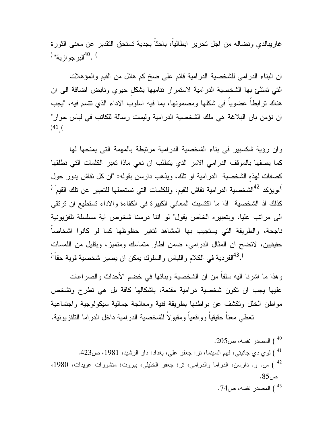غاريبالدي ونضاله من اجل تحرير ايطالياً، باحثاً بجدية تستحق التقدير عن معنى الثورة ) .<sup>40</sup>البرجو ازية" <sup>(</sup>

ان البناء الدرامي للشخصية الدرامية قائم على ضخ كم هائل من القيم والمؤهلات التي تمتلئ بها الشخصية الدرامية لاستمرار تناميها بشكلٍ حيوي ونابض اضافة الى ان هناك ترابطاً عضوياً في شكلها ومضمونها، بما فيه اسلوب الاداء الذي تتسم فيه، "يجب ان نؤمن بان البلاغة هي ملك الشخصية الدرامية وليست رسالة للكاتب في لباس حوار" )41 ( .

وان رؤية شكسبير في بناء الشخصية الدرامية مرتبطة بالمهمة التي يمنحها لها كما يصفها بالموقف الدرامي الامر الذي يتطلب ان نعي ماذا تعبر الكلمات التي نطلقها كصفات لهذهِ الشخصية الدرامية او تلك، ويذهب دارسن بقوله: "ان كل نقاش يدور حول ويؤكد <sup>42</sup>الشخصية الدرامية نقاش للقيم، وللكلمات التي نستعملها للتعبير عن تلك القيم <sup>(</sup> كذلك اذ الشخصية اذا ما اكتسبت المعاني الكبيرة في الكفاءة والاداء تستطيع ان ترتقي الى مراتب عليا، وبتعبيره الخاص يقول" لو اننا درسنا شخوص اية مسلسلة تلفزيونية ناجحة، والطريقة التي يستجيب بها المشاهد لتغير حظوظها كما لو كانوا اشخاصاً حقيقيين، لاتضح ان المثال الدرامي، ضمن اطار متماسك ومتميز، وبقليل من اللمسات  $^{\left( 0\right) }$ الفردية في الكلام واللباس والسلوك يمكن ان يصير شخصية قوية حقاً" $^{\left( 0\right) }$ 

وهذا ما اشرنا اليه سلفاً من ان الشخصية وبنائها في خضم الأحداث والصراعات عليها يجب ان تكون شخصية درامية مقنعة، باشكالها كافة بل هي تطرح وتشخص مواطن الخلل وتكشف عن بواطنها بطريقة فنية ومعالجة جمالية سيكولوجية واجتماعية تعطي معناً حقيقياً وواقعياً ومقبولاً للشخصية الدرامية داخل الدراما التلفزيونية.

المصدر نفسه، ص205.  $^{40}$  ) لوي دي جانيتي، فهم السينما، تر: جعفر علي، بغداد: دار الرشيد، ،1981 ص.423 <sup>41</sup> س. و. دارسن، الدراما والدرامي، تر: جعفر الخليلي، بيروت: منشورات عويدات، 1980،  $1980$ ص.85 المصدر نفسه، ص74  $\,$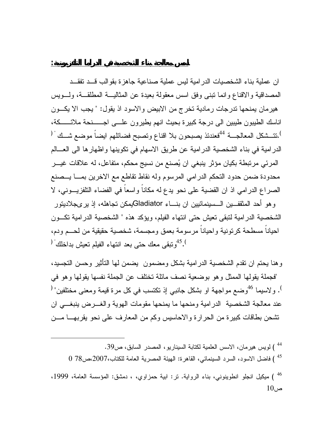ان عملية بناء الشخصيات الدرامية ليس عملية صناعية جاهزة بقوالب قـد تفقـد المصداقية والاقناع وانما تبنى وفق اسس معقولة بعيدة عن المثاليـة المطلقـة، ولـويس هيرمان يمنحها تدرجات رمادية تخرج من الابيض والاسود اذ يقول: " يجب الا يكـون اناسك الطيبون طيبين الى درجة كبيرة بحيث انهم يطيرون علـى اجــنحة ملائــكة، .تتــشكل المعالجـــة <sup>44</sup>فعندئذ يصبحون بلا اقناع وتصبح فضـائلهم ايضـاً موضـع شــك " ( الدرامية في بناء الشخصية الدرامية عن طريق الاسهام في تكوينها واظهارها الى العـالم المرئي مرتبطة بكيان مؤثر ينبغي ان يصنع من نسيج محكم، متفاعل، له علاقات غيـر محدودة ضمن حدود التحكم الدرامي المرسوم وله نقاط تقاطع مع الاخرين بمـا يـصنع الصراع الدرامي اذ ان القضية على نحو يدع له مكاناً واسعاً في الفضاء التلفزيـوني، لا وهو أحد المثقفـين الـسينمائيين ان بنـاء يمكن تجاهله، إذ يرىجلاديتور Gladiator الشخصية الدرامية لتبقى تعيش حتى انتهاء الفيلم، ويؤكد هذه " الشخصية الدرامية تكـون احياناً مسطحة كرتونية واحياناً مرسومة بعمق ومجسمة، شخصية حقيقية من لحـم ودم، . <sup>45</sup>وتبقى معك حتى بعد انتهاء الفيلم تعيش بداخلك  $^{45}$ 

وهنا يحتم ان تقدم الشخصية الدرامية بشكل ومضمون يضمن لها التأثير وحسن التجسيد، "فجملة يقولها الممثل وهو بوضعية نصف مائلة تختلف عن الجملة نفسها يقولها وهو في . ولاسيما <sup>46</sup>وضع مواجهة او بشكل جانبي إذ تكتسب في كل مرة قيمة ومعنى مختلفين" <sup>(</sup> عند معالجة الشخصية الدرامية ومنحها ما يمنحها مقومات الهوية والغـرض ينبغـي ان تشحن بطاقات كبيرة من الحرارة والاحاسيس وكم من المعارف على نحو يقربهـا مـن

 ) لويس هيرمان، الاسس العلمية لكتابة السيناريو، المصدر السابق، ص.39 <sup>44</sup> ) فاضل الاسود، السرد السينمائي، القاهرة: الهيئة المصرية العامة للكتاب،2007،ص78 0 <sup>45</sup> ) ميكيل انجلو انطوينوني، بناء الرواية. تر: ابية حمزاوي، ، دمشق: المؤسسة العامة، ،1999 <sup>46</sup> ص10

**اسس معالجة بناء الشخصية في الدراما التلفزيونية:**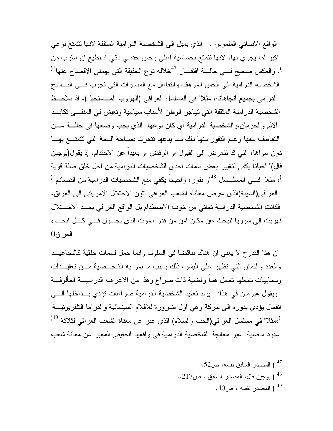الواقع الانساني الملموس . " الذي يميل الى الشخصية الدرامية المثقفة لانها تتمتع بوعي اكبر لما يجري لها، لانها تتمتع بحساسية اعلى وحس حدسي ذكي استطيع ان اسرب من <sup>)</sup>. والعكس صحيح فــي حالــــة افتقـــار <sup>47</sup>خلاله نوع الحقيقة التي يهمني الافصــاح عنها ً <sup>(</sup> الشخصية الدرامية الى الحس المرهف والتفاعل مع المسارات التي تجوب فـي النـسيج الدرامي بجميع اتجاهاته، مثلا" في المسلسل العراقي (الهروب المـستحيل)، اذ نلاحـظ الشخصية الدرامية المثقفة التي تهاجر الوطن لأسباب سياسية وتعيش في المنفـى تكابـد الالم والحرمان،والشخصية الدرامية أي كان نوعها الذي يجب وضعها في حالـة مـن التعاطف معها وعدم النفور منها ذلك مما يدعها تتحرك بمساحة السمة التي تتمتـع بهـا دون سواها، التي قد تتعرض الى القبول او الرفض او بعيداً عن الاحتدام. إذ يقول(يوجين فال)" احياناً يكفي لتغيير بعض سمات احدى الشخصيات الدرامية من اجل خلق صلة قوية <sup>)</sup>، مثلا" فـــي المسلــسل <sup>48</sup>او نفور، واحياناً يكفي منع الشخصيات الدرامية من التصادم<sup>" (</sup> العراقي(السيدة)الذي عرض معاناة الشعب العراقي اتون الاحتلال الامريكي الى العراق، فكانت الشخصية الدرامية تعاني من خوف الاصطدام بل الواقع العراقي بعـد الاحـتلال فهربت الى سوريا للبحث عن مكان امن من قدر الموت الذي يجـول فـي كـل انحـاء  $0<sub>i</sub>$ العراق

ان هذا التدرج لا يعني ان هناك تناقضاً في السلوك وانما حمل لسماتٍ خلقية كالتجاعيـد والغدد والنمش التي تظهر على البشر، ذلك بسبب ما تمر به الشخـصية مـن تعقيـدات ومجابهات تجعلها تحمل هماً وقضية ذات صراع وهذا من الاعراف الدراميـة المألوفـة ويقول هيرمان في هذا: " يولد تعقيد الشخصية الدرامية صراعات تؤدي بـداخلها الـى " انفعال يؤدي بدوره الى حركة وهي اول ضرورة للافلام السينمائية والدراما التلفزيونيـة <sup>)</sup>،مثلا" في مسلسل العراقي(الحب والسلام) الذي عبر عن معناة الشعب العراقي لثلاثة <sup>49(</sup> عقود ماضية عبر معالجة الشخصية الدرامية في واقعها الحقيقي المعبر عن معانة شعب

 ) المصدر السابق نفسه، ص.52 <sup>47</sup> ) يوجين فال، المصدر السابق ، ص217. . ) المصدر نفسه ، ص.40 <sup>49</sup>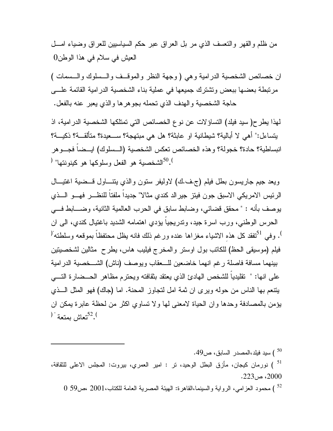من ظلم والقهر والتعسف الذي مر بل العراق عبر حكم السياسيين للعراق وضياء امـل العيش في سلام في هذا الوطن0

ان خصائص الشخصية الدرامية وهي ( وجهة النظر والموقـف والـسلوك والـسمات ) مرتبطة بعضها ببعض وتشترك جميعها في عملية بناء الشخصية الدرامية القائمة علـى حاجة الشخصية والهدف الذي تحمله بجوهرها والذي يعبر عنه بالفعل .

لهذا يطرح( سيد فيلد) التساؤلات عن نوع الخصائص التي تمتلكها الشخصية الدرامية، اذ يتساءل:" أهي لا أبالية؟ شيطانية او عابثة؟ هل هي مبتهجة؟ سـعيدة؟ متألقـة؟ ذكيـة؟ انبساطية؟ حادة؟ خجولة؟ وهذه الخصائص تعكس الشخصية (الـسلوك) ايـضاً فجـوهر الشخصية هو الفعل وسلوكها هو كينونتها"  $^{50}.$ 

ويعد جيم جاريسون بطل فيلم (ج.ف.ك) لاوليفر ستون والذي يتنـاول قـضية اغتيـال الرئيس الامريكي الاسبق جون فيتز جيرالد كندي مثالا" جديداً ملفتاً للنظـر فهـو الـذي يوصف بأنه : " محقق قضائي، وضابط سابق في الحرب العالمية الثانية، وضـابط فـي الحرس الوطني، ورب اسرة جيد، وتدريجياً يؤدي اهتمامه الشديد باغتيال كندي، الى ان <sup>)</sup>. وفي <sup>31</sup>تفقد كل هذه الاشياء مغزاها عنده ورغم ذلك فانه يظل محتفظاً بموقعه وسلطته" فيلم (موسيقى الحظ) للكاتب بول اوستر والمخرج فيليب هاس، يطرح مثالين لشخصيتين بينهما مسافة فاصلة رغم انهما خاضعين للـعقاب ويوصف (ناش) الشـخصية الدرامية على انها: " تقليدياً للشخص الهادئ الذي يعتقد بثقافته ويحترم مظاهر الحـضارة التـي يتنعم بها الناس من حوله ويرى ان ثمة امل لتجاوز المحنة. اما (جاك) فهو المثل الـذي يؤمن بالمصادفة وحدها وان الحياة لامعنى لها ولا تساوي اكثر من لحظة عابرة يمكن ان ). <sup>52</sup>تعاش بمتعة  $^{12}.$ 

، سيد فيلد،المصدر السابق، ص $9$ 49  $\left( \frac{50}{2} \right)$  ) نورمان كيجان، مأزق البطل الوحيد، تر : امير العمري، بيروت: المجلس الاعلى للثقافة، <sup>51</sup> ، ص $223$ .  $2000$ 

) محمود العزامي، الرواية والسينما،القاهرة: الهيئة المصرية العامة للكتاب2001، ،ص59 0 <sup>52</sup>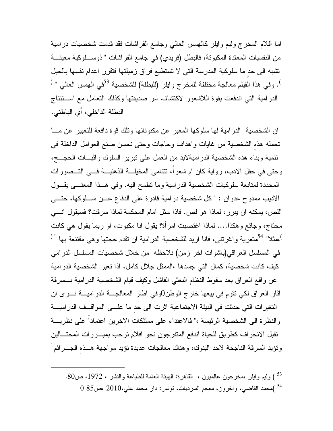اما افلام المخرج وليم وايلر كالهمس العالي وجامع الفراشات فقد قدمت شخصيات درامية من النفسيات المعقدة المكبوتة، فالبطل (فريدي) في جامع الفراشات " ذوسـلوكية معينـة تشبه الى حدٍ ما سلوكية المدرسة التي لا تستطيع فراق زميلتها فتقرر اعدام نفسها بالحبل <sup>)</sup>. وفي هذا الفيلم معالجة مختلفة للمخرج وايلر (للبطلة) للشخصية <sup>53</sup>في الهمس العالي " <sup>(</sup> الدرامية التي اندفعت بقوة اللاشعور لاكتشاف سر صديقتها وكذلك التعامل مع اسـتنتاج البطلة الداخلي، أي الباطني .

ان الشخصية الدرامية لها سلوكها المعبر عن مكنوناتها وتلك قوة دافعة للتعبير عن مـا تحمله هذهِ الشخصية من غايات واهداف وحاجات وحتى نحسن صنع العوامل الداخلة في تنمية وبناء هذهِ الشخصية الدراميةلابد من العمل على تبرير السلوك واثبـات الحجـج، وحتى في حقل الادب، رواية كان ام شعراً، تتنامى المخيلـة الذهنيـة فـي التـصورات المحددة لمتابعة سلوكيات الشخصية الدرامية وما تطمح اليه. وفي هـذا المعنـى يقـول الاديب ممدوح عدوان : " كل شخصية درامية قادرة على الدفاع عـن سـلوكها، حتـى اللص، يمكنه ان يبرر، لماذا هو لص. فاذا سئل امام المحكمة لماذا سرقت؟ فسيقول انـي محتاج، وجائع وهكذا.... لماذا اغتصبت امرأة؟ يقول انا مكبوت، او ربما يقول هي كانت ،مثلا" <sup>54</sup>متعرية واغرنتي، فانا اريد للشخصية الدرامية ان تقدم حجتها وهي مقتنعة بها " <sup>(</sup> في المسلسل العراقي(باشوات اخر زمن) نلاحظه من خلال شخصيات المسلسل الدرامي كيف كانت شخصية، كمال التي جسدها ،الممثل جلال كامل، اذا تعبر الشخصية الدرامية عن واقع العراق بعد سقوط النظام البعثي الفاشل وكيف قيام الشخصية الدرامية بـسرقة اثار العراق لكي تقوم في بيعها خارج الوطن0وفي اطار المعالجـة الدراميـة نـرى ان التغيرات التي حدثت في البيئة الاجتماعية اثرت الى حدٍ ما علـى المواقـف الدراميـة والنظرة الى الشخصية الرئيسة ،" فالاعتداء على ممتلكات الاخرين اعتماداً على نظريـة تقبل الانحراف كطريق للحياة اندفع المتفرجون نحو افلام ترحب بمبـررات المحتـالين " وتؤيد السرقة الناجحة لاحد البنوك، وهناك معالجات عديدة تؤيد مواجهة هـذهِ الجـرائم

 ) وليم وايلر ،مخرجون عالميون ، القاهرة: الهيئة العامة للطباعة والنشر ، ،1972 ص.80 <sup>53</sup> )محمد القاضي، واخرون، معجم السرديات، تونس: دار محمد علي2010، ،ص85 0 <sup>54</sup>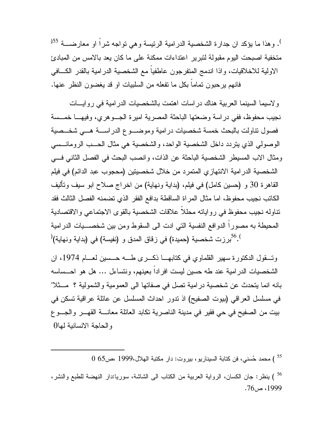<sup>)</sup>. وهذا ما يؤكد ان جدارة الشخصية الدرامية الرئيسة وهي تواجه شراً او معارضـــة <sup>55(</sup> متخفية اصبحت اليوم مقبولة لتبرير اعتداءات ممكنة على ما كان يعد بالامس من المبادئ الاولية للاخلاقيات، واذا اندمج المتفرجون عاطفياً مع الشخصية الدرامية بالقدر الكـافي فانهم يرحبون تماماً بكل ما تفعله من السلبيات او قد يغضون النظر عنها .

ولاسيما السينما العربية هناك دراسات اهتمت بالشخصيات الدرامية في روايـات نجيب محفوظ، ففي دراسة وضعتها الباحثة المصرية اميرة الجـوهري، وفيهـا خمـسة فصول تناولت بالبحث خمسة شخصيات درامية وموضـوع الدراسـة هـي شخـصية الوصولي الذي يتردد داخل الشخصية الواحد، والشخصية هي مثال الحـب الرومانـسي ومثال الاب المسيطر الشخصية الباحثة عن الذات، وانصب البحث في الفصل الثاني فـي الشخصية الدرامية الانتهازي المتمرد من خلال شخصيتين (محجوب عبد الدائم) في فيلم القاهرة 30 و (حسين كامل) في فيلم، (بداية ونهاية) من اخراج صلاح ابو سيف وتأليف الكاتب نجيب محفوظ، اما مثال المراة الساقطة بدافع الفقر الذي تضمنه الفصل الثالث فقد تناوله نجيب محفوظ في رواياته محللاً علاقات الشخصية بالقوى الاجتماعي والاقتصادية المحيطة به مصوراً الدوافع النفسية التي ادت الى السقوط ومن بين شخصـيات الدرامية  $^{10.6}$ برزت شخصية (حميدة) في زقاق المدق و (نفيسة) في (بداية ونهاية). $^{10.6}$ 

وتـقول الدكتورة سهير القلماوي في كتابهـا ذكـرى طـه حـسين لعـام ،1974 ان الشخصيات الدرامية عند طه حسين ليست افراداً بعينهم، ونتساءل ... هل هو احـساسه بانه انما يتحدث عن شخصية درامية تصل في صفاتها الى العمومية والشمولية ؟ مـثلا" في مسلسل العراقي (بيوت الصفيح) اذ تدور احداث المسلسل عن عائلة عراقية تسكن في بيت من الصفيح في حي فقير في مدينة الناصرية تكابد العائلة معانـة القهـر والجـوع والحاجة الانسانية لها0

) محمد حسني، فن كتابة السيناريو، بيروت: دار مكتبة الهلال1999، ،ص65 0 <sup>55</sup>

<sup>56</sup> ) ينظر: جان الكسان، الرواية العربية من الكتاب الى الشاشة، سوريا:دار النهضة للطبع والنشر، ، $76$ ، ص.76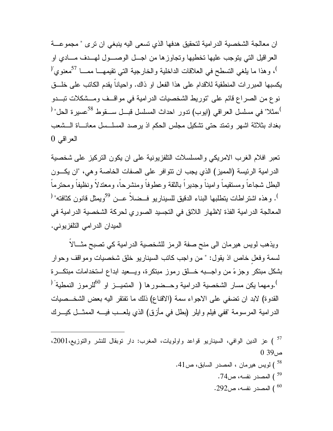ان معالجة الشخصية الدرامية لتحقيق هدفها الذي تسعى اليه ينبغي ان ترى " مجموعـة العراقيل التي يتوجب عليها تخطيها وتجاوزها من اجـل الوصـول لهـدف مـادي او <sup>)</sup>، وهذا ما يلغي التسطح في العلاقات الداخلية والخارجية التي تقيمهـــا ممـــا <sup>57</sup>معنوي ّ<sup>(</sup> يكسبها المبررات المنطقية للاقدام على هذا الفعل او ذاك. واحياناً يقدم الكاتب على خلـق نوع من الصراع قائم على "توريط الشخصيات الدرامية في مواقـف ومـشكلات تبـدو <sup>)</sup>،مثلا" في مسلسل العراقي (ايوب) تدور احداث المسلسل قبـــل ســـقوط <sup>58</sup>عسيرة الحل" <sup>(</sup> بغداد بثلاثة اشهر وتمتد حتى تشكيل مجلس الحكم اذ يرصد المسلـسل معانـاة الـشعب العراقي 0

تعبر افلام الغرب الامريكي والمسلسلات التلفزيونية على ان يكون التركيز على شخصية الدرامية الرئيسة (المميز) الذي يجب ان تتوافر على الصفات الخاصة وهي، "ان يكـون البطل شجاعاً ومستقيماً واميناً وجديراً بالثقة وعطوفاً ومنشرحاً، ومعتدلاً ونظيفاً ومحترماً <sup>)</sup>. وهذه اشتراطات يتطلبها البناء الدقيق للسيناريو فــضلاً عــن <sup>59</sup>ويمثل قانون كثافته" <sup>(</sup> المعالجة الدرامية الفذة لاظهار اللائق في التجسيد الصوري لحركة الشخصية الدرامية في الميدان الدرامي التلفزيوني .

ويذهب لويس هيرمان الى منح صفة الرمز للشخصية الدرامية كي تصبح مثـالاً لسمة وفعلٍ خاص اذ يقول: " من واجب كاتب السيناريو خلق شخصيات ومواقف وحوار بشكل مبتكر وجزء من واجـبه خـلق رموز مبتكرة، ويـعيد ابداع استخدامات مبتكـرة <sup>)</sup>.ومهما يكن مسار الشخصية الدرامية وحـضورها ( المتميــز او <sup>60</sup>للرموز النمطية<sup>" (</sup> القدوة) لابد ان تضفي على الاجواء سمة (الاقناع) ذلك ما تفتقر اليه بعض الشخـصيات الدرامية المرسومة "ففي فيلم وايلر (بطل في مأزق) الذي يلعـب فيـه الممثـل كيـرك

 ) عز الدين الوافي، السيناريو قواعد واولويات، المغرب: دار توبقال للنشر والتوزيع،2001، <sup>57</sup> ص39 0 ) لويس هيرمان ، المصدر السابق، ص.41 <sup>58</sup> المصدر نفسه، ص74  $^{59}$ المصدر نفسه، ص292.  $^{\prime\prime}$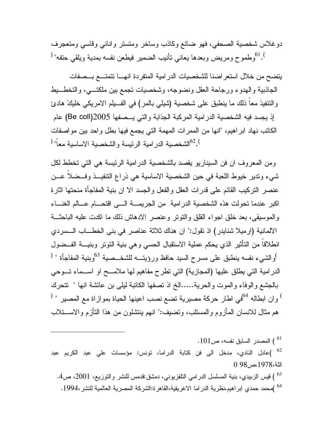دوغلاس شخصية الصحفي، فهو ضائع وكاذب وساخر ومتستر واناني وقاسي ومتعجرف وطموح ومريض وبعدها يعاني تأنيب الضمير فيطعن نفسه بمدية ويلقي حتفه" ("

يتضح من خلال استعراضنا للشخصيات الدرامية المتفردة انهـا تتمتـع بـصفات الجاذبية والهدوء ورجاحة العقل ونضوجه، وشخصيات تجمع بين ملكتـي، والتخطـيط والتنفيذ معاً ذلك ما ينطبق على شخصية (شيلي بالمر) في الفـيلم الامريكي خليك هادئ إذ يجسد فيه الشخصية الدرامية المركبة الجذابة والتي يـصفها (coll Be (عام 2005 الكاتب نهاد ابراهيم، "انها من الممرات المهمة التي يجمع فيها بطل واحد بين مواصفات . <sup>62</sup>الشخصية الدر امية الرئيسة و الشخصية الاساسية معاً" <sup>(</sup>

ومن المعروف ان فن السيناريو يقصد بالشخصية الدرامية الرئيسة هي التي تخطط لكل شيء وتدير خيوط اللعبة في حين الشخصية الاساسية هي ذراع التنفيـذ وفـضلاً عـن عنصر التركيب القائم على قدرات العقل والفعل والجسد الا ان بنية المفاجأة منحتها اثارة اكبر عندما تحولت هذه الشخصية الدرامية من الجريمـة الـى اقتحـام عـالم الغنـاء والموسيقى، بعد خلق اجواء القلق والتوتر وعنصر الادهاش ذلك ما اكدت عليه الباحثـة الالمانية (ارميلا شنايدر) اذ تقول:" ان هناك ثلاثة عناصر في بنى الخطـاب الـسردي انطلاقاً من التأثير الذي يحكم عملية الاستقبال الحسي وهي بنية التوتر وبنيـة الفـضول <sup>)</sup>والشيء نفسه ينطبق على مسرح السيد حافظ ورؤيتـــه للشخــصية <sup>63</sup>وبنية المفاجأة " <sup>(</sup> الدرامية التي يطلق عليها (المجازية) التي تطرح مفاهيم لها ملامـح او اسـماء تـوحي بالجشع والوفاء والموت والحرية.....الخ اذ تصفها الكاتبة ليلى بن عائشة انها " تتحرك وان ابطاله <sup>64</sup>في اطار حركة مصيرية تضع نصب اعينها الحياة بموازاة مع المصير " <sup>(</sup> هم مثال للانسان المأزوم والمستلب، وتضيف:" انهم ينتشلون من هذا التأزم والاسـتلاب

 $\cdot 101$  المصدر السابق نفسه، ص $^{61}$  )عادل النادي، مدخل الى فن كتابة الدراما، تونس: مؤسسات علي عبد الكريم عبد <sup>62</sup> اللة،1978،ص98 0 ) قيس الزبيدي، بنية المسلسل الدرامي التلفزيوني، دمشق:قدمس للنشر والتوزيع، 2001، ص4. )محمد حمدي ابراهيم،نظرية الدراما الاغريقية،القاهرة:الشركة المصرية العالمية للنشر.1994، <sup>64</sup>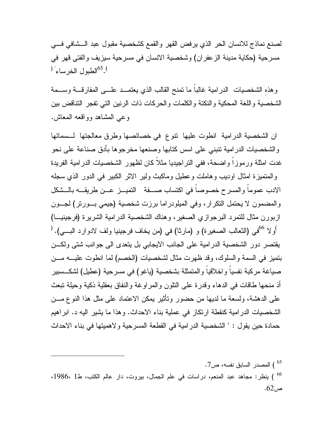لصنع نماذج للانسان الحر الذي يرفض القهر والقمع كشخصية مقبول عبد الـشافي فـي مسرحية (حكاية مدينة الزعفران) وشخصية الانسان في مسرحية سيزيف والفتى قهر في  $^{165}$ الطبول الخرساء $^{65}$ .

وهذهِ الشخصيات الدرامية غالباً ما تمنح القالب الذي يعتمـد علـى المفارقـة وسـمة الشخصية واللغة المحكية والنكتة والكلمات والحركات ذات الرنين التي تفجر التناقض بين وعي المشاهد وواقعه المعاش .

ان الشخصية الدرامية انطوت عليها تنوع في خصائصها وطرق معالجتها لـسماتها والشخصيات الدرامية تنبني على اسس كتابها وصنعها مخرجوها بأدق صناعة على نحو غدت امثلة ورموزاً واضحة، ففي التراجيديا مثلاً كان لظهور الشخصيات الدرامية الفريدة والمتميزة امثال اوديب وهاملت وعطيل وماكبث ولير الاثر الكبير في الدور الذي سجله الادب عموماً والمسرح خصوصاً في اكتساب صـفة التميـز عـن طريقـه بالـشكل والمضمون لا يحتمل التكرار، وفي الميلودراما برزت شخصية (جيمي بـورتر) لجـون ازبورن مثال للتمرد البرجوازي الصغير، وهناك الشخصية الدرامية الشريرة (فرجينيـا) ولا ) 66 ( في (الثعالب الصغيرة) و (مارثا) في (من يخاف فرجينيا ولف لادوارد البـي). يقتصر دور الشخصية الدرامية على الجانب الايجابي بل يتعدى الى جوانب شتى ولكـن بتميز في السمة والسلوك، وقد ظهرت مثال لشخصيات (الخصم) لما انطوت عليـه مـن صياغة مركبة نفسياً واخلاقياً والمتمثلة بشخصية (ياغو) في مسرحية (عطيل) لشكـسبير أذ منحها طاقات في الدهاء وقدرة على التلون والمراوغة والنفاق بعقلية ذكية وحيلة تبعث على الدهشة، ولسعة ما لديها من حضور وتأثير يمكن الاعتماد على مثل هذا النوع مـن الشخصيات الدرامية كنقطة ارتكاز في عملية بناء الاحداث. وهذا ما يشير اليه د. ابراهيم حمادة حين يقول : " الشخصية الدرامية في القطعة المسرحية ولاهميتها في بناء الاحداث

) المصدر السابق نفسه، ص7. ) ينظر: مجاهد عبد المنعم، دراسات في علم الجمال، بيروت، دار عالم الكتب، ط1 ،1986، <sup>66</sup>  $.62<sub>0</sub>$ ص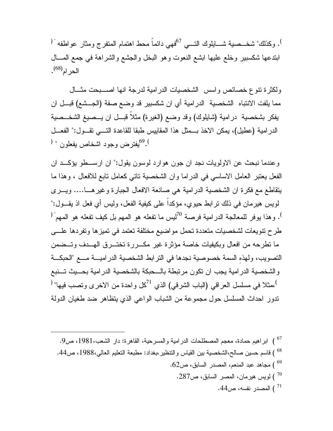. وكذلك" شخــصية شـــايلوك التــــي <sup>67</sup>فهي دائماً محط اهتمام المتفرج ومثار عواطفه " ( ابتدعها شكسبير وخلع عليها ابشع النعوت وهو البخل والجشع والشراهة في جمع المـال الحرام<sup>(68)</sup>.

ولكثرة تنوع خصائص واسس الشخصيات الدرامية لدرجة انها اصـبحت مثـال مما يلفت الانتباه الشخصية الدرامية أي ان شكسبير قد وضع صفة (الجـشع) قبـل ان يفكر بشخصية درامية (شايلوك) وقد وضع (الغيرة) مثلاً قبـل ان يـصيغ الشخـصية الدرامية (عطيل)، يمكن الاخذ بـمثل هذا المقاييس طبقا للقاعدة التـي تقـول:" الفعـل قيفتر ض وجود اشخاص يفعلون " <sup>(</sup> )

وعندما نبحث عن الاولويات نجد ان جون هوارد لوسون يقول:" ان ارسـطو يؤكـد ان الفعل يعتبر العامل الاساسي في الدراما وان الشخصية تاتي كعامل تابع للافعال ، وهذا ما يتقاطع مع فكرة ان الشخصية الدرامية هي صانعة الافعال الجبارة وغيرهـا.... ويـرى لويس هيرمان في ذلك ترابط حيوي، مؤكداً على كيفية الفعل، وليس أي فعل اذ يقـول:" . وهذا يوفر للمعالجة الدرامية فرصة <sup>70</sup>ليس ما تفعله هو المهم بل كيف تفعله هو المهم<sup>" (</sup> طرح تنويعات لشخصيات متعددة تحمل مواضيع مختلفة تعتمد في تميزها وتفردها علـى ما تطرحه من افعال وبكيفيات خاصة مؤثرة غير مكـررة تختـرق الهـدف وتـضمن التصويب، ولهذهِ السمة خصوصية نجدها في الترابط الشخصية الدراميـة مـع "الحبكـة والشخصية الدرامية يجب ان تكون مرتبطة بالـحبكة بالشخصية الدرامية بحـيث تـنبع ،مثلا في مسلسل العراقي (الباب الشرقي) الذي <sup>71</sup>كل واحدة من الاخرى وتصب فيها" <sup>(</sup> تدور احداث المسلسل حول مجموعة من الشباب الواعي الذي يتظاهر ضد طغيان الدولة

 ) ابراهيم حمادة، معجم المصطلحات الدرامية والمسرحية، القاهرة: دار الشعب،1981، ص.9 <sup>67</sup> ) قاسم حسين صالح،الشخصية بين القياس والتنظير،بغداد: مطبعة التعليم العالي،1988، ص.44 <sup>68</sup> ) مجاهد عبد المنعم، المصدر السابق، ص.62 <sup>69</sup> ) لويس هيرمان، المصر السابق، ص.287 <sup>70</sup> ) المصدر نفسه، ص.44 <sup>71</sup>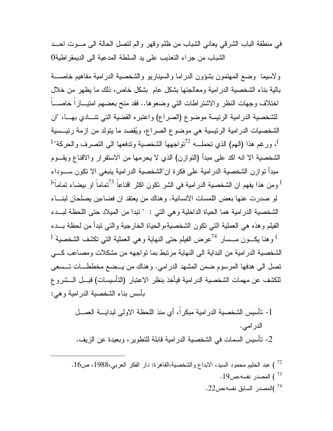في منطقة الباب الشرقي يعاني الشباب من ظلم وقهر والم لتصل الحالة الى مـوت احـد الشباب من جراء التعذيب على يد السلطة المدعية الى الديمقراطية 0

ولاسيما وضع المهتمون بشؤون الدراما والسيناريو والشخصية الدرامية مفاهيم خاصـة بالية بناء الشخصية الدرامية ومعالجتها بشكل عام بشكل خاص، ذلك ما يظهر من خلال اختلاف وجهات النظر والاشتراطات التي وضعوها.. فقد منح بعضهم امتيـازاً خاصـاً للشخصية الدرامية الرئيسة موضوع (الصراع) واعتبره القضية التي تنـادي بهـا، "ان الشخصيات الدرامية الرئيسية هي موضوع الصراع، ويقصد ما يتولد من ازمة رئيـسية ، ورغم هذا (الهم) الذي تحملـــه <sup>72</sup>تواجهها الشخصية وتدفعها الى التصرف والحركة" <sup>(</sup> الشخصية الا انه اكد على مبدأ (التوازن) الذي لا يحرمها من الاستقرار والاقناع ويقـوم مبدأ توازن الشخصية الدرامية على فكرة ان"الشخصية الدرامية ينبغي الا تكون سـوداء <sup>)</sup> ومن هذا يفهم ان الشخصية الدرامية في الشر تكون اكثر اقناعاً <sup>73</sup>تماماً او بيضاء تماماً"<sup>(</sup> لو صدرت عنها بعض اللمسات الانسانية. وهناك من يعتقد ان فضاءين يصلحان لبنـاء الشخصية الدرامية هما الحياة الداخلية وهي التي : " تبدا من الميلاد حتى اللحظة لبـدء الفيلم وهذه هي العملية التي تكون الشخصية،والحياة الخارجية والتي تبدأ من لحظة بـدء وهنا يكــون مــسار ال $^{-24}$ عرض الفيلم حتى النهاية وهي العملية التي تكشف الشخصية  $^\prime$ الشخصية الدرامية من البداية الى النهاية مرتبط بما تواجهه من مشكلات ومصاعب كـي تصل الى هدفها المرسوم ضمن المشهد الدرامي. وهناك من يـضع مخططـات تـسعى للكشف عن مهمات الشخصية الدرامية فيأخذ بنظر الاعتبار (التأسيسات) قبـل الـشروع بأسس بناء الشخصية الدرامية وهي :

-1 تأسيس الشخصية الدرامية مبكراً، أي منذ اللحظة الاولى لبدايـة العمـل الدرامي. -2 تأسيس السمات في الشخصية الدرامية قابلة للتطوير، وبعيدة عن الزيف.

 ) عبد الحليم محمود السيد، الابداع والشخصية،القاهرة: دار الفكر العربي،1988، ص.16 <sup>72</sup> ) المصدر نفسه،ص.19 <sup>73</sup> )المصدر السابق نفسه،ص.22 <sup>74</sup>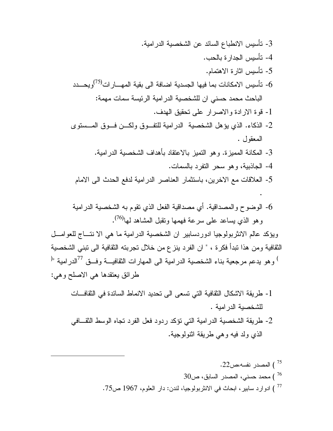-3 تأسيس الانطباع السائد عن الشخصية الدرامية. -4 تأسيس الجدارة بالحب. -5 تأسيس اثارة الاهتمام. - تأسيس الامكانات بما فيها الجسدية اضافة الى بقية المهـــار $^{(75)}$ ويحـــدد $6$ الباحث محمد حسني ان للشخصية الدرامية الرئيسة سمات مهمة: -1 قوة الارادة والاصرار على تحقيق الهدف. -2 الذكاء. الذي يؤهل الشخصية الدرامية للتفـوق ولكـن فـوق المـستوى المعقول . -3 المكانة المميزة. وهو التميز بالاعتقاد بأهداف الشخصية الدرامية. -4 الجاذبية، وهو سحر التفرد بالسمات. -5 العلاقات مع الاخرين، باستثمار العناصر الدرامية لدفع الحدث الى الامام . -6 الوضوح والمصداقية. أي مصداقية الفعل الذي تقوم به الشخصية الدرامية . (76) وهو الذي يساعد على سرعة فهمها وتقبل المشاهد لها

ويؤكد عالم الانثربولوجيا ادوردسابير ان الشخصية الدرامية ما هي الا نتـاج للعوامـل الثقافية ومن هذا تبدأ فكرة ، " ان الفرد ينزع من خلال تجربته الثقافية الى تبني الشخصية وهو يدعم مرجعية بناء الشخصية الدرامية الى المهارات الثقافيـــة وفــق <sup>77</sup>الدرامية "<sup>(</sup> ) وهو يدعم مرجعية بن طرائق يعتقدها هي الاصلح وهي :

-1 طريقة الاشكال الثقافية التي تسعى الى تحديد الانماط السائدة في الثقافـات للشخصية الدرامية . -2 طريقة الشخصية الدرامية التي تؤكد ردود فعل الفرد تجاه الوسط الثقـافي الذي ولد فيه وهي طريقة اثنولوجية.

 ) المصدر نفسه،ص.22 <sup>75</sup> ) محمد حسني، المصدر السابق، ص30 <sup>76</sup> ) ادوارد سابير، ابحاث في الانثربولوجيا، لندن: دار العلوم، 1967 ص.75 <sup>77</sup>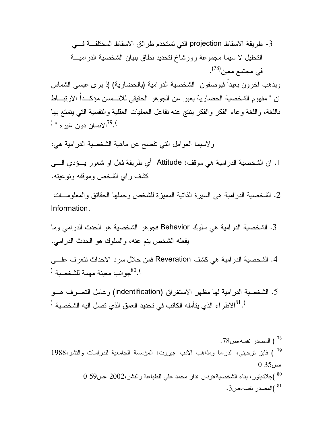-3 طريقة الاسقاط projection التي تستخدم طرائق الاسقاط المختلفـة فـي التحليل لا سيما مجموعة رورشاخ لتحديد نطاق بنيان الشخصية الدراميـة . (78) في مجتمع معين

ويذهب آخرون بعيداً فيوصفون الشخصية الدرامية (بالحضارية) إذ يرى عيسى الشماس ان " مفهوم الشخصية الحضارية يعبر عن الجوهر الحقيقي للانـسان مؤكـداً الارتبـاط باللغة، واللغة وعاء الفكر والفكر ينتج عنه تفاعل العمليات العقلية والنفسية التي يتمتع بها . الانسان دون غيره " <sup>(</sup>)

ولاسيما العوامل التي تفصح عن ماهية الشخصية الدرامية هي :

.1 ان الشخصية الدرامية هي موقف: Attitude أي طريقة فعل او شعور يـؤدي الـى كشف راي الشخص وموقفه ونوعيته .

.2 الشخصية الدرامية هي السيرة الذاتية المميزة للشخص وحملها الحقائق والمعلومـات Information.

.3 الشخصية الدرامية هي سلوك Behavior فجوهر الشخصية هو الحدث الدرامي وما يفعله الشخص ينم عنه، والسلوك هو الحدث الدرامي .

.4 الشخصية الدرامية هي كشف Reveration فمن خلال سرد الاحداث نتعرف علـى وانب معينة مهمة للشخصية  $^{80.0}$ 

.5 الشخصية الدرامية لها مظهر الاستغراق (indentification (وعامل التعـرف هـو . الاطراء الذي يتأمله الكاتب في تحديد العمق الذي تصل اليه الشخصية  $^{81}.$ 

المصدر نفسه،ص $78$  .  $^{78}$  ) فايز ترحيني، الدراما ومذاهب الادب ،بيروت: المؤسسة الجامعية للدراسات والنشر1988، <sup>79</sup>  $0.35$ ،ص )جلاديتور، بناء الشخصية،تونس :دار محمد علي للطباعة والنشر2002، ،ص59 0 <sup>80</sup> المصدر نفسه،ص3  $^{81}$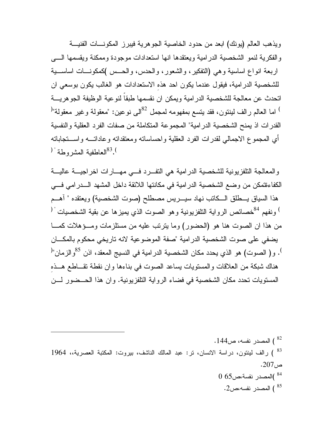ويذهب العالم (يونك) ابعد من حدود الخاصية الجوهرية فيبرز المكونـات الفنيـة والفكرية لنمو الشخصية الدرامية ويعتقدها انها استعدادات موجودة وممكنة ويقسمها الـى اربعة انواع اساسية وهي (التفكير، والشعور، والحدس، والحـس )كمكونـات اساسـية للشخصية الدرامية، فيقول عندما يكون احد هذهِ الاستعدادات هو الغالب يكون بوسعي ان اتحدث عن معالجة للشخصية الدرامية ويمكن ان نقسمها طبقاً لنوعية الوظيفة الجوهريـة اما العالم رالف لينتون، فقد يتسع بمفهومه لمجمل  $^{82}$ للي نوعين: "معقولة وغير معقولة"  $^\circ$ القدرات اذ يمنح الشخصية الدرامية" المجموعة المتكاملة من صفات الفرد العقلية والنفسية أي المجموع الاجمالي لقدرات الفرد العقلية واحساساته ومعتقداته وعاداتـه واسـتجاباته  $^{183}$ العاطفية المشروطة"

والمعالجة التلفزيونية للشخصية الدرامية هي التفـرد فـي مهـارات اخراجيـة عاليـة الكفاءةتمكن من وضع الشخصية الدرامية في مكانتها اللائقة داخل المشهد الـدرامي فـي هذا السياق يـطلق الـكاتب نهاد سيـريس مصطلح (صوت الشخصية) ويعتقده " آهـم <sup>)</sup> ونفهم <sup>84</sup>خصائص الرواية التلفزيونية وهو الصوت الذي يميزها عن بقية الشخصيات <sup>' (</sup> من هذا ان الصوت هنا هو (الحضور) وما يترتب عليه من مستلزمات ومـؤهلات كمـا يضفي على صوت الشخصية الدرامية "صفة الموضوعية لانه تاريخي محكوم بالمكـان <sup>)</sup>. و( الصوت) هو الذي يحدد مكان الشخصية الدرامية في النسيج المعقد، اذن <sup>85</sup>والزمان"<sup>(</sup> هناك شبكة من العلاقات والمستويات يساعد الصوت في بناءها وان نقطة تقـاطع هـذهِ المستويات تحدد مكان الشخصية في فضاء الرواية التلفزيونية. وان هذا الحـضور لـن

) المصدر نفسه، ص144 . ) رالف لينتون، دراسة الانسان، تر: عبد المالك الناشف، بيروت: المكتبة العصرية،، 1964 <sup>83</sup> ص.207 )المصدر نفسة،ص65 0 <sup>84</sup> المصدر نفسه،ص $2$ .  $^{\rm 85}$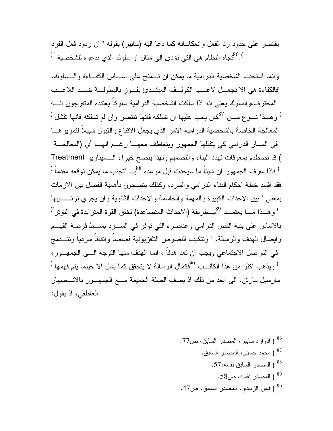يقتصر على حدود رد الفعل وانعكاساته كما دعا اليه (سابير) بقوله " ان ردود فعل الفرد <sup>86</sup>. "تجاه النظام هي التي تؤدي الى مثال او سلوك الذي ندعوه للشخصية " (

وانما استحقت الشخصية الدرامية ما يمكن ان تـمنح على اسـاس الكفـاءة والـسلوك، "فالكفاءة هي الا تجعـل لاعـب الكولـف المبتـدئ يفـوز بالبطولـة ضـد اللاعـب المحترف،والسلوك يعني انه اذا سلكت الشخصية الدرامية سلوكاً يعتقده المتفرجون انـه  $^{\circ}$ وهـذا نـــوع مـــن  $^{87}$ كان يجب عليها ان تسلكه فانها تنتصر وان لم تسلكه فانها تفشل"  $^{\circ}$ المعالجة الخاصة بالشخصية الدرامية الامر الذي يجعل الاقناع والقبول سبيلاً لتمريرهـا في المسار الدرامي كي يتقبلها الجمهور ويتعاطف معهـا رغـم انهـا أي (المعالجـة قد تصطدم بمعوقات تهدد البناء والتصميم ولهذا ينصح خبراء الـسيناريو ) Treatment <sup>)</sup> فاذا عرف الجمهور ِ ان شيئاً ما سيحدث قبل مو عده <sup>88</sup>بـــ "تجنب ما يمكن توقعه مقدماً"<sup>(</sup> فقد افسد خطة احكام البناء الدرامي والسرد، وكذلك ينصحون بأهمية الفصل بين الازمات بمعنى " بين الاحداث الكبيرة والمهمة والحاسمة والاحداث الثانوية وان يجري ترتــيبها <sup>)</sup> وهــذا مـــا يعتمــد <sup>89</sup>بـــطريقة (الاحداث المتصـاعدة) لخلق القوة المتزايدة في التوتر <sup>"(</sup> بالاساس على بنية النص الدرامي وعناصره التي توفر في السـرد بسـط فرصة الفهـم وايصال الهدف والرسالة، " وتتكيف النصوص التلفزيونية قصصاً واتفاقاً سردياً وتنـدمج في التواصل الاجتماعي ويجب ان تعد هدفاً ، انما الهدف منها التوجه الـى الجمهـور، ) ويذهب اكثر من هذا الكاتــب <sup>90</sup>فكمال الرسالة لا يتحقق كما يقال الا حينما يتم فهمها"<sup>(</sup> مارسيل مارتن، الى ابعد من ذلك اذ يصف الصلة الحميمة مـع الجمهـور بالانـصهار العاطفي، اذ يقول :

 ) ادوارد سابير، المصدر السابق، ص.77 <sup>86</sup> ) محمد حسني، المصدر السابق. <sup>87</sup> ) المصدر السابق نفسه.57، <sup>88</sup> ) المصدر نفسه، ص.58 <sup>89</sup> ) قيس الزبيدي، المصدر السابق، ص.47 <sup>90</sup>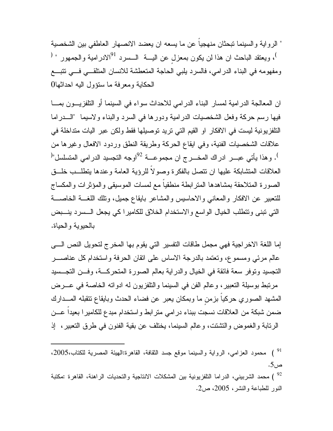" الرواية والسينما تبحثان منهجياً عن ما يسعه ان يعضد الانصهار العاطفي بين الشخصية <sup>)</sup>، ويعتقد الباحث ان هذا لن يكون بمعزل عن اليــــة الـــسرد <sup>91</sup>الادرامية والجمهور " <sup>(</sup> ومفهومه في البناء الدرامي، فالسرد يلبي الحاجة المتعطشة للانسان المتلقـي فـي تتبـع الحكاية ومعرفة ما ستؤول اليه احداثها 0

ان المعالجة الدرامية لمسار البناء الدرامي للاحداث سواء في السينما أو التلفزيـون بمـا فيها رسم حركة وفعل الشخصيات الدرامية ودورها في السرد والبناء ولاسيما "الـدراما التلفزيونية ليست في الافكار او القيم التي تريد توصيلها فقط ولكن عبر اليات متداخلة في علاقات الشخصيات الفنية، وفي ايقاع الحركة وطريقة النطق وردود الافعال وغيرها من <sup>)</sup>. وهذا يأتي عبــر ادراك المخـــرج ان مجموعـــة <sup>92</sup>اوجه التجسيد الدرامي المتسلسل"<sup>(</sup> العلاقات المتشابكة عليها ان تتصل بالفكرة وصولاً للرؤية العامة وعندها يتطلـب خلـق الصورة المتلاحقة بمشاهدها المترابطة منطقياً مع لمسات الموسيقى والمؤثرات والمكساج للتعبير عن الافكار والمعاني والاحاسيس والمشاعر بايقاع جميل، وتلك اللغـة الخاصـة التي تبنى وتتطلب الخيال الواسع والاستخدام الخلاق للكاميرا كي يجعل الـسرد ينـبض بالحيوية والحياة .

إما اللغة الاخراجية فهي مجمل طاقات التفسير التي يقوم بها المخرج لتحويل النص الـى عالم مرئي ومسموع، وتعتمد بالدرجة الاساس على اتقان الحرفة واستخدام كل عناصـر التجسيد وتوفر سعة فائقة في الخيال والدراية بعالم الصورة المتحركـة، وفـن التجـسيد مرتبط بوسيلة التعبير، وعالم الفن في السينما والتلفزيون له ادواته الخاصة في عـرض المشهد الصوري حركياً بزمنٍ ما وبمكان يعبر عن فضاء الحدث وبايقاع تتقبله المـدارك ضمن شبكة من العلاقات نسجت ببناء درامي مترابط واستخدام مبدع للكاميرا بعيداً عـن الرتابة والغموض والتشتت، وعالم السينما، يختلف عن بقية الفنون في طرق التعبير، إذ

 ) محمود العزامي، الرواية والسينما موقع جسد الثقافة، القاهرة:الهيئة المصرية للكتاب،2005، <sup>91</sup> ص.5 ) محمد الشربيني، الدراما التلفزيونية بين المشكلات الانتاجية والتحديات الراهنة، القاهرة :مكتبة النور للطباعة والنشر، ،2005 ص.2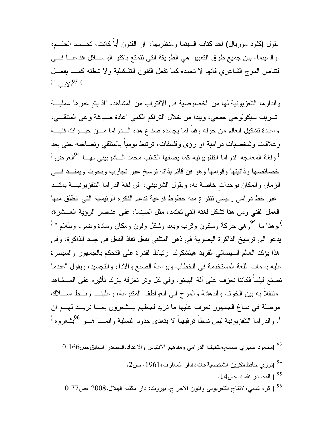يقول (كلود موريال) احد كتاب السينما ومنظريها:" ان الفنون أياً كانت، تجـسد الحلـم، والسينما، بين جميع طرق التعبير هي الطريقة التي تتمتع باكثر الوسـائل اقناعـاً فـي اقتناص الموج الشاعري فانها لا تجمده كما تفعل الفنون التشكيلية ولا تبطنه كمـا يفعـل )  $^{93}$   $^{93}$ .

والدارما التلفزيونية لها من الخصوصية في الاقتراب من المشاهد، "اذ يتم عبرها عمليـة تسريب سيكولوجي جمعي، ويبدا من خلال التراكم الكمي اعادة صياغة وعي المتلقـي، واعادة تشكيل العالم من حوله وفقاً لما يجسده صناع هذهِ الـدراما مـن حيـوات فنيـة وعلاقات وشخصيات درامية او رؤى وفلسفات، ترتبط يومياً بالمتلقي وتصاحبه حتى بعد <sup>)</sup> ولغة المعالجة الدراما التلفزيونية كما يصفها الكاتب محمد الــشربيني لهـــا <sup>94</sup>العرض"<sup>(</sup> خصائصها وذاتيتها وقوامها وهو فن قائم بذاته ترسخ عبر تجارب وبحوث ويمتـد فـي الزمان والمكان بوحداتٍ خاصة به، ويقول الشربيني:" فن لغة الدراما التلفزيونيـة يمتـد عبر خط درامي رئيسي تتفرع منه خطوط فرعية تدعم الفكرة الرئيسية التي انطلق منها العمل الفني ومن هنا تشكل لغته التي تعتمد، مثل السينما، على عناصر الرؤية العـشرة، وهذا ما <sup>95</sup> وهي حركة وسكون وقرب وبعد وشكل ولون ومكان ومادة وضوء وظلام " <sup>(</sup> يدعو الى ترسيخ الذاكرة البصرية في ذهن المتلقي بفعل نفاذ الفعل في جسد الذاكرة، وفي هذا يؤكد العالم السينمائي الفريد هيتشكوك ارتباط القدرة على التحكم بالجمهور والسيطرة عليه بسمات اللغة المستخدمة في الخطاب وبراعة الصنع والاداء والتجسيد، ويقول "عندما نصنع فيلماً فكاننا نعزف على آلة البيانو، وفي كل وتر نعزفه يترك تأثيره على المـشاهد متنقلاً به بين الخوف والدهشة والمرح الى العواطف المتنوعة، وعلينـا ربـط اسـلاك موصلة في دماغ الجمهور نعرف عليها ما نريد لجعلهم يـشعرون بمـا نريـد لهـم ان <sup>)</sup>. والدراما التلفزيونية ليس نمطاً ترفيهياً لا يتعدى حدود التسلية وانمـــا هـــو <sup>96</sup>يشعرو<sub>.</sub>ه"<sup>(</sup>

 )محمود صبري صالح،التاليف الدرامي ومفاهيم الاقتباس والاعداد،المصدر السابق،ص166 0 <sup>93</sup> )نوري حافظ،تكوين الشخصية،بغداد:دار المعارف،1961، ص.2 <sup>94</sup> ) المصدر نفسه..ص.14 <sup>95</sup> ) كرم شلبي،الانتاج التلفزيوني وفنون الاخراج، بيروت: دار مكتبة الهلال2008، ،ص77 0 <sup>96</sup>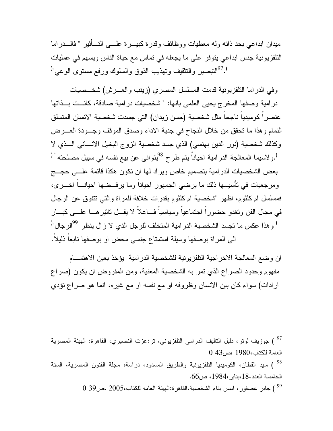ميدان ابداعي بحد ذاته وله معطيات ووظائف وقدرة كبيـرة علـى التـأثير " فالـدراما التلفزيونية جنس ابداعي يتوفر على ما يجعله في تماس مع حياة الناس ويسهم في عمليات . <sup>97</sup>التبصير والتثقيف وتهذيب الذوق والسلوك ورفع مستوى الوعى"<sup>(</sup>

وفي الدراما التلفزيونية قدمت المسلسل المصري (زينب والعـرش) شخـصيات درامية وصفها المخرج يحيى العلمي بانها: " شخصيات درامية صادقة، كانـت بـذاتها عنصراً كوميدياً ناجحاً مثل شخصية (حسن زيدان) التي جسدت شخصية الانسان المتسلق النمام وهذا ما تحقق من خلال النجاح في جدية الاداء وصدق الموقف وجـودة العـرض وكذلك شخصية (نور الدين بهنسي) الذي جسد شخصية الزوج البخيل الانـاني الـذي لا <sup>)</sup>.ولاسيما المعالجة الدرامية احياناً يتم طرح <sup>98</sup>يتوانى عن بيع نفسه في سبيل مصلحته " ( بعض الشخصيات الدرامية بتصميم خاص ويراد لها ان تكون هكذا قائمة علـى حجـج ومرجعيات في تأسيسها ذلك ما يرضي الجمهور احياناً وما يرفـضها احيانـاً اخـرى، فمسلسل ام كلثوم، اظهر "شخصية ام كلثوم بقدرات خلاقة للمراة والتي تتفوق عن الرجال في مجال الفن وتغدو حضوراً اجتماعياً وسياسياً فـاعلاً لا يقـل تاثيرهـا علـى كبـار <sup>)</sup> وهذا عكس ما تجسد الشخصية الدرامية المتخلف للرجل الذي لا زال ينظر <sup>99</sup>الرجال"<sup>(</sup> الى المراة بوصفها وسيلة استمتاع جنسي محض او بوصفها تابعاً ذليلاً .

ان وضع المعالجة الاخراجية التلفزيونية للشخصية الدرامية يؤخذ بعين الاهتمـام مفهوم وحدود الصراع الذي تمر به الشخصية المعنية، ومن المفروض ان يكون (صراع ارادات) سواء كان بين الانسان وظروفه او مع نفسه او مع غيره، انما هو صراع تؤدي

 ) جوزيف لوتر، دليل التاليف الدرامي التلفزيوني، تر:عزت النصيري، القاهرة: الهيئة المصرية <sup>97</sup> العامة للكتاب1980، ،ص43 0

 ) سيد القطان، الكوميديا التلفزيونية والطريق المسدود، دراسة، مجلة الفنون المصرية، السنة <sup>98</sup> الخامسة العدد،18،يناير،1984، ص.66

) جابر عصفور، اسس بناء الشخصية،القاهرة:الهيئة العامه للكتاب2005، ،ص39 0 <sup>99</sup>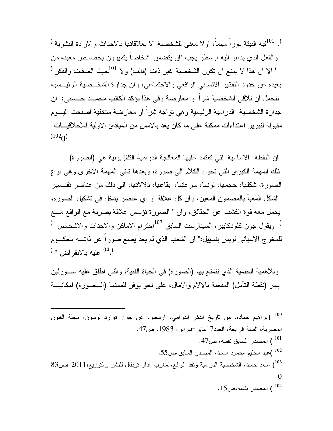. <sup>100</sup>فيه البيئة دوراً مهماً، "ولا معنى للشخصية الا بعلاقاتها بالاحداث والارادة البشرية"<sup>(</sup> والفعل الذي يدعو اليه ارسطو يجب "ان يتضمن اشخاصاً يتميزون بخصائص معينة من الا ان هذا لا يمنع ان تكون الشخصية غير ذات (قالب) ولا ) 101 ( حيث الصفات والفكر" بعيده عن حدود التفكير الانساني الواقعي والاجتماعي، وان جدارة الشخـصية الرئيـسية تتحمل ان تلاقي الشخصية شراً او معارضة وفي هذا يؤكد الكاتب محمـد حـسني:" ان جدارة الشخصية الدرامية الرئيسية وهي تواجه شراً او معارضة متخفية اصبحت اليـوم مقبولة لتبرير اعتداءات ممكنة على ما كان يعد بالامس من المبادئ الاولية للاخلاقيـــات "  $102<sub>0</sub>$ 

ان النقطة الاساسية التي تعتمد عليها المعالجة الدرامية التلفزيونية هي (الصورة) تلك المهمة الكبرى التي تحول الكلام الى صورة، وبعدها تاتي المهمة الاخرى وهي نوع الصورة، شكلها، حجمها، لونها، سرعتها، ايقاعها، دلالاتها، الى ذلك من عناصر تفـسير الشكل المعبأ بالمضمون المعين، وان كل علاقة او أي عنصر يدخل في تشكيل الصورة، يحمل معه قوة الكشف عن الحقائق، وان " الصورة تؤسس علاقة بصرية مع الواقع مــع <sup>)</sup>. ويقول جون كلودكابير، السينارست السابق <sup>103</sup>احترام الاماكن والاحداث والاشخاص <sup>" (</sup> للمخرج الاسباني لويس بنسييل:" ان الشعب الذي لم يعد يضع صوراً عن ذاتـه محكـوم ). <sup>104</sup>عليه بالانقراض " (

وللاهمية الحتمية الذي تتمتع بها (الصورة) في الحياة الفنية، والتي اطلق عليه سـورلين بيير (نقطة التأمل) المفعمة بالالام والامال، على نحو يوفر للسينما (الـصورة) امكانيـة

 )ابراهيم حماده، من تاريخ الفكر الدرامي، ارسطو، عن جون هوارد لوسون، مجلة الفنون <sup>100</sup> المصرية، السنة الرابعة، العدد17يناير-فبراير، ،1983 ص.47 ) المصدر السابق نفسه، ص.47 <sup>101</sup> )عبد الحليم محمود السيد، المصدر السابق،ص.55 <sup>102</sup> ) اسعد حميد، الشخصية الدرامية ونقد الواقع،المغرب :دار توبقال للنشر والتوزيع2011، ،ص83 <sup>103</sup> 0 ) المصدر نفسه،ص.15 <sup>104</sup>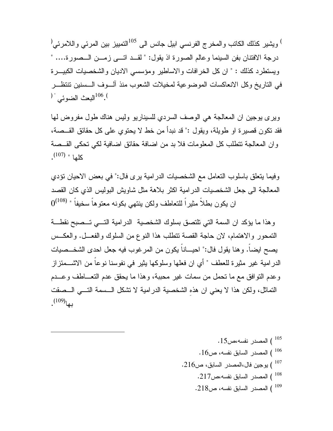$^{0.5}$ ويشير كذلك الكاتب والمخرج الفرنسي ابيل جانس الى  $^{105}$ التمييز بين المرئي واللامرئي  $^\mathrm{(1)}$ درجة الافتنان بفن السينما وعالم الصورة اذ يقول: " لقـد اتـى زمـن الـصورة.... " ويستطرد كذلك : " ان كل الخرافات والاساطير ومؤسسي الاديان والشخصيات الكبيـرة في التاريخ وكل الانعاكسات الموضوعية لمخيلات الشعوب منذ آلـوف الـسنين تنتظـر . <sup>106</sup>البعث الضوئي<sup>" (</sup>

ويرى يوجين ان المعالجة هي الوصف السردي للسيناريو وليس هناك طول مفروض لها فقد تكون قصيرة او طويلة، ويقول :" قد نبدأ من خط لا يحتوي على كل حقائق القـصة، وان المعالجة تتطلب كل المعلومات فلا بد من اضافة حقائق اضافية لكي تحكى القـصة . (107) كلها "

وفيما يتعلق باسلوب التعامل مع الشخصيات الدرامية يرى فال:" في بعض الاحيان تؤدي المعالجة الى جعل الشخصيات الدرامية اكثر بلاهة مثل شاويش البوليس الذي كان القصد  $0^{(108)}$  " ان يكون بطلاً مثيراً للتعاطف ولكن ينتهي بكونه معتوهاً سخيفاً

وهذا ما يؤكد ان السمة التي تلتصق بسلوك الشخصية الدرامية التـي تـصبح نقطـة التمحور والاهتمام، لان حاجة القصة تتطلب هذا النوع من السلوك والفعـل. والعكـس يصح ايضاً. وهنا يقول فال:" احيـاناً يكون من المرغوب فيه جعل احدى الشخـصيات الدرامية غير مثيرة للعطف " أي ان فعلها وسلوكها يثير في نفوسنا نوعاً من الاشـمئزاز وعدم التوافق مع ما تحمل من سمات غير محببة، وهذا ما يحقق عدم التعـاطف وعـدم التماثل، ولكن هذا لا يعني ان هذهِ الشخصية الدرامية لا تشكل الـسمة التـي الـصقت . (109) بها

 $\cdot 15$ المصدر نفسه،ص $^{105}$  $\cdot 16$ المصدر السابق نفسه، ص $16$  . .216 ) يوجين فال،المصدر السابق، ص $16$ . ) المصدر السابق نفسه،ص $217$ .  $\,$  $\cdot 218$ ) المصدر السابق نفسه، ص $^{109}$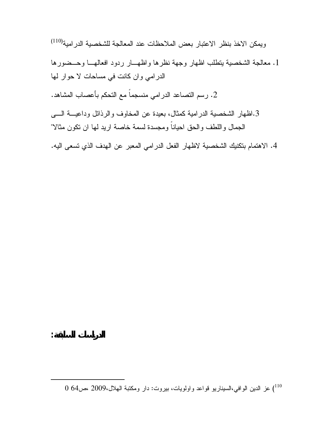(110) ويمكن الاخذ بنظر الاعتبار بعض الملاحظات عند المعالجة للشخصية الدرامية

.1 معالجة الشخصية يتطلب اظهار وجهة نظرها واظهـار ردود افعالهـا وحـضورها الدرامي وان كانت في مساحات لا حوار لها

.2 رسم التصاعد الدرامي منسجماً مع التحكم بأعصاب المشاهد .

**الدراسات السابقة :**

.3اظهار الشخصية الدرامية كمثال، بعيدة عن المخاوف والرذائل وداعيـة الـى الجمال واللطف والحق احياناً ومجسدة لسمة خاصة اريد لها ان تكون مثالا "

.4 الاهتمام بتكنيك الشخصية لاظهار الفعل الدرامي المعبر عن الهدف الذي تسعى اليه .

) عز الدين الوافي،السيناريو قواعد واولويات، بيروت: دار ومكتبة الهلال2009، ،ص64 0 <sup>110</sup>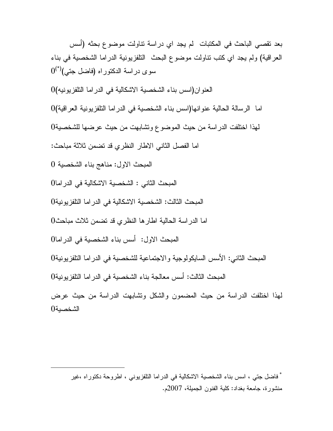بعد تقصي الباحث في المكتبات لم يجد اي دراسة تناولت موضوع بحثه (أسس العراقية) ولم يجد اي كتب تناولت موضوع البحث التلفزيونية الدراما الشخصية في بناء  $0^{(*)}$  سوى دراسة الدكتوراه (فاضل جتى العنوان(اسس بناء الشخصية الاشكالية في الدراما التلفزيونيه) 0 اما الرسالة الحالية عنوانها(اسس بناء الشخصية في الدراما التلفزيونية العراقية) 0 لهذا اختلفت الدراسة من حيث الموضوع وتشابهت من حيث عرضها للشخصية 0 اما الفصل الثاني الاطار النظري قد تضمن ثلاثة مباحث : المبحث الاول: مناهج بناء الشخصية 0 المبحث الثاني : الشخصية الاشكالية في الدر اما 0 المبحث الثالث: الشخصية الاشكالية في الدراما التلفزيونية 0 اما الدراسة الحالية اطارها النظري قد تضمن ثلاث مباحث 0 المبحث الاول: أسس بناء الشخصية في الدراما 0 المبحث الثاني: الأسس السايكولوجية والاجتماعية للشخصية في الدراما التلفزيونية0 المبحث الثالث: أسس معالجة بناء الشخصية في الدراما التلفزيونية0 لهذا اختلفت الدراسة من حيث المضمون والشكل وتشابهت الدراسة من حيث عرض الشخصية 0

فاضل جتي ، اسس بناء الشخصية الاشكالية في الدراما التلفزيوني ، اطروحة دكتوراه ،غير \* منشورة، جامعة بغداد: كلية الفنون الجميلة، 2007م.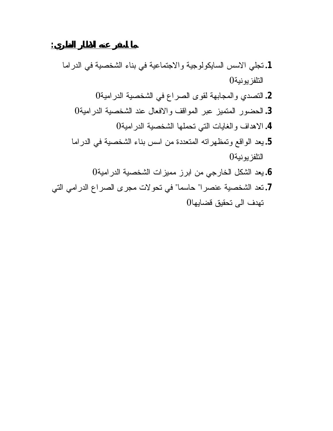**.1** تجلي الاسس السايكولوجية والاجتماعية في بناء الشخصية في الدراما التلفزيونية **.2** التصدي والمجابهة لقوى الصراع في الشخصية الدرامية **.3** الحضور المتميز عبر المواقف والافعال عند الشخصية الدرامية **.4** الاهداف والغايات التي تحملها الشخصية الدرامية **.5** يعد الواقع وتمظهراته المتعددة من اسس بناء الشخصية في الدراما التلفزيونية **.6** يعد الشكل الخارجي من ابرز مميزات الشخصية الدرامية **.7** تعد الشخصية عنصرا" حاسما" في تحولات مجرى الصراع الدرامي التي تهدف الى تحقيق قضايها

**ما اسفر عنه الاطار النظري:**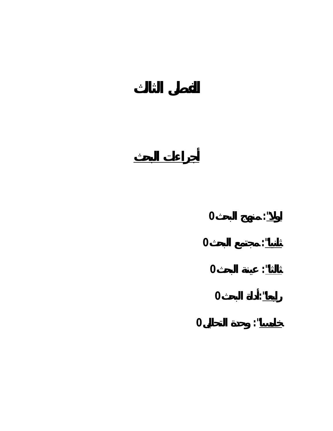

**أجراءات البحث**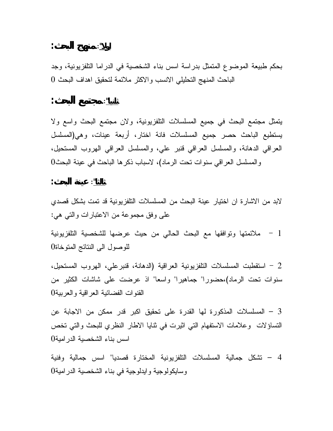$$
\vdots \qquad \qquad \vdots
$$

**اولا"**: **منهج البحث:**

يتمثل مجتمع البحث في جميع المسلسلات التلفزيونية، ولان مجتمع البحث واسع ولا يستطيع الباحث حصر جميع المسلسلات فانة اختار، أربعة عينات، وهي(المسلسل العراقي الدهانة، والمسلسل العراقي قنبر علي، والمسلسل العراقي الهروب المستحيل، والمسلسل العراقي سنوات تحت الرماد)، لاسباب ذكرها الباحث في عينة البحث 0

$$
: \qquad \qquad : \qquad \qquad : \qquad
$$

لابد من الاشارة ان اختيار عينة البحث من المسلسلات التلفزيونية قد تمت بشكل قصدي على وفق مجموعة من الاعتبارات والتي هي :

1 - ملائمتها وتوافقها مع البحث الحالي من حيث عرضها للشخصية التلفزيونية للوصول الى النتائج المتوخاة 0

2 - استقطبت المسلسلات التلفزيونية العراقية (الدهانة، قنبرعلي، الهروب المستحيل، سنوات تحت الرماد)،حضورا" جماهيرا" واسعا" اذ عرضت على شاشات الكثير من القنوات الفضائية العراقية والعربية 0

3 – المسلسلات المذكورة لها القدرة على تحقيق اكبر قدر ممكن من الاجابة عن التساؤلات وعلامات الاستفهام التي اثيرت في ثنايا الاطار النظري للبحث والتي تخص اسس بناء الشخصية الدرامية 0

4 – تشكل جمالية المسلسلات التلفزيونية المختارة قصديا" اسس جمالية وفنية وسايكولوجية وايدلوجية في بناء الشخصية الدرامية 0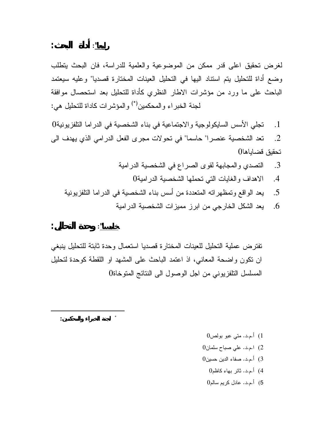لغرض تحقيق اعلى قدر ممكن من الموضوعية والعلمية للدراسة، فان البحث يتطلب وضع أداة للتحليل يتم استناد اليها في التحليل العينات المختارة قصديا" وعليه سيعتمد الباحث على ما ورد من مؤشرات الاطار النظري كأداة للتحليل بعد استحصال موافقة لجنة الخبراء والمحكمين") والمؤشرات كاداة للتحليل هي:

.1 تجلي الأسس السايكولوجية والاجتماعية في بناء الشخصية في الدراما التلفزيونية0 .2 تعد الشخصية عنصرا" حاسما" في تحولات مجرى الفعل الدرامي الذي يهدف الى تحقيق قضاياها0

- .3 التصدي والمجابهة لقوى الصراع في الشخصية الدرامية .4 الاهداف والغايات التي تحملها الشخصية الدرامية0 .5 يعد الواقع وتمظهراته المتعددة من أسس بناء الشخصية في الدراما التلفزيونية
	- .6 يعد الشكل الخارجي من ابرز مميزات الشخصية الدرامية

$$
1\leq i\leq n-1
$$

  **لجنة الخبراء والمحكمين : \***

تفترض عملية التحليل للعينات المختارة قصديا استعمال وحدة ثابتة للتحليل ينبغي ان تكون واضحة المعاني، اذ اعتمد الباحث على المشهد او اللقطة كوحدة لتحليل المسلسل التلفزيوني من اجل الوصول الى النتائج المتوخاة0

- 1) أ.م.د. متي عبو بولص0
- 2) ا.م.د. علي صباح سلمان0
- 3) أ.م.د. صفاء الدين حسين0
	- 4) أ.م.د. ثائر بهاء كاظم0
	- 5) أ.م.د. عادل كريم سالم0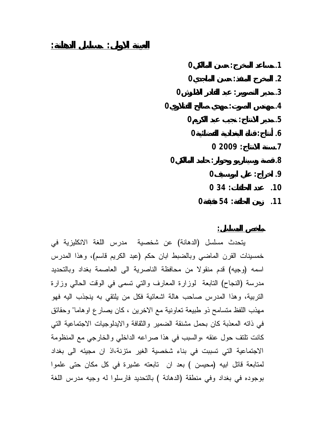|                | 0           |                      | .1      |
|----------------|-------------|----------------------|---------|
|                | $\mathbf 0$ |                      | $\cdot$ |
| 0              |             |                      | .3      |
| $\overline{0}$ |             |                      | .4      |
|                | $\bf{0}$    |                      | .5      |
|                | $\mathbf 0$ |                      | .6      |
|                |             | 02009:               | $\cdot$ |
| 0              |             |                      | 8.      |
|                |             | $\mathbf 0$          | .9      |
|                |             | 034:                 | .10     |
|                | 0           | 54<br>$\ddot{\cdot}$ | .11     |

**ملخص المسلسل:**

يتحدث مسلسل (الدهانة) عن شخصية مدرس اللغة الانكليزية في خمسينات القرن الماضي وبالضبط ابان حكم (عبد الكريم قاسم)، وهذا المدرس اسمه (وجيه) قدم منقولا من محافظة الناصرية الى العاصمة بغداد وبالتحديد مدرسة (النجاح) التابعة لوزارة المعارف والتي تسمى في الوقت الحالي وزارة التربية، وهذا المدرس صاحب هالة اشعائية فكل من يلتقي به ينجذب اليه فهو مهذب اللفظ متسامح ذو طبيعة تعاونية مع الاخرين ، كان يصارع اوهاما" وحقائق في ذاته المعذبة كان بحمل مشنقة الضمير والثقافة والايدلوجيات الاجتماعية التي كانت تلتف حول عنقه ،والسبب في هذا صراعه الداخلي والخارجي مع المنظومة الاجتماعية التي تسببت في بناء شخصية الغير متزنة،اذ ان مجيئه الى بغداد لمتابعة قاتل ابيه (محيسن ) بعد ان تابعته عشيرة في كل مكان حتى علموا بوجوده في بغداد وفي منطقة (الدهانة ) بالتحديد فارسلوا له وجيه مدرس اللغة

**العينة الاولى: مسلسل الدهانة:**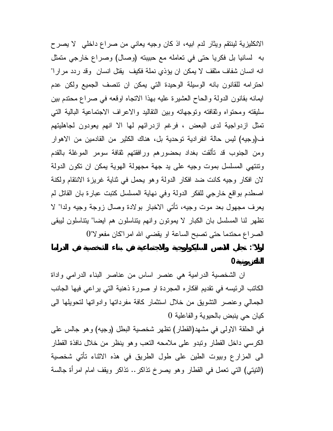الانكليزية لينتقم ويثار لدم ابيه، اذ كان وجيه يعاني من صراع داخلي لا يصرح به لسانيا بل فكريا حتى في تعامله مع حبيبته (وصال) وصراع خارجي متمثل انه انسان شفاف مثقف لا يمكن ان يؤذي نملة فكيف يقتل انسان وقد ردد مرارا" احترامه للقانون بانه الوسيلة الوحيدة التي يمكن ان تنصف الجميع ولكن عدم ايمانه بقانون الدولة والحاح العشيرة عليه بهذا الاتجاه اوقعه في صراع محتدم بين سليقته ومحتواه وثقافته وتوجهاته وبين التقاليد والاعراف الاجتماعية البالية التي تمثل ازدواجية لدى البعض ، فرغم ازدرائهم لها الا انهم يعودون لجاهليتهم ف(وجيه) ليس حالة انفرادية توحدية بل، هناك الكثير من القادمين من الاهوار ومن الجنوب قد تألقت بغداد بحضورهم ورافقتهم ثقافة سومر الموغلة بالقدم وتنتهي المسلسل بموت وجيه على يد جهة مجهولة الهوية يمكن ان تكون الدولة لان افكار وجيه كانت ضد افكار الدولة وهو يحمل في ثناية غريزة الانتقام ولكنة اصطدم بواقع خارجي للفكر الدولة وفي نهاية المسلسل كتبت عبارة بان القاتل لم يعرف مجهول بعد موت وجيه، تأتي الاخبار بولادة وصال زوجة وجيه ولدا" لا تظهر لنا المسلسل بان الكبار لا يموتون وانهم يتناسلون هم ايضا" يتناسلون ليبقى الصراع محتدما حتى تصبح الساعة او يقضي االله امرا"كان مفعولا"0 **اولا": تجلي الاسس السايكولوجية والاجتماعية في بناء الشخصية في الدراما**

## **التلفزيونية0**

ان الشخصية الدرامية هي عنصر اساس من عناصر البناء الدرامي واداة الكاتب الرئيسه في تقديم افكاره المجردة او صورة ذهنية التي يراعي فيها الجانب الجمالي وعنصر التشويق من خلال استثمار كافة مفرداتها وادواتها لتحويلها الى كيان حي ينبض بالحيوية والفاعلية 0 في الحلقة الاولى في مشهد(القطار) تظهر شخصية البطل (وجيه) وهو جالس على الكرسي داخل القطار وتبدو على ملامحه التعب وهو ينظر من خلال نافذة القطار الى المزارع وبيوت الطين على طول الطريق في هذه الاثناء تأتي شخصية (التيتي) التي تعمل في القطار وهو يصرخ تذاكر.. تذاكر ويقف امام امرأة جالسة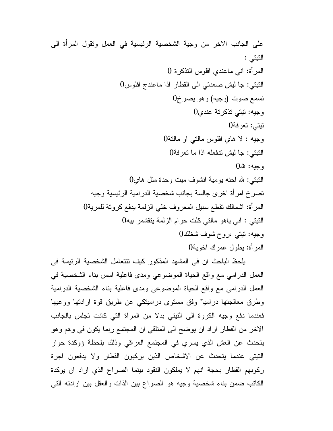على الجانب الاخر من وجية الشخصية الرئيسية في العمل وتقول المرأة الى التيتي : المرأة: اني ماعندي افلوس التذكرة 0 التيتي: جا ليش صعدتي الى القطار اذا ماعندج افلوس0 نسمع صوت (وجيه) وهو يصرخ0 وجيه: تيتي تذكرتة عندي0 تيتي: تعرفة0 وجيه : لا هاي افلوس مالتي او مالتة0 التيتي: جا ليش تدفعله اذا ما تعرفة0 وجيه: الله0  $0$ التيتي: لله احنه يومية انشوف ميت وحدة مثل هاي تصرخ امرأة اخرى جالسة بجانب شخصية الدرامية الرئيسية وجيه المرأة: اشمالك تقطع سبيل المعروف خلي الزلمة يدفع كروتة للمرية0 التيتي : اني ياهو مالتي كلت حرام الزلمة يتقشمر بيه0 وجيه: تيتي ،روح شوف شغلك0 المرأة: يطول عمرك اخوية0

يلحظ الباحث ان في المشهد المذكور كيف تتتعامل الشخصية الرئيسة في العمل الدرامي مع واقع الحياة الموضوعي ومدى فاعلية اسس بناء الشخصية في العمل الدرامي مع واقع الحياة الموضوعي ومدى فاعلية بناء الشخصية الدرامية وطرق معالجتها دراميا" وفق مستوى دراميتكي عن طريق قوة ارادتها ووعيها فعندما دفع وجيه الكروة الى التيتي بدلا من المراة التي كانت تجلس بالجانب الاخر من القطار اراد ان يوضح الى المتلقي ان المجتمع ربما يكون في وهم وهو يتحدث عن الغش الذي يسري في المجتمع العراقي وذلك بلحظة ؤوكدة حوار التيتي عندما يتحدث عن الاشخاص الذين يركبون القطار ولا يدفعون اجرة ركوبهم القطار بحجة انهم لا يملكون النقود بينما الصراع الذي اراد ان يوكدة الكاتب ضمن بناء شخصية وجيه هو الصراع بين الذات والعقل بين ارادته التي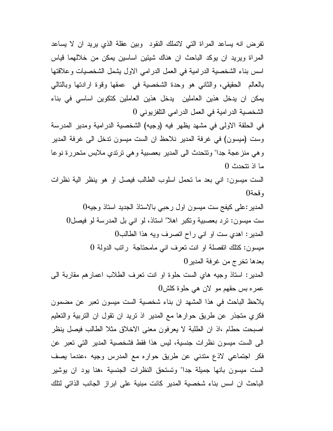تفرض انه يساعد المراة التي لاتملك النقود وبين عقلة الذي يريد ان لا يساعد المراة ويريد ان يوكد الباحث ان هناك شيئين اساسين يمكن من خلالهما قياس اسس بناء الشخصية الدرامية في العمل الدرامي الاول يشمل الشخصيات وعلاقتها بالعالم الحقيقي، والثاني هو وحدة الشخصية في عمقها وقوة ارادتها وبالتالي يمكن ان يدخل هذين العاملين يدخل هذين العاملين كتكوين اساسي في بناء الشخصية الدرامية في العمل الدرامي التلفزيوني 0

في الحلقة الاولى في مشهد يظهر فيه (وجيه) الشخصية الدرامية ومدير المدرسة وست (ميسون) في غرفة المدير نلاحظ ان الست ميسون تدخل الى غرفة المدير وهي منزعجة جدا" وتتحدث الى المدير بعصبية وهي ترتدي ملابس متحررة نوعا ما اذ تتحدث 0

الست ميسون: اني بعد ما تحمل اسلوب الطالب فيصل او هو ينظر الية نظرات وقحة0

المدير:على كيفج ست ميسون اول رحبي بالاستاذ الجديد استاذ وجيه0 ست ميسون: ترد بعصبية وتكبر اهلا" استاذ، لو اني بل المدرسة لو فيصل0 المدير: اهدي ست او اني راح اتصرف ويه هذا الطالب0 ميسون: كتلك اتفصلة او انت تعرف اني مامحتاجة راتب الدولة 0 بعدها تخرج من غرفة المدير0

المدير: استاذ وجيه هاي الست حلوة او انت تعرف الطلاب اعمارهم مقاربة الى عمره بس حقهم مو لان هي حلوة كلش0

يلاحظ الباحث في هذا المشهد ان بناء شخصية الست ميسون تعبر عن مضمون فكري متجذر عن طريق حوارها مع المدير اذ تريد ان تقول ان التربية والتعليم اصبحت حطام ،اذ ان الطلبة لا يعرفون معنى الاخلاق مثلا الطالب فيصل ينظر الى الست ميسون نظرات جنسية، ليس هذا فقط فشخصية المدير التي تعبر عن فكر اجتماعي لاذع متدني عن طريق حواره مع المدرس وجيه ،عندما يصف الست ميسون بانها جميلة جدا" وتستحق النظرات الجنسية ،هنا يود ان يوشير الباحث ان اسس بناء شخصية المدير كانت مبنية على ابراز الجانب الذاتي لتلك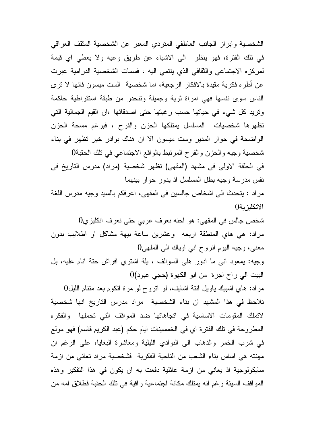الشخصية وابراز الجانب العاطفي المتردي المعبر عن الشخصية المثقف العراقي في تلك الفترة، فهو ينظر الى الاشياء عن طريق وعيه ولا يعطي اي قيمة لمركزه الاجتماعي والثقافي الذي ينتمي اليه ، فسمات الشخصية الدرامية عبرت عن أطره فكرية مقيدة بالافكار الرجعية، اما شخصية الست ميسون فانها لا ترى الناس سوى نفسها فهي امراة ثرية وجميلة وتنحدر من طبقة استقراطية حاكمة وتريد كل شيء في حياتها حسب رغبتها حتى اصدقائها ،ان القيم الجمالية التي تظهرها شخصيات المسلسل يمتلكها الحزن والفرح ، فبرغم مسحة الحزن الواضحة في حوار المدير وست ميسون الا ان هناك بوادر خير تظهر في بناء شخصية وجيه والحزن والفرح المرتبط بالواقع الاجتماعي في تلك الحقبة0 في الحلقة الاولى في مشهد (المقهى) تظهر شخصية (مراد) مدرس التاريخ في نفس مدرسة وجيه بطل المسلسل اذ يدور حوار بينهما مراد : يتحدث الى اشخاص جالسين في المقهى، اعرفكم بالسيد وجيه مدرس اللغة الانكليزية0

شخص جالس في المقهى: هو احنه نعرف عربي حتى نعرف انكليزي0 مراد: هي هاي المنطقة اربعه وعشرين ساعة بيهة مشاكل او اطلايب بدون معنى، وجيه اليوم انروح اني اوياك الى الملهى0

وجيه: يمعود اني ما ادور هلي السوالف ، يلة اشتري افراش حتة انام عليه، بل البيت الي راح اجرة من ابو الكهوة (حجي عبود)0

مراد: هاي اشبيك ياويل انتة اشايف، لو اتروح لو مرة اتكوم بعد متنام الليل0 نلاحظ في هذا المشهد ان بناء الشخصية مراد مدرس التاريخ انها شخصية لاتملك المقومات الاساسية في اتجاهاتها ضد المواقف التي تحملها والفكره المطروحة في تلك الفترة اي في الخمسينات ايام حكم (عبد الكريم قاسم) فهو مولع في شرب الخمر والذهاب الى النوادي الليلية ومعاشرة البغايا، على الرغم ان مهنته هي اساس بناء الشعب من الناحية الفكرية فشخصية مراد تعاني من ازمة سايكولوجية اذ يعاني من ازمة عائلية دفعت به ان يكون في هذا التفكير وهذه المواقف السيئة رغم انه يمتلك مكانة اجتماعية راقية في تلك الحقبة فطلاق امه من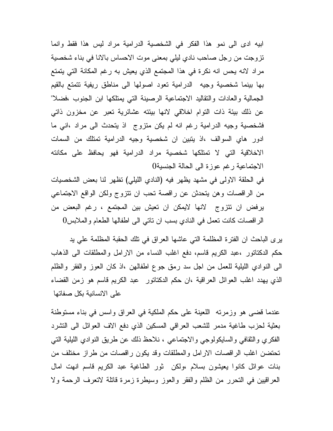ابيه ادى الى نمو هذا الفكر في الشخصية الدرامية مراد ليس هذا فقط وانما تزوجت من رجل صاحب نادي ليلي بمعنى موت الاحساس بالانا في بناء شخصية مراد لانه يحس انه نكرة في هذا المجتمع الذي يعيش به رغم المكانة التي يتمتع بها بينما شخصية وجيه الدرامية تعود اصولها الى مناطق ريفية تتمتع بالقيم الجمالية والعادات والتقاليد الاجتماعية الرصينة التي يمتلكها ابن الجنوب ،فضلا" عن ذلك بيئة ذات التوام اخلاقي لانها بيئته عشائرية تعبر عن مخزون ذاتي فشخصية وجيه الدرامية رغم انه لم يكن متزوج اذ يتحدث الى مراد ،اني ما ادور هاي السوالف ،اذ يتبين ان شخصية وجيه الدرامية تمتلك من السمات الاخلاقية التي لا تمتلكها شخصية مراد الدرامية فهو يحافظ على مكانته الاجتماعية رغم عوزة الى الحالة الجنسية0

في الحلقة الاولى في مشهد يظهر فيه (النادي الليلي) تظهر لنا بعض الشخصيات من الراقصات وهن يتحدثن عن راقصة تحب ان تتزوج ولكن الواقع الاجتماعي يرفض ان تتزوج لانها لايمكن ان تعيش بين المجتمع ، رغم البعض من الراقصات كانت تعمل في النادي بسب ان تاتي الى اطفالها الطعام والملابس0

يرى الباحث ان الفترة المظلمة التي عاشها العراق في تلك الحقبة المظلمة علي يد حكم الدكتاتور ،عبد الكريم قاسم، دفع اغلب النساء من الارامل والمطلقات الى الذهاب الى النوادي الليلية للعمل من اجل سد رمق جوع اطفالهن ،اذ كان العوز والفقر والظلم الذي يهدد اغلب العوائل العراقية ،ان حكم الدكتاتور عبد الكريم قاسم هو زمن القضاء على الانسانية بكل صفاتها

عندما قضى هو وزمرته اللعينة على حكم الملكية في العراق واسس في بناء مستوطنة بعثية لحزب طاغية مدمر للشعب العراقي المسكين الذي دفع الاف العوائل الى التشرد الفكري والثقافي والسايكولوجي والاجتماعي ، نلاحظ ذلك عن طريق النوادي الليلية التي تحتضن اغلب الراقصات الارامل والمطلقات وقد يكون راقصات من طراز مختلف من بنات عوائل كانوا يعيشون بسلام ،ولكن ثور الطاغية عبد الكريم قاسم انهت امال العراقيين في التحرر من الظلم والفقر والعوز وسيطرة زمرة قاتلة لاتعرف الرحمة ولا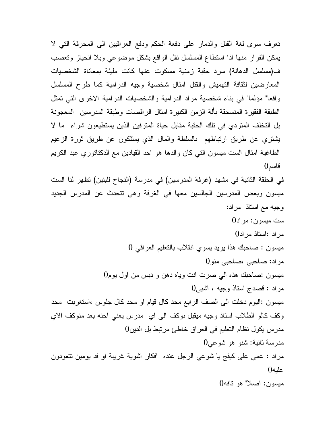تعرف سوى لغة القتل والدمار على دفعة الحكم ودفع العراقيين الى المحرقة التي لا يمكن الفرار منها اذا استطاع المسلسل نقل الواقع بشكل موضوعي وبلا انحياز وتعصب ف(مسلسل الدهانة) سرد حقبة زمنية مسكوت عنها كانت مليئة بمعاناة الشخصيات المعارضين لثقافة التهميش والقتل امثال شخصية وجيه الدرامية كما طرح المسلسل واقعا" مؤلما" في بناء شخصية مراد الدرامية والشخصيات الدرامية الاخرى التي تمثل الطبقة الفقيرة المنسحقة بألة الزمن الكبيرة امثال الراقصات وطبقة المدرسين المعجونة بل التخلف المتردي في تلك الحقبة مقابل حياة المترفين الذين يستطيعون شراء ما لا يشتري عن طريق ارتباطهم بالسلطة والمال الذي يمتلكون عن طريق ثورة الزعيم الطاغية امثال الست ميسون التي كان والدها هو احد القيادين مع الدكتاتوري عبد الكريم قاسم0 في الحلقة الثانية في مشهد (غرفة المدرسين) في مدرسة (النجاح للبنين) تظهر لنا الست ميسون وبعض المدرسين الجالسين معها في الغرفة وهي تتحدث عن المدرس الجديد وجيه مع استاذ مراد: ست ميسون: مراد0 مراد :استاذ مراد0 ميسون : صاحبك هذا يريد يسوي انقلاب بالتعليم العراقي 0 مراد: صاحبي ،صاحبي منو0 ميسون :صاحبك هذه الي صرت انت وياه دهن و دبس من اول يوم0 مراد : قصدج استاذ وجيه ، اشبي0 ميسون :اليوم دخلت الى الصف الرابع محد كال قيام او محد كال جلوس ،استغربت محد وكف كالو الطلاب استاذ وجيه ميقبل نوكف الى اي مدرس يعني احنه بعد منوكف الاي مدرس يكول نظام التعليم في العراق خاطئ مرتبط بل الدين0 مدرسة ثانية: شنو هو شوعي0 مراد : عمي على كيفج يا شوعي الرجل عنده افكار اشوية غريبة او فد يومين تتعودون عليه0 ميسون: اصلا" هو تافه0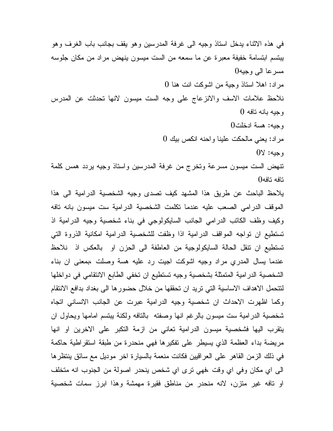في هذه الاثناء يدخل استاذ وجيه الى غرفة المدرسين وهو يقف بجانب باب الغرف وهو يبتسم ابتسامة خفيفة معبرة عن ما سمعه من الست ميسون ينهض مراد من مكان جلوسه مسرعا الى وجيه0 مراد: اهلا استاذ وجية من اشوكت انت هنا 0 نلاحظ علامات الاسف والانزعاج على وجه الست ميسون لانها تحدثت عن المدرس وجيه بانه تافه 0 وجيه: هسة ادخلت0 مراد: يعني مالحكت علينا واحنه انكص بيك 0 وجيه: لا0 تنهض الست ميسون مسرعة وتخرج من غرفة المدرسين واستاذ وجيه يردد همس كلمة تافه تافه0

يلاحظ الباحث عن طريق هذا المشهد كيف تصدى وجيه الشخصية الدرامية الى هذا الموقف الدرامي الصعب عليه عندما تكلمت الشخصية الدرامية ست ميسون بانه تافه وكيف وظف الكاتب الدرامي الجانب السايكولوجي في بناء شخصية وجيه الدرامية اذ تستطيع ان تواجه المواقف الدرامية اذا وظفت للشخصية الدرامية امكانية الذروة التي تستطيع ان تنقل الحالة السايكولوجية من العاطفة الى الحزن او بالعكس اذ نلاحظ عندما يسال المدري مراد وجيه اشوكت اجيت رد عليه هسة وصلت ،بمعنى ان بناء الشخصية الدرامية المتمثلة بشخصية وجيه تستطيع ان تخفي الطابع الانتقامي في دواخلها لتتحمل الاهداف الاساسية التي تريد ان تحققها من خلال حضورها الى بغداد بدافع الانتقام وكما اظهرت الاحداث ان شخصية وجيه الدرامية عبرت عن الجانب الانساني اتجاه شخصية الدرامية ست ميسون بالرغم انها وصفته بالتافه ولكنة يبتسم امامها ويحاول ان يتقرب اليها فشخصية ميسون الدرامية تعاني من ازمة التكبر على الاخرين او انها مريضة بداء العظمة الذي يسيطر على تفكيرها فهي منحدرة من طبقة استقراطية حاكمة في ذلك الزمن القاهر على العراقيين فكانت منعمة بالسيارة اخر موديل مع سائق ينتظرها الى اي مكان وفي اي وقت ،فهي ترى اي شخص ينحدر اصولة من الجنوب انه متخلف او تافه غير متزن، لانه منحدر من مناطق فقيرة مهمشة وهذا ابرز سمات شخصية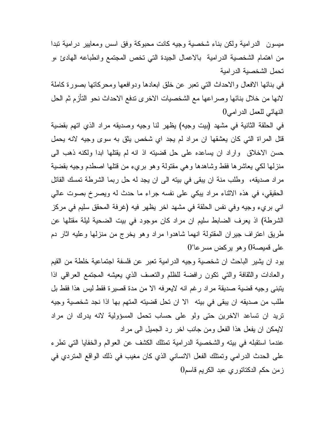ميسون الدرامية ولكن بناء شخصية وجيه كانت محبوكة وفق اسس ومعايير درامية تبدا من اهتمام الشخصية الدرامية بالاعمال الجيدة التي تخص المجتمع وانطباعه الهادئ ،و تحمل الشخصية الدرامية

في بنائها الافعال والاحداث التي تعبر عن خلق ابعادها ودوافعها ومحركاتها بصورة كاملة لانها من خلال بنائها وصراعها مع الشخصيات الاخرى تدفع الاحداث نحو التأزم ثم الحل النهائي للعمل الدرامي0

في الحلقة الثانية في مشهد (بيت وجيه) يظهر لنا وجيه وصديقه مراد الذي اتهم بقضية قتل المراة التي كان يعشقها ان مراد لم يجد اي شخص يثق به سوى وجيه لانه يحمل حسن الاخلاق واراد ان يساعده على حل قضيته اذ انه لم يقتلها ابدا ولكنه ذهب الى منزلها لكي يعاشرها فقط وشاهدها وهي مقتولة وهو بريء من قتلها اصطدم وجيه بقضية مراد صديقه، وطلب منة ان يبقى في بيته الى ان يجد له حل ربما الشرطة تمسك القاتل الحقيقي، في هذه الاثناء مراد يبكي على نفسه جراء ما حدث له ويصرخ بصوت عالي اني بريء وجيه وفي نفس الحلقة في مشهد اخر يظهر فيه (غرفة المحقق سليم في مركز الشرطة) اذ يعرف الضابط سليم ان مراد كان موجود في بيت الضحية ليلة مقتلها عن طريق اعتراف جيران المقتولة انهما شاهدوا مراد وهو يخرج من منزلها وعليه اثار دم  $0$ على قميصة $0$  وهو يركض مسرعا

يود ان يشير الباحث ان شخصية وجيه الدرامية تعبر عن فلسفة اجتماعية خلطة من القيم والعادات والثقافة والتي تكون رافضة للظلم والتعسف الذي يعيشه المجتمع العراقي اذا يتبنى وجيه قضية صديقة مراد رغم انه لايعرفه الا من مدة قصيرة فقط ليس هذا فقط بل طلب من صديقه ان يبقى في بيته الا ان تحل قضيته المتهم بها اذا نجد شخصية وجيه تريد ان تساعد الاخرين حتى ولو على حساب تحمل المسؤولية لانه يدرك ان مراد لايمكن ان يفعل هذا الفعل ومن جانب اخر رد الجميل الى مراد

عندما استقبله في بيته والشخصية الدرامية تمتلك الكشف عن العوالم والخفايا التي تطرء على الحدث الدرامي وتمتلك الفعل الانساني الذي كان مغيب في ذلك الواقع المتردي في زمن حكم الدكتاتوري عبد الكريم قاسم0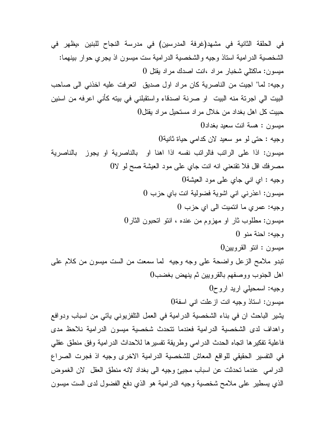في الحلقة الثانية في مشهد(غرفة المدرسين) في مدرسة النجاح للبنين ،يظهر في الشخصية الدرامية استاذ وجيه والشخصية الدرامية ست ميسون اذ يجري حوار بينهما: ميسون: ماكتلي شخبار مراد ،انت اصدك مراد يقتل 0 وجيه: لما" اجيت من الناصرية كان مراد اول صديق اتعرفت عليه اخذني الى صاحب البيت الي اجرتة منه البيت او صرنة اصدقاء واستقبلني في بيته كأني اعرفه من اسنين حبيت كل اهل بغداد من خلال مراد مستحيل مراد يقتل0 ميسون : هسة انت سعيد بغداد0 وجيه : حتى لو مو سعيد لان كدامي حياة ثانية0 ميسون: اذا على الراتب فالراتب نفسه اذا اهنا او بالناصرية او يجوز بالناصرية مصرفك اقل فلا تقنعني انه انت جاي على مود العيشة صح لو لا0 وجيه : اي اني جاي على مود العيشة0 ميسون: اعذرني اني اشوية فضولية انت باي حزب 0 وجيه: عمري ما انتميت الى اي حزب 0 ميسون: مطلوب ثار او مهزوم من عنده ، انتو اتحبون الثار0 وجيه: احنة منو 0 ميسون : انتو القرويين0 تبدو ملامح الزعل واضحة على وجه وجيه لما سمعت من الست ميسون من كلام على اهل الجنوب ووصفهم بالقرويين ثم ينهض بغضب0 وجيه: اسمحيلي اريد اروح0 ميسون: استاذ وجيه انت ازعلت اني اسفة0 يشير الباحث ان في بناء الشخصية الدرامية في العمل التلفزيوني ياتي من اسباب ودوافع واهداف لدى الشخصية الدرامية فعندما تتحدث شخصية ميسون الدرامية نلاحظ مدى فاعلية تفكيرها اتجاه الحدث الدرامي وطريقة تفسيرها للاحداث الدرامية وفق منطق عقلي في التفسير الحقيقي للواقع المعاش للشخصية الدرامية الاخرى وجيه اذ فجرت الصراع الدرامي عندما تحدثت عن اسباب مجيئ وجيه الى بغداد لانه منطق العقل لان الغموض الذي يسطير على ملامح شخصية وجيه الدرامية هو الذي دفع الفضول لدى الست ميسون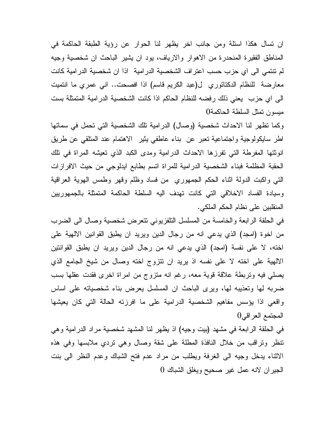ان تسال هكذا اسئلة ومن جانب اخر يظهر لنا الحوار عن رؤية الطبقة الحاكمة في المناطق الفقيرة المنحدرة من الاهوار والارياف، يود ان يشير الباحث ان شخصية وجيه لم تنتمي الى اي حزب حسب اعتراف الشخصية الدرامية اذا ان شخصية الدرامية كانت معارضة للنظام الدكتاتوري ل(عبد الكريم قاسم) اذا افصحت.. اني عمري ما انتميت الى اي حزب يعني ذلك رفضه للنظام الحاكم اذا كانت الشخصية الدرامية المتمثلة بست ميسون تمثل السلطة الحاكمة0

وكما تظهر لنا الاحداث شخصية (وصال) الدرامية تلك الشخصية التي تحمل في سماتها اطر سايكولوجية واجتماعية تعبر عن بناء عاطفي يثير الاهتمام عند المتلقي عن طريق انوثتها المفرطة التي تفرزها الاحداث الدرامية ومدى الكبد الذي تعيشه المراة في تلك الحقبة المظلمة فبناء الشخصية الدرامية للمراة اتسم بطابع ايدلوجي من حيث الافرازات التي واكبت الدولة اثناء الحكم الجمهوري من فساد وظلم وقهر وطمس الهوية العراقية وسيادة الفساد الاخلاقي التي كانت تهدف اليه السلطة الحاكمة المتمثلة بالجمهوريين المنقلبين على نظام الحكم الملكي.

في الحلقة الرابعة والخامسة من المسلسل التلفزيوني تتعرض شخصية وصال الى الضرب من اخوة (امجد) الذي يدعي انه من رجال الدين ويريد ان يطبق القوانين الالهية على اخته، لا على نفسة (امجد) الذي يدعي انه من رجال الدين ويريد ان يطبق القوانتين الالهية على اخته لا على نفسه اذ يريد ان تتزوج اخته وصال من شيخ الجامع الذي يصلي فيه وتربطة علاقة قوية معه، رغم انه متزوج من امراة اخرى فقدت عقلها بسب ضربه لها وتعذيبه لها، ويرى الباحث ان المسلسل يعرض بناء شخصياته على اساس واقعي اذا يؤسس مفاهيم الشخصية الدرامية على ما افرزته الحالة التي كان يعيشها المجتمع العراقي0

في الحلقة الرابعة في مشهد (بيت وجيه) اذ يظهر لنا المشهد شخصية مراد الدرامية وهي تنظر وتراقب من خلال النافذة المطلة على شقة وصال وهي تردي ملابسها وفي هذه الاثناء يدخل وجيه الى الغرفة ويطلب من مراد عدم فتح الشباك وعدم النظر الى بنت الجيران لانه عمل غير صحيح ويغلق الشباك 0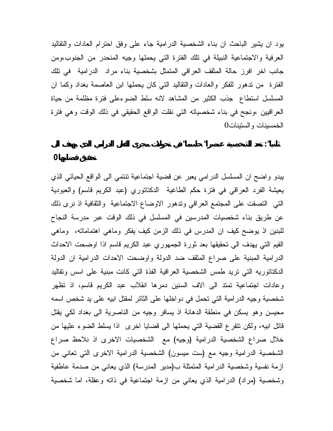يود ان يشير الباحث ان بناء الشخصية الدرامية جاء على وفق احترام العادات والتقاليد العرفية والاجتماعية النبيلة في تلك الفترة التي يحملها وجيه المنحدر من الجنوب،ومن جانب اخر افرز حالة المثقف العراقي المتمثل بشخصية بناء مراد الدرامية في تلك الفترة من تدهور للفكر والعادات والتقاليد التي كان يحملها ابن العاصمة بغداد وكما ان المسلسل استطاع جذب الكثير من المشاهد لانه سلط الضوءعلى فترة مظلمة من حياة العراقيين ،ونجح في بناء شخصياته التي نقلت الواقع الحقيقي في ذلك الوقت وهي فترة الخمسينات والستينات0

**ثانيا": تعد الشخصية عنصرا" حاسما" في تحولات مجرى الفعل الدرامي الذي يهدف الى**

**تحقيق قضايها0** 

يبدو واضح ان المسلسل الدرامي يعبر عن قضية اجتماعية تنتمي الى الواقع الحياتي الذي يعيشة الفرد العراقي في فترة حكم الطاغية الدكتاتوري (عبد الكريم قاسم) والعبودية التي التصقت على المجتمع العراقي وتدهور الاوضاع الاجتماعية والثقافية اذ نرى ذلك عن طريق بناء شخصيات المدرسين في المسلسل في ذلك الوقت عبر مدرسة النجاح للبنين اذ يوضح كيف ان المدرس في ذلك الزمن كيف يفكر وماهي اهتماماته، وماهي القيم التي يهدف الى تحقيقها بعد ثورة الجمهوري عبد الكريم قاسم اذا اوضحت الاحداث الدرامية المبنية على صراع المثقف ضد الدولة واوضحت الاحدات الدرامية ان الدولة الدكتاتوريه التي تريد طمس الشخصية العراقية الفذة التي كانت مبنية على اسس وتقاليد وعادات اجتماعية تمتد الى الاف السنين دمرها انقلاب عبد الكريم قاسم، اذ تظهر شخصية وجيه الدرامية التي تحمل في دواخلها على الثائر لمقتل ابيه على يد شخص اسمه محيسن وهو يسكن في منطقة الدهانة اذ يسافر وجيه من الناصرية الى بغداد لكي يقتل قاتل ابيه، ولكن تتفرع القضية التي يحملها الى قضايا اخرى اذا يسلط الضوء عليها من خلال صراع الشخصية الدرامية (وجيه) مع الشخصيات الاخرى اذ نلاحظ صراع الشخصية الدرامية وجيه مع (ست ميسون) الشخصية الدرامية الاخرى التي تعاني من ازمة نفسية وشخصية الدرامية المتمثلة ب(مدير المدرسة) الذي يعاني من صدمة عاطفية وشخصية (مراد) الدرامية الذي يعاني من ازمة اجتماعية في ذاته وعقلة، اما شخصية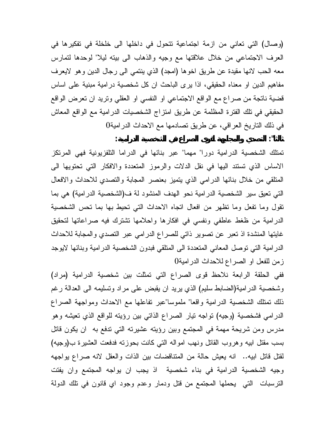(وصال) التي تعاني من ازمة اجتماعية تتحول في داخلها الى خلخلة في تفكيرها في العرف الاجتماعي من خلال علاقتها مع وجيه والذهاب الى بيته ليلا" لوحدها لتمارس معه الحب لانها مقيدة عن طريق اخوها (امجد) الذي ينتمي الى رجال الدين وهو لايعرف مفاهيم الدين او معناه الحقيقي، اذا يرى الباحث ان كل شخصية درامية مبنية على اساس قضية ناتجة من صراع مع الواقع الاجتماعي او النفسي او العقلي وتريد ان تعرض الواقع الحقيقي في تلك الفترة المظلمة عن طريق امتزاج الشخصيات الدرامية مع الواقع المعاش في ذلك التاريخ العراقي، عن طريق تصادمها مع الاحداث الدرامية0 **ثالثا": التصدي والمجابهة لقوى الصراع في الشخصية الدرامية:**

تمتلك الشخصية الدرامية دورا" مهما" عبر بنائها في الدراما التلفزيونية فهي المرتكز الاساس الذي تستند اليها في نقل الدلات والرموز المتعددة والافكار التي تحتويها الى المتلقي من خلال بنائها الدرامي الذي يتميز بعنصر المجابة والتصدي للاحداث والافعال التي تعيق سير الشخصية الدرامية نحو الهدف المنشود لة ف(الشخصية الدرامية) هي بما تقول وما تفعل وما تظهر من افعال اتجاه الاحداث التي تحيط بها بما تحس الشخصية الدرامية من ظغط عاطفي ونفسي في افكارها واحلامها تشترك فيه صراعاتها لتحقيق غايتها المنشدة اذ تعبر عن تصوير ذاتي للصراع الدرامي عبر التصدي والمجابة للاحداث الدرامية التي توصل المعاني المتعددة الى المتلقي فبدون الشخصية الدرامية وبنائها لايوجد زمن للفعل او الصراع للاحداث الدرامية0

ففي الحلقة الرابعة نلاحظ قوى الصراع التي تمثلت بين شخصية الدرامية (مراد) وشخصية الدرامية(الضابط سليم) الذي يريد ان يقبض على مراد وتسليمه الى العدالة رغم ذلك تمتلك الشخصية الدرامية واقعا" ملموسا"عبر تفاعلها مع الاحداث ومواجهة الصراع الدرامي فشخصية (وجيه) تواجه تيار الصراع الذاتي بين رؤيته للواقع الذي تعيشه وهو مدرس ومن شريحة مهمة في المجتمع وبين رؤيته عشيرته التي تدفع به ان يكون قاتل بسب مقتل ابيه وهروب القاتل ونهب امواله التي كانت بحوزته فدفعت العشيرة ب(وجيه) لقتل قاتل ابيه.. انه يعيش حالة من المتناقضات بين الذات والعقل لانه صراع يواجهه وجيه الشخصية الدرامية في بناء شخصية اذ يجب ان يواجه المجتمع وان يفتت الترسبات التي يحملها المجتمع من قتل ودمار وعدم وجود اي قانون في تلك الدولة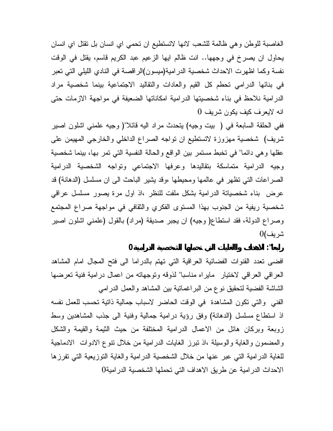الغاصبة للوطن وهي ظالمة للشعب لانها لاتستطيع ان تحمي اي انسان بل تقتل اي انسان يحاول ان يصرخ في وجهها.. انت ظالم ايها الزعيم عبد الكريم قاسم، يقتل في الوقت نفسة وكما اظهرت الاحداث شخصية الدرامية(ميسون)الراقصة في النادي الليلي التي تعبر في بنائها الدرامي تحطم كل القيم والعادات والتقاليد الاجتماعية بينما شخصية مراد الدرامية نلاحظ في بناء شخصيتها الدرامية امكاناتها الضعيفة في مواجهة الازمات حتى انه لايعرف كيف يكون شريف 0

ففي الحلقة السابعة في ( بيت وجيه) يتحدث مراد اليه قائلا"( وجيه علمني اشلون اصير شريف) شخصية مهزوزة لاتستطيع ان تواجه الصراع الداخلي والخارجي المهيمن على عقلها وهي دائما" في تخبط مستمر بين الواقع والحالة النفسية التي تمر بها، بينما شخصية وجيه الدرامية متماسكة بتقاليدها وعرفها الاجتماعي وتواجه الشخصية الدرامية الصراعات التي تظهر في عالمها ومحيطها ،وقد يشير الباحث الى ان مسلسل (الدهانة) قد عرض بناء شخصياتة الدرامية بشكل ملفت للنظر ،اذ اول مرة يصور مسلسل عراقي شخصية ريفية من الجنوب بهذا المستوى الفكري والثقافي في مواجهة صراع المجتمع وصراع الدولة، فقد استطاع( وجيه) ان يجبر صديقة (مراد) بالقول (علمني اشلون اصير شريف)0

**رابعا": الاهداف واالغايات التي تحملها الشخصية الدرامية0**

افضى تعدد القنوات الفضائية العراقية التي تهتم بالدراما الى فتح المجال امام المشاهد العراقي العراقي لاختيار مايراه مناسبا" لذوقه وتوجهاته من اعمال درامية فنية تعرضها الشاشة الفضية لتحقيق نوع من البراغماتية بين المشاهد والعمل الدرامي الفني والتي تكون المشاهدة في الوقت الحاضر لاسباب جمالية ذاتية تحسب للعمل نفسه اذ استطاع مسلسل (الدهانة) وفق رؤية درامية جمالية وفنية الى جذب المشاهدين وسط زوبعة وبركان هائل من الاعمال الدرامية المختلفة من حيث الثيمة والقيمة والشكل والمضمون والغاية والوسيلة ،اذ تبرز الغايات الدرامية من خلال تنوع الادوات الادماجية للغاية الدرامية التي عبر عنها من خلال الشخصية الدرامية والغاية التوزيعية التي تفرزها الاحداث الدرامية عن طريق الاهداف التي تحملها الشخصية الدرامية0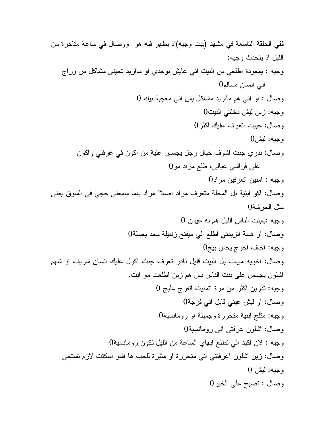ففي الحلقة التاسعة في مشهد (بيت وجيه)اذ يظهر فيه هو ووصال في ساعة متاخرة من الليل اذ يتحدث وجيه: وجيه : يمعودة اطلعي من البيت اني عايش بوحدي او مااريد تجيني مشاكل من وراج اني انسان مسالم وصال : او اني هم مااريد مشاكل بس اني معجبة بيك وجيه: زين ليش دخلتي البيت وصال: حبيت اتعرف عليك اكثر و جيه: ليش وصال: تدري جنت اشوف خيال رجل يجسس علية من اكون في غرفتي واكون على فراشي عبالي، طلع مراد مو وجيه : امنين اتعرفين مراد وصال: اكو ابنية بل المحلة متعرف مراد اصلا" مراد ياما سمعني حجي في السوق يعني مثل الحرشة وجيه :يابنت الناس الليل هم له عيون وصال: او هسة اتريدني اطلع الي ميفتح زنبيلة محد يعبيلة وجيه: اخاف اخوج يحس بيج وصال: اخويه ميبات بل البيت قليل نادر تعرف جنت اكول عليك انسان شريف او شهم اشلون يجسس على بنت الناس بس هم زين اطلعت مو انت. وجيه: تدرين اكثر من مرة اتمنيت اتفرج عليج وصال: او ليش عيني قابل اني فرجة وجيه: مثلج ابنية متحررة وجميلة او رومانسية وصال: اشلون عرفتى اني رومانسية وجيه : لان اكيد الي تطلع ابهاي الساعة من الليل تكون رومانسية وصال: زين اشلون اعرفتني اني متحررة او مثيرة للحب ها اشو اسكتت لازم تستحي وجيه: ليش وصال : تصبح على الخير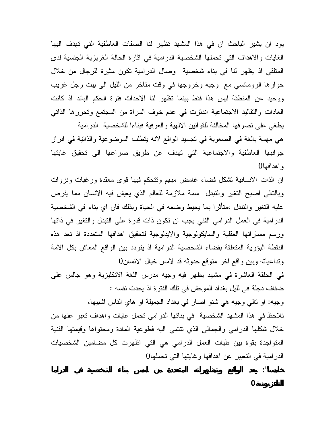يود ان يشير الباحث ان في هذا المشهد تظهر لنا الصفات العاطفية التي تهدف اليها الغايات والاهداف التي تحملها الشخصية الدرامية في اثارة الحالة الغريزية الجنسية لدى المتلقي اذ يظهر لنا في بناء شخصية وصال الدرامية تكون مثيرة للرجال من خلال حوارها الرومانسي مع وجيه وخروجها في وقت متاخر من الليل الى بيت رجل غريب ووحيد عن المنطقة ليس هذا فقط بينما تظهر لنا الاحداث فترة الحكم البائد اذ كانت العادات والتقاليد الاجتماعية اندثرت في عدم خوف المراة من المجتمع وتحررها الذاتي يطغي على تصرفها المخالفة للقوانين الالهية والعرفية فبناءا للشخصية الدرامية هي مهمة بالغة في الصعوبة في تجسيد الواقع لانه يتطلب الموضوعية والذاتية في ابراز جوانبها العاطفية والاجتماعية التي تهدف عن طريق صراعها الى تحقيق غايتها

واهدافها0

ان الذات الانسانية تشكل فضاء غامض مبهم وتتحكم فيها قوى معقدة ورغبات ونزوات وبالتالي اصبح التغير والتبدل سمة ملازمة للعالم الذي يعيش فيه الانسان مما يفرض عليه التغير والتبدل ،متأثرا بما يحيط وضعه في الحياة وبذلك فان اي بناء في الشخصية الدرامية في العمل الدرامي الفني يجب ان تكون ذات قدرة على التبدل والتغير في ذاتها ورسم مساراتها العقلية والسايكولوجية والايدلوجية لتحقيق اهدافها المتعددة اذ تعد هذه النقطة البؤرية المتعلقة بفضاء الشخصية الدرامية اذ يتردد بين الواقع المعاش بكل الامة وتداعياته وبين واقع اخر متوقع حدوثه قد لامس خيال الانسان0

في الحلقة العاشرة في مشهد يظهر فيه وجيه مدرس اللغة الانكليزية وهو جالس على ضفاف دجلة في لليل بغداد الموحش في تلك الفترة اذ يحدث نفسه :

وجيه: او تالي وجيه هي شنو اصار في بغداد الجميلة او هاي الناس اشبيها، نلاحظ في هذا المشهد الشخصية في بنائها الدرامي تحمل غايات واهداف تعبر عنها من خلال شكلها الدرامي والجمالي الذي تنتمي اليه فطوعية المادة ومحتواها وقيمتها الفنية المتواجدة بقوة بين طيات العمل الدرامي هي التي اظهرت كل مضامين الشخصيات الدرامية في التعبير عن اهدافها وغايتها التي تحملها0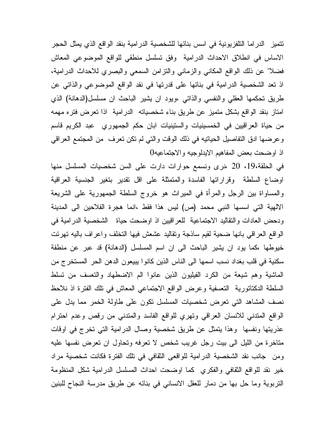تتميز الدراما التلفزيونية في اسس بنائها للشخصية الدرامية بنقد الواقع الذي يمثل الحجر الاساس في انطلاق الاحداث الدرامية وفق تسلسل منطقي للواقع الموضوعي المعاش فضلا" عن ذلك الواقع المكاني والزماني والتزامن السمعي والبصري للاحداث الدرامية، اذ تعد الشخصية الدرامية في بنائها على قدرتها في نقد الواقع الموضوعي والذاتي عن طريق تحكمها العقلي والنفسي والذاتي ،ويود ان يشير الباحث ان مسلسل(الدهانة) الذي امتاز بنقد الواقع بشكل متميز عن طريق بناء شخصياته الدرامية اذا تعرض فتره مهمه من حياة العراقيين في الخمسينيات والستينيات ابان حكم الجمهوري عبد الكريم قاسم وعرضها ادق التفاصيل الحياتيه في ذلك الوقت والتي لم تكن تعرف من المجتمع العراقي اذ اوضحت بعض المفاهيم الايدلوجيه والاجتماعيه0

في الحلقة،19، 20 ،نرى ونسمع حوارات دارت على السن شخصيات المسلسل منها اوضاع السلطة وقراراتها الفاسدة والمتمثلة على اقل تقدير بتغير الجنسية العراقية والمساواة بين الرجل والمرأة في الميراث هو خروج السلطة الجمهورية على الشريعة الالهية التي اسسها النبي محمد (ص) ليس هذا فقط ،انما هجرة الفلاحين الى المدينة ودحض العادات والتقاليد الاجتماعية للعراقيين اذ اوضحت حياة الشخصية الدرامية في الواقع العراقي بانها ضحية لقيم ساذجة وتقاليد عشعش فيها التخلف واعراف باليه تهرئت خيوطها ،كما يود ان يشير الباحث الى ان اسم المسلسل (الدهانة) قد عبر عن منطقة سكنية في قلب بغداد نسب اسمها الى الناس الذين كانوا يبيعون الدهن الحر المستخرج من الماشية وهم شيعة من الكرد الفيليون الذين عانوا الم الاضطهاد والتعسف من تسلط السلطة الدكتاتورية التعسفية وعرض الواقع الاجتماعي المعاش في تلك الفترة اذ نلاحظ نصف المشاهد التي تعرض شخصيات المسلسل تكون على طاولة الخمر مما يدل على الواقع المتدني للانسان العراقي وتهري للواقع الفاسد والمتدني من رقص وعدم احترام عذريتها ونفسها وهذا يتمثل عن طريق شخصية وصال الدرامية التي تخرج في اوقات متاخرة من الليل الى بيت رجل غريب شخص لا تعرفه وتحاول ان تعرض نفسها عليه ومن جانب نقد الشخصية الدرامية للواقعى الثقافي في تلك الفترة فكانت شخصية مراد خير نقد للواقع الثقافي والفكري كما اوضحت احداث المسلسل الدرامية شكل المنظومة التربوية وما حل بها من دمار للعقل الانساني في بنائه عن طريق مدرسة النجاح للبنين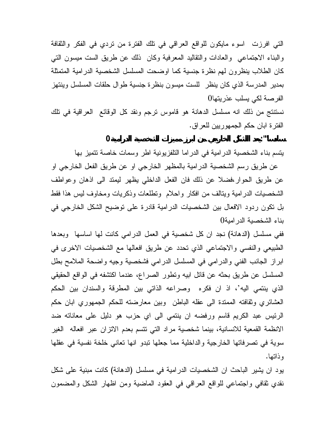التي افرزت اسوء مايكون للواقع العراقي في تلك الفترة من تردي في الفكر والثقافة والبناء الاجتماعي والعادات والتقاليد المعرفية وكان ذلك عن طريق الست ميسون التي كان الطلاب ينظرون لهم نظرة جنسية كما اوضحت المسلسل الشخصية الدرامية المتمثلة بمدير المدرسة الذي كان ينظر للست ميسون بنظرة جنسية طوال حلقات المسلسل وينتهز الفرصة لكي يسلب عذريتها0

نستنتج من ذلك انه مسلسل الدهانة هو قاموس ترجم ونقد كل الوقائع العراقية في تلك الفترة ابان حكم الجمهوريين للعراق.

**سادسا"":يعد االشكل الخارجي من ابرز مميزات الشخصية الدرامية0**

يتسم بناء الشخصية الدرامية في الدراما التلفزيونية اطر وسمات خاصة تتميز بها

عن طريق رسم الشخصية الدرامية بالمظهر الخارجي او عن طريق الفعل الخارجي او عن طريق الحوار،فضلا عن ذلك فان الفعل الداخلي يظهر ليمتد الى اذهان وعواطف الشخصيات الدرامية ويتالف من افكار واحلام وتطلعات وذكريات ومخاوف ليس هذا فقط بل تكون ردود الافعال بين الشخصيات الدرامية قادرة على توضيح الشكل الخارجي في بناء الشخصية الدرامية0

ففي مسلسل (الدهانة) نجد ان كل شخصية في العمل الدرامي كانت لها اساسها وبعدها الطبيعي والنفسي والاجتماعي الذي تحدد عن طريق افعالها مع الشخصيات الاخرى في ابراز الجانب الفني والدرامي في المسلسل الدرامي فشخصية وجيه واضحة الملامح بطل المسلسل عن طريق بحثه عن قاتل ابيه وتطور الصراع، عندما اكتشفه في الواقع الحقيقي الذي ينتمي اليه'، اذ ان فكره وصراعه الذاتي بين المطرقة والسندان بين الحكم العشائري وثقافته الممتدة الى عقله الباطن وبين معارضته للحكم الجمهوري ابان حكم الرئيس عبد الكريم قاسم ورفضه ان ينتمي الى اي حزب هو دليل على معاناته ضد الانظمة القمعية للانسانية، بينما شخصية مراد التي تتسم بعدم الاتزان عبر افعاله الغير سوية في تصرفاتها الخارجية والداخلية مما جعلها تبدو انها تعاني خلخة نفسية في عقلها وذاتها.

يود ان يشير الباحث ان الشخصيات الدرامية في مسلسل (الدهانة) كانت مبنية على شكل نقدي ثقافي واجتماعي للواقع العراقي في العقود الماضية ومن اظهار الشكل والمضمون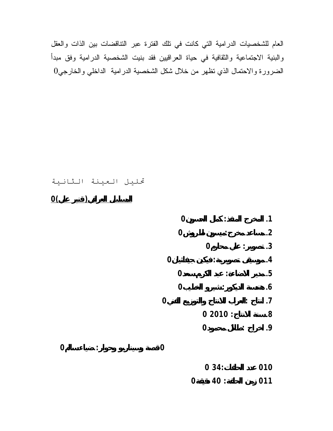العام للشخصيات الدرامية التي كانت في تلك الفترة عبر التناقضات بين الذات والعقل والبنية الاجتماعية والثقافية في حياة العراقيين فقد بنيت الشخصية الدرامية وفق مبدأ الضرورة والاحتمال الذي تظهر من خلال شكل الشخصية الدرامية الداخلي والخارجي

## تحليل العينة الثانية

**المسلسل العراقي( قنبر علي)0**

|   |                |          | 0                | ٠<br>$\bullet$   |                | .1         |
|---|----------------|----------|------------------|------------------|----------------|------------|
|   |                |          | 0                |                  |                | $\cdot$ .2 |
|   |                |          |                  | $\bf{0}$         |                | $\cdot$ 3  |
|   |                | 0        |                  | $\ddot{\cdot}$   |                | $\cdot$    |
|   |                |          | $\overline{0}$   |                  |                | .5         |
|   |                |          | $\boldsymbol{0}$ | $\ddot{\cdot}$   |                | $\cdot 6$  |
|   |                | 0        |                  |                  | $\ddot{\cdot}$ | $\cdot$    |
|   |                |          |                  | 02010:           |                | $\bf 8.$   |
|   |                |          |                  | $\boldsymbol{0}$ |                | .9         |
| 0 | $\ddot{\cdot}$ | $\bf{0}$ |                  |                  |                |            |
|   |                |          |                  | 034:             |                | 010        |
|   |                |          | 0                | 40 :             |                | 011        |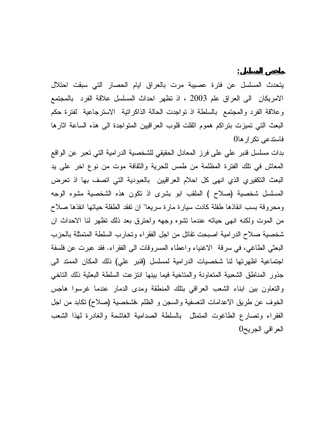يتحدث المسلسل عن فترة عصيبة مرت بالعراق ايام الحصار التي سبقت احتلال الامريكان الى العراق علم 2003 ، اذ تظهر احداث المسلسل علاقة الفرد بالمجتمع وعلاقة الفرد والمجتمع بالسلطة اذ تواجدت الحالة الذاكراتية الاسترجاعية لفترة حكم البعث التي تميزت بتراكم هموم اثقلت قلوب العراقيين المتواجدة الى هذه الساعة اثارها فاستدعى تكرارها0

**ملخص المسلسل:**

بدات مسلسل قنبر علي على فرز المعادل الحقيقي للشخصية الدرامية التي تعبر عن الواقع المعاش في تلك الفترة المظلمة من طمس للحرية والثقافة موت من نوع اخر على يد البعث التكفيري الذي انهى كل احلام العراقيين بالعبودية التي اتصف بها اذ تعرض المسلسل شخصية (صلاح ) الملقب ابو بشرى اذ تكون هذه الشخصية مشوه الوجه ومحروقة بسب انقاذها طفلة كادت سيارة مارة سريعا" ان تفقد الطفلة حياتها انقذها صلاح من الموت ولكنه انهى حياته عندما تشوه وجهه واحترق بعد ذلك تظهر لنا الاحداث ان شخصية صلاح الدرامية اصبحت تقاتل من اجل الفقراء وتحارب السلطة المتمثلة بالحزب البعثي الطاغي، في سرقة الاغنياء واعطاء المسروقات الى الفقراء. فقد عبرت عن فلسفة اجتماعية اظهرتها لنا شخصيات الدرامية لمسلسل (قنبر علي) ذلك المكان الممتد الى جذور المناطق الشعبية المتعاونة والمتاخية فيما بينها انتزعت السلطة البعثية ذلك التاخي والتعاون بين ابناء الشعب العراقي بتلك المنطقة ومدى الدمار عندما غرسوا هاجس الخوف عن طريق الاعدامات التعسفية والسجن و الظلم ،فشخصية (صلاح) تكابد من اجل الفقراء وتصارع الطاغوت المتمثل بالسلطة الصدامية الغاشمة والغادرة لهذا الشعب العراقي الجريح0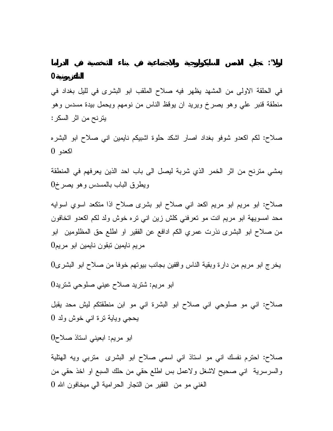**التلفزيونية0**

في الحلقة الاولى من المشهد يظهر فيه صلاح الملقب ابو البشرى في لليل بغداد في منطقة قنبر علي وهو يصرخ ويريد ان يوقظ الناس من نومهم ويحمل بيدة مسدس وهو يترنح من اثر السكر :

صلاح: لكم اكعدو شوفو بغداد اصار اشكد حلوة اشبيكم نايمين اني صلاح ابو البشره اكعدو 0

يمشي مترنح من اثر الخمر الذي شربة ليصل الى باب احد الذين يعرفهم في المنطقة ويطرق الباب بالمسدس وهو يصرخ 0

صلاح: ابو مريم ابو مريم اكعد اني صلاح ابو بشرى صلاح اذا متكعد اسوي اسوايه محد امسويهة ابو مريم انت مو تعرفني كلش زين اني تره خوش ولد لكم اكعدو اتخافون من صلاح ابو البشرى نذرت عمري الكم ادافع عن الفقير او اطلع حق المظلومين ابو مريم نايمين تبقون نايمين ابو مريم 0

يخرج ابو مريم من دارة وبقية الناس واقفين بجانب بيوتهم خوفا من صلاح ابو البشرى 0

ابو مريم: شتريد صلاح عيني صلوحي شتريد 0

صلاح: اني مو صلوحي اني صلاح ابو البشرة اني مو ابن منطقتكم ليش محد يقبل يحجي وياية ترة اني خوش ولد 0

ابو مريم: ابعيني استاذ صلاح 0

صلاح: احترم نفسك اني مو استاذ اني اسمي صلاح ابو البشرى متربي ويه الهتلية والسرسرية اني صحيح لاشغل ولاعمل بس اطلع حقي من حلك السبع او اخذ حقي من الغني مو من الفقير من التجار الحرامية الي ميخافون االله 0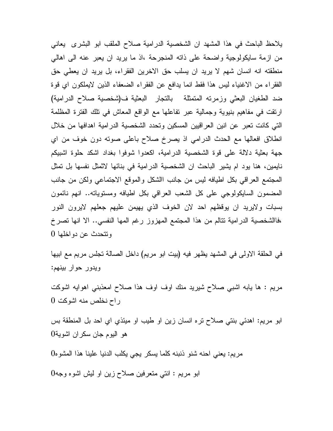يلاحظ الباحث في هذا المشهد ان الشخصية الدرامية صلاح الملقب ابو البشرى يعاني من ازمة سايكولوجية واضحة على ذاته المنجرحة ،اذ ما يريد ان يعبر عنه الى اهالي منطقته انه انسان شهم لا يريد ان يسلب حق الاخرين الفقراء، بل يريد ان يعطي حق الفقراء من الاغنياء ليس هذا فقط انما يدافع عن الفقراء الضعفاء الذين لايملكون اي قوة ضد الطغيان البعثي وزمرته المتمثلة بالتجار البعثية ف(شخصية صلاح الدرامية) ارتقت في مفاهيم بنيوية وجمالية عبر تفاعلها مع الواقع المعاش في تلك الفترة المظلمة التي كانت تعبر عن انين العراقيين المسكين وتحدد الشخصية الدرامية اهدافها من خلال انطلاق افعالها مع الحدث الدرامي اذ يصرخ صلاح باعلى صوته دون خوف من اي جهة بعثية دلالة على قوة الشخصية الدرامية، اكعدوا شوفوا بغداد اشكد حلوة اشبيكم نايمين، هنا يود ام يشير الباحث ان الشخصية الدرامية في بنائها لاثمثل نفسها بل تمثل المجتمع العراقي بكل اطيافه ليس من جانب االشكل والموقع الاجتماعي ولكن من جانب المضمون السايكولوجي على كل الشعب العراقي بكل اطيافه ومستوياته.. انهم نائمون بسبات ولايريد ان يوقظهم احد لان الخوف الذي يهيمن عليهم جعلهم لايرون النور ،فاالشخصية الدرامية تتالم من هذا المجتمع المهزوز رغم المها النفسي.. الا انها تصرخ وتتحدث عن دواخلها 0

في الحلقة الاولى في المشهد يظهر فيه (بيت ابو مريم) داخل الصالة تجلس مريم مع ابيها ويدور حوار بينهم :

مريم : ها يابه اشبي صلاح شيريد منك اوف اوف هذا صلاح امعذبني اهوايه اشوكت راح نخلص منه اشوكت 0

ابو مريم: اهدئي بنتي صلاح تره انسان زين او طيب او ميئذي اي احد بل المنطقة بس هو اليوم جان سكران اشوية 0

مريم: يعني احنه شنو ذنبنه كلما يسكر يجي يكلب الدنيا علينا هذا المشوه 0

ابو مريم : انتي متعرفين صلاح زين او ليش اشوه وجه 0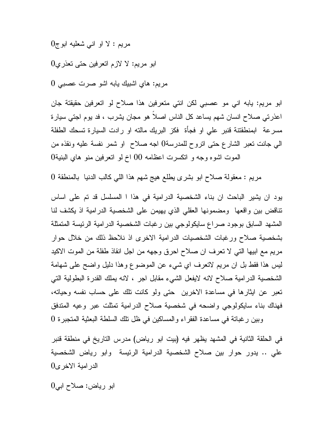مريم : لا او اني شعليه ابوج 0

ابو مريم: لا لازم اتعرفين حتى تعذري 0

مريم: هاي اشبيك يابه اشو صرت عصبي 0

ابو مريم: يابه اني مو عصبي لكن انتي متعرفين هذا صلاح لو اتعرفين حقيقتة جان اعذرتي صلاح انسان شهم يساعد كل الناس اصلاً هو مجان يشرب ، فد يوم اجتي سيارة مسرعة ابمنطقتنة قنبر علي او فجأة فكز البريك مالته او رادت السيارة تسحك الطفلة الي جانت تعبر الشارع حتى اتروح للمدرسة0 اجه صلاح او شمر نفسة عليه ونقذه من الموت اشوه وجه و اتكسرت اعظامه 00 اخ لو اتعرفين منو هاي البنية 0

مريم : معقولة صلاح ابو بشرى يطلع هيج شهم هذا اللي كالب الدنيا بالمنطقة 0

يود ان يشير الباحث ان بناء الشخصية الدرامية في هذا ا المسلسل قد تم على اساس تناقض بين واقعها ومضمونها العقلي الذي يهيمن على الشخصية الدرامية اذ يكشف لنا المشهد السابق بوجود صراع سايكولوجي بين رغبات الشخصية الدرامية الرئيسة المتمثلة بشخصية صلاح ورغبات الشخصيات الدرامية الاخرى اذ نلاحظ ذلك من خلال حوار مريم مع ابيها التي لا تعرف ان صلاح احرق وجهه من اجل انقاذ طفلة من الموت الاكيد ليس هذا فقط بل ان مريم لاتعرف اي شيء عن الموضوع وهذا دليل واضح على شهامة الشخصية الدرامية صلاح لانه لايفعل الشيء مقابل اجر ، لانه يملك القدرة البطولية التي تعبر عن ايثارها في مساعدة الاخرين حتى ولو كانت تلك على حساب نفسه وحياته، فهناك بناء سايكولوجي واضحه في شخصية صلاح الدرامية تمثلت عبر وعيه المتدفق

وبين رغباتة في مساعدة الفقراء والمساكين في ظل تلك السلطة البعثية المتجبرة 0

في الحلقة الثانية في المشهد يظهر فيه (بيت ابو رياض) مدرس التاريخ في منطقة قنبر علي .. يدور حوار بين صلاح الشخصية الدرامية الرئيسة وابو رياض الشخصية الدرامية الاخرى 0

ابو رياض: صلاح ابي 0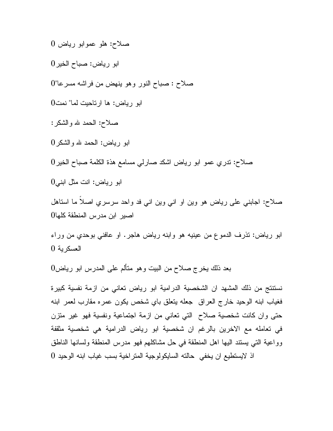صلاح: هلو عموابو رياض 0

ابو رياض: صباح الخير 0

صلاح : صباح النور وهو ينهض من فراشه مسرعا" 0

ابو رياض: ها ارتاحيت لما" نمت 0

صلاح: الحمد الله والشكر :

ابو رياض: الحمد الله والشكر 0

صلاح: تدري عمو ابو رياض اشكد صارلي مسامع هذة الكلمة صباح الخير 0

ابو رياض: انت مثل ابني 0

صلاح: اجابني على رياض هو وين او اني وين اني فد واحد سرسري اصلاً ما استاهل اصير ابن مدرس المنطقة كلها 0

ابو رياض: تذرف الدموع من عينيه هو وابنه رياض هاجر. او عافني بوحدي من وراء العسكرية 0

بعد ذلك يخرج صلاح من البيت وهو متألم على المدرس ابو رياض 0

نستنتج من ذلك المشهد ان الشخصية الدرامية ابو رياض تعاني من ازمة نفسية كبيرة فغياب ابنه الوحيد خارج العراق جعله يتعلق باي شخص يكون عمره مقارب لعمر ابنه حتى وان كانت شخصية صلاح التي تعاني من ازمة اجتماعية ونفسية فهو غير متزن في تعامله مع الاخرين بالرغم ان شخصية ابو رياض الدرامية هي شخصية مثقفة وواعية التي يستند اليها اهل المنطقة في حل مشاكلهم فهو مدرس المنطقة ولسانها الناطق اذ لايستطيع ان يخفي حالته السايكولوجية المتراخية بسب غياب ابنه الوحيد 0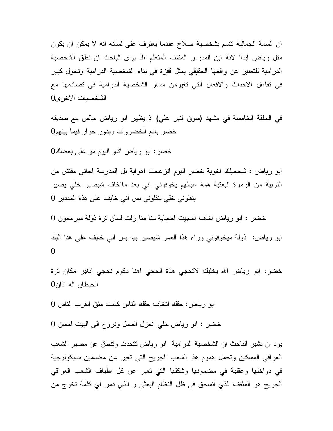ان السمة الجمالية تتسم بشخصية صلاح عندما يعترف على لسانه انه لا يمكن ان يكون مثل رياض ابدا" لانة ابن المدرس المثقف المتعلم ،اذ يرى الباحث ان نطق الشخصية الدرامية للتعبير عن واقعها الحقيقي يمثل قفزة في بناء الشخصية الدرامية وتحول كبير في تفاعل الاحداث والافعال التي تغيرمن مسار الشخصية الدرامية في تصادمها مع الشخصيات الاخرى 0

في الحلقة الخامسة في مشهد (سوق قنبر علي) اذ يظهر ابو رياض جالس مع صديقه خضر بائع الخضروات ويدور حوار فيما بينهم 0

خضر: ابو رياض اشو اليوم مو على بعضك 0

ابو رياض : شحجيلك اخوية خضر اليوم انزعجت اهواية بل المدرسة اجاني مفتش من التربية من الزمرة البعثية همة عبالهم يخوفوني اني بعد مااخاف شيصير خلي يصير ينقلوني خلي ينقلوني بس اني خايف على هذة المددير 0

خضر : ابو رياض اخاف احجيت احجاية منا منا زلت لسان ترة ذولة ميرحمون 0

ابو رياض: ذولة ميخوفوني وراء هذا العمر شيصير بيه بس اني خايف على هذا البلد 0

خضر: ابو رياض الله يخليك لاتحجي هذة الحجي اهنا دكوم نحجي ابغير مكان ترة الحيطان اله اذان 0

ابو رياض: حقك اتخاف حقك الناس كامت مثق ابقرب الناس 0

خضر : ابو رياض خلي انعزل المحل ونروح الى البيت احسن 0

يود ان يشير الباحث ان الشخصية الدرامية ابو رياض تتحدث وتنطق عن مصير الشعب العراقي المسكين وتحمل هموم هذا الشعب الجريح التي تعبر عن مضامين سايكولوجية في دواخلها وعقلية في مضمونها وشكلها التي تعبر عن كل اطياف الشعب العراقي الجريح هو المثقف الذي انسحق في ظل النظام البعثي و الذي دمر اي كلمة تخرج من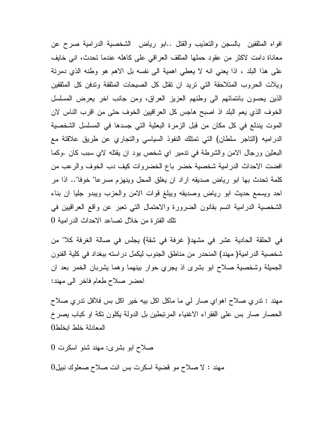افواه المثقفين بالسجن والتعذيب والقتل ..ابو رياض الشخصية الدرامية صرح عن معاناة دامت لاكثر من عقود حملها المثقف العراقي على كاهله عندما تحدث، اني خايف على هذا البلد ، اذا يعني انه لا يعطي اهمية الى نفسه بل الاهم هو وطنه الذي دمرتة ويلات الحروب المتلاحقة التي تريد ان تقتل كل الصيحات المثقفة وتدفن كل المثقفين الذين يحسون بانتمائهم الى وطنهم العزيز العراق، ومن جانب اخر يعرض المسلسل الخوف الذي يعم البلد اذ اصبح هاجس كل العراقيين الخوف حتى من اقرب الناس لان الموت يندلع في كل مكان من قبل الزمرة البعثية التي جسدها في المسلسل الشخصية الدراميه (التاجر سلطان) التي تمتلك النفوذ السياسي والتجاري عن طريق علاقتة مع البعثين ورجال الامن والشرطة في تدمير اي شخص يود ان يقتله لاي سبب كان .وكما افضت الاحداث الدرامية شخصية خضر باع الخضروات كيف دب الخوف والرعب من كلمة تحدث بها ابو رياض صديقه اراد ان يغلق المحل وينهزم مسرعا" خوفا".. اذا مر احد ويسمع حديث ابو رياض وصديقه ويبلغ قوات الامن والحزب ويبدو جليا ان بناء الشخصية الدرامية اتسم بقانون الضرورة والاحتمال التي تعبر عن واقع العراقيين في تلك الفترة من خلال تصاعد الاحداث الدرامية 0

في الحلقة الحادية عشر في مشهد( غرفة في شقة) يجلس في صالة الغرفة كلا" من شخصية الدرامية( مهند) المنحدر من مناطق الجنوب ليكمل دراسته ببغداد في كلية الفنون الجميلة وشخصية صلاح ابو بشرى اذ يجري حوار بينهما وهما يشربان الخمر بعد ان احضر صلاح طعام فاخر الى مهند :

مهند : تدري صلاح اهواي صار لي ما ماكل اكل بيه خير اكل بس فلافل تدري صلاح الحصار صار بس على الفقراء الاغنياء المرتبطين بل الدولة يكلون تكة او كباب يصرخ المعادلة خلط ابخلط 0

صلاح ابو بشرى: مهند شنو اسكرت 0

مهند : لا صلاح مو قضية اسكرت بس انت صلاح صعلوك نبيل 0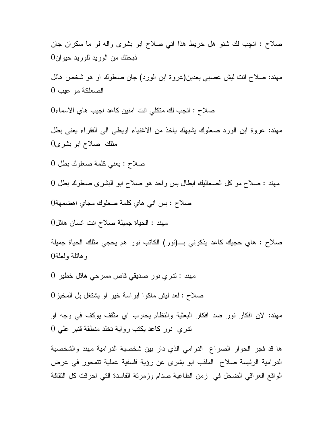صلاح : انچب لك شنو هل خريط هذا اني صلاح ابو بشرى واله لو ما سكران جان ذبحتك من الوريد للوريد حيوان 0

مهند: صلاح انت ليش عصبي بعدين(عروة ابن الورد) جان صعلوك او هو شخص هائل الصعلكة مو عيب 0

صلاح : انجب لك متكلي انت امنين كاعد اجيب هاي الاسماء 0

مهند: عروة ابن الورد صعلوك يشبهك ياخذ من الاغنياء اويطي الى الفقراء يعني بطل مثلك صلاح ابو بشرى 0

صلاح : يعني كلمة صعلوك بطل 0

مهند : صلاح مو كل الصعاليك ابطال بس واحد هو صلاح ابو البشرى صعلوك بطل 0 صلاح : بس اني هاي كلمة صعلوك مجاي اهضمهة 0

مهند : الحياة جميلة صلاح انت انسان هائل 0

صلاح : هاي حجيك كاعد يذكرني بـ(نور) الكاتب نور هم يحجي مثلك الحياة جميلة وهائلة ولعلة 0

مهند : تدري نور صديقي قاص مسرحي هائل خطير 0

صلاح : لعد ليش ماكوا ابراسة خير او يشتغل بل المخبز 0

مهند: لان افكار نور ضد افكار البعثية والنظام يحارب اي مثقف يوكف في وجه او تدري نور كاعد يكتب رواية تخلد منطقة قنبر علي 0

ها قد فجر الحوار الصراع الدرامي الذي دار بين شخصية الدرامية مهند والشخصية الدرامية الرئيسة صلاح الملقب ابو بشرى عن رؤية فلسفية عملية تتمحور في عرض الواقع العراقي الضحل في زمن الطاغية صدام وزمرتة الفاسدة التي احرقت كل الثقافة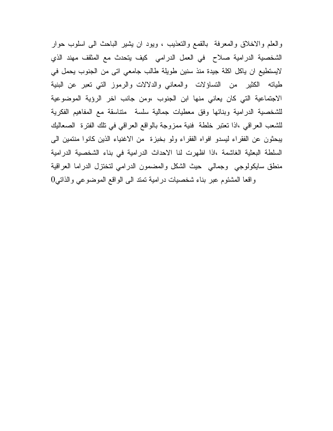والعلم والاخلاق والمعرفة بالقمع والتعذيب ، ويود ان يشير الباحث الى اسلوب حوار الشخصية الدرامية صلاح في العمل الدرامي كيف يتحدث مع المثقف مهند الذي لايستطيع ان ياكل اكلة جيدة منذ سنين طويلة طالب جامعي اتى من الجنوب يحمل في طياته الكثير من التساؤلات والمعاني والدلالات والرموز التي تعبر عن البنية الاجتماعية التي كان يعاني منها ابن الجنوب ،ومن جانب اخر الرؤية الموضوعية للشخصية الدرامية وبنائها وفق معطيات جمالية سلسة متناسقة مع المفاهيم الفكرية للشعب العراقي ،اذا تعتبر خلطة فنية ممزوجة بالواقع العراقي في تلك الفترة الصعاليك يبحثون عن الفقراء ليسدو افواه الفقراء ولو بخبزة من الاغنياء الذين كانوا منتمين الى السلطة البعثية الغاشمة ،اذا اظهرت لنا الاحداث الدرامية في بناء الشخصية الدرامية منطق سايكولوجي وجمالي حيث الشكل والمضمون الدرامي لتختزل الدراما العراقية واقعا المشئوم عبر بناء شخصيات درامية تمتد الى الواقع الموضوعي والذاتي 0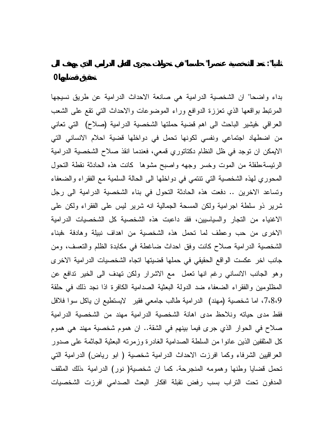بداء واضحا" ان الشخصية الدرامية هي صانعة الاحداث الدرامية عن طريق نسيجها المرتبط بواقعها الذي تعززة الدوافع وراء الموضوعات والاحداث التي تقع على الشعب العراقي ،فيشير الباحث الى اهم قضية حملتها الشخصية الدرامية (صلاح) التي تعاني من اضطهاد اجتماعي ونفسي لكونها تحمل في دواخلها قضية احلام الانساني التي الايمكن ان توجد في ظل النظام دكتاتوري قمعي، فعندما انقذ صلاح الشخصية الدرامية الرئيسة،طفلة من الموت وخسر وجهه واصبح مشوها كانت هذه الحادثة نقطة التحول المحوري لهذه الشخصية التي تنتمي في دواخلها الى الحالة السلمية مع الفقراء والضعفاء وتساعد الاخرين .. دفعت هذه الحادثة التحول في بناء الشخصية الدرامية الى رجل شرير ذو سلطة اجرامية ولكن المسحة الجمالية انه شرير ليس على الفقراء ولكن على الاغنياء من التجار والسياسيين، فقد داعبت هذه الشخصية كل الشخصيات الدرامية الاخرى من حب وعطف لما تحمل هذه الشخصية من اهداف نبيلة وهادفة ،فبناء الشخصية الدرامية صلاح كانت وفق احداث ضاغطة في مكابدة الظلم والتعسف، ومن جانب اخر عكست الواقع الحقيقي في حملها قضيتها اتجاه الشخصيات الدرامية الاخرى وهو الجانب الانساني رغم انها تعمل مع الاشرار ولكن تهدف الى الخير تدافع عن المظلومين والفقراء الضعفاء ضد الدولة البعثية الصدامية الكافرة اذا نجد ذلك في حلقة ،7،8،9 اما شخصية (مهند) الدرامية طالب جامعي فقير لايستطيع ان ياكل سوا فلافل فقط مدى حياته ونلاحظ مدى اهانة الشخصية الدرامية مهند من الشخصية الدرامية صلاح في الحوار الذي جرى فيما بينهم في الشقة.. ان هموم شخصية مهند هي هموم كل المثقفين الذين عانوا من السلطة الصدامية الغادرة وزمرته البعثية الجاثمة على صدور العراقيين الشرفاء وكما افرزت الاحداث الدرامية شخصية ( ابو رياض) الدرامية التي تحمل قضايا وطنها وهمومه المنجرحة. كما ان شخصية( نور) الدرامية ،ذلك المثقف المدفون تحت التراب بسب رفض تقبلة افكار البعث الصدامي افرزت الشخصيات

**ثانيا": تعد الشخصية عنصرا" حاسما" في تحولات مجرى الفعل الدرامي الذي يهدف الى**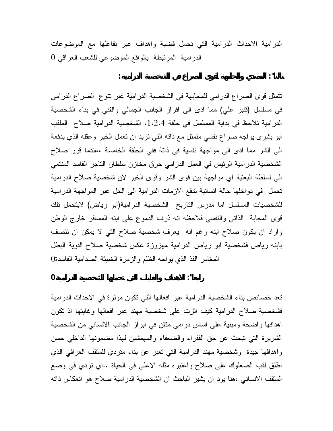الدرامية الاحداث الدرامية التي تحمل قضية واهداف عبر تفاعلها مع الموضوعات الدرامية المرتبطة بالواقع الموضوعي للشعب العراقي 0

**ثالثا": التصدي والجابهة لقوى الصراع في الشخصية الدرامية:**

تتمثل قوى الصراع الدرامي للمجابهة في الشخصية الدرامية عبر تنوع الصراع الدرامي في مسلسل (قنبر علي) مما ادى الى افراز الجانب الجمالي والفني في بناء الشخصية الدرامية نلاحظ في بداية المسلسل في حلقة ،1،2،4 الشخصية الدرامية صلاح الملقب ابو بشرى يواجه صراع نفسي متمثل مع ذاته التي تريد ان تعمل الخير وعقله الذي يدفعة الى الشر مما ادى الى مواجهة نفسية في ذاتة ففي الحلقة الخامسة ،عندما قرر صلاح الشخصية الدرامية الرئيس في العمل الدرامي حرق مخازن سلطان التاجر الفاسد المنتمي الى لسلطة البعثية اي مواجهة بين قوى الشر وقوى الخير لان شخصية صلاح الدرامية تحمل في دواخلها حالة انسانية تدفع الازمات الدرامية الى الحل عبر المواجهة الدرامية للشخصيات المسلسل اما مدرس التاريخ الشخصية الدرامية(ابو رياض) لايتحمل تلك قوى المجابة الذاتي والنفسي فلاحظه انه ذرف الدموع على ابنه المسافر خارج الوطن واراد ان يكون صلاح ابنه رغم انه يعرف شخصية صلاح التي لا يمكن ان تتصف بابنه رياض فشخصية ابو رياض الدرامية مهزوزة عكس شخصية صلاح القوية البطل المغامر الفذ الذي يواجه الظلم والزمرة الخبيثة الصدامية الفاسدة 0

**رابعا": الاهداف والغايات التي تحملها الشخصية الدرامية 0**

تعد خصائص بناء الشخصية الدرامية عبر افعالها التي تكون موثرة في الاحداث الدرامية فشخصية صلاح الدرامية كيف اثرت على شخصية مهند عبر افعالها وغايتها اذ تكون اهدافها واضحة ومبنية على اساس درامي متقن في ابراز الجانب الانساني من الشخصية الشريرة التي تبحث عن حق الفقراء والضعفاء والمهمشين لهذا مضمونها الداخلي حسن واهدافها جيدة وشخصية مهند الدرامية التي تعبر عن بناء متردي للمثقف العراقي الذي اطلق لقب الصعلوك على صلاح واعتبره مثله الاعلى في الحياة ..اي تردي في وضع المثقف الانساني ،هنا يود ان يشير الباحث ان الشخصية الدرامية صلاح هو انعكاس ذاته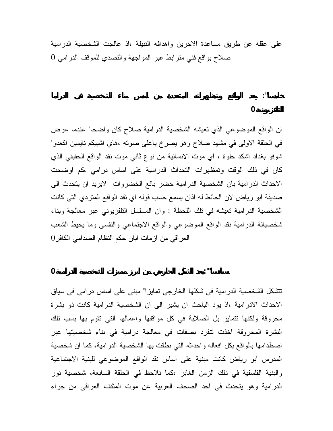على عقله عن طريق مساعدة الاخرين واهدافه النبيلة ،اذ عالجت الشخصية الدرامية صلاح بواقع فني مترابط عبر المواجهة والتصدي للموقف الدرامي 0

ان الواقع الموضوعي الذي تعيشه الشخصية الدرامية صلاح كان واضحا" عندما عرض في الحلقة الاولى في مشهد صلاح وهو يصرخ باعلى صوته ،هاي اشبيكم نايمين اكعدوا شوفو بغداد اشكد حلوة ، اي موت الانسانية من نوع ثاني موت نقد الواقع الحقيقي الذي كان في ذلك الوقت وتمظهرات التحداث الدرامية على اساس درامي ،كم اوضحت الاحداث الدرامية بان الشخصية الدرامية خضر بائع الخضروات لايريد ان يتحدث الى صديقة ابو رياض لان الحائط له اذان يسمع حسب قوله اي نقد الواقع المتردي التي كانت الشخصية الدرامية تعيشه في تلك اللحظة : وان المسلسل التلفزيوني عبر معالجة وبناء شخصياتة الدرامية نقد الواقع الموضوعي والواقع الاجتماعي والنفسي وما يحيط الشعب العراقي من ازمات ابان حكم النظام الصدامي الكافر 0

**سادسا"":يعد الشكل الخارجي من ابرز مميزات الشخصية الدرامية0**

تتشكل الشخصية الدرامية في شكلها الخارجي تمايزا" مبني على اساس درامي في سياق الاحداث الادرامية ،اذ يود الباحث ان يشير الى ان الشخصية الدرامية كانت ذو بشرة محروقة ولكنها تتمايز بل الصلابة في كل مواقفها واعمالها التي تقوم بها بسب تلك البشرة المحروقة اخذت تنفرد بصفات في معالجة درامية في بناء شخصيتها عبر اصطدامها بالواقع بكل افعاله واحداثه التي نطقت بها الشخصية الدرامية، كما ان شخصية المدرس ابو رياض كانت مبنية على اساس نقد الواقع الموضوعي للبنية الاجتماعية والبنية الفلسفية في ذلك الزمن الغابر ،كما نلاحظ في الحلقة السابعة، شخصية نور الدرامية وهو يتحدث في احد الصحف العربية عن موت المثقف العراقي من جراء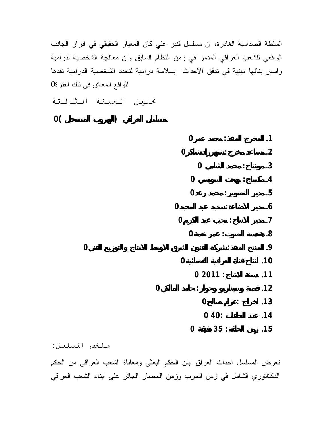السلطة الصدامية الغادرة، ان مسلسل قنبر علي كان المعيار الحقيقي في ابراز الجانب الواقعي للشعب العراقي المدمر في زمن النظام السابق وان معالجة الشخصية لدرامية واسس بنائها مبنية في تدفق الاحداث بسلاسة درامية لتحدد الشخصية الدرامية نقدها للواقع المعاش في تلك الفترة

- تحليل العينة الثالثة
- **مسلسل العراقي (الهروب المستحيل )0**

|                | 0                |                      | $\cdot$ 1     |
|----------------|------------------|----------------------|---------------|
|                | $\boldsymbol{0}$ | $\ddot{\phantom{0}}$ | $\cdot$ .2    |
|                | $\bf{0}$         |                      | .3            |
|                | $\boldsymbol{0}$ |                      | $\cdot$       |
|                | $\boldsymbol{0}$ | $\ddot{\cdot}$       | .5            |
|                | $\bf{0}$         | $\ddot{\phantom{0}}$ | $\mathbf{.6}$ |
|                | $\bf{0}$         | $\ddot{\cdot}$       | $\cdot$       |
|                | $\bf{0}$         | $\ddot{\cdot}$       | 8.            |
| $\overline{0}$ |                  |                      | .9            |
|                | $\boldsymbol{0}$ | $\ddot{\cdot}$       | .10           |
|                |                  | 02011:               | .11           |
| $\mathbf 0$    | $\ddot{\cdot}$   |                      | .12           |
|                | $\boldsymbol{0}$ | $\ddot{\cdot}$       | .13           |
|                |                  | 040:                 | .14           |
|                | $\boldsymbol{0}$ | 35:                  | .15           |

ملخص المسلسل : تعرض المسلسل احداث العراق ابان الحكم البعثي ومعاناة الشعب العراقي من الحكم الدكتاتوري الشامل في زمن الحرب وزمن الحصار الجائر على ابناء الشعب العراقي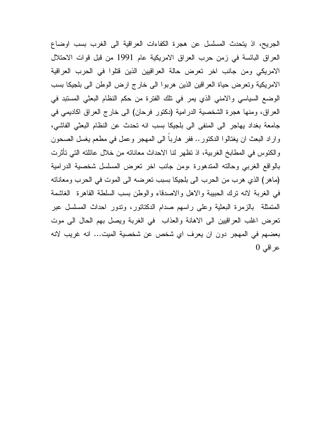الجريح، اذ يتحدث المسلسل عن هجرة الكفاءات العراقية الى الغرب بسب اوضاع العراق البائسة في زمن حرب العراق الامريكية عام 1991 من قبل قوات الاحتلال الامريكي ومن جانب اخر تعرض حالة العراقيين الذين قتلوا في الحرب العراقية الامريكية وتعرض حياة العراقين الذين هربوا الى خارج ارض الوطن الى بلجيكا بسب الوضع السياسي والامني الذي يمر في تلك الفترة من حكم النظام البعثي المستبد في العراق، ومنها هجرة الشخصية الدرامية (دكتور فرحان) الى خارج العراق اكاديمي في جامعة بغداد يهاجر الى المنفى الى بلجيكا بسب انه تحدث عن النظام البعثي الفاشي، واراد البعث ان يغتالوا الدكتور.. ففر هارباً الى المهجر وعمل في مطعم يغسل الصحون والكئوس في المطابخ الغربية، اذ تظهر لنا الاحداث معاناته من خلال عائلته التي تأثرت بالواقع الغربي وحالته المتدهورة ،ومن جانب اخر تعرض المسلسل شخصية الدرامية (ماهر) الذي هرب من الحرب الى بلجيكا بسبب تعرضه الى الموت في الحرب ومعاناته في الغربة لانه ترك الحبيبة والاهل والاصدقاء والوطن بسب السلطة القاهرة الغاشمة المتمثلة بالزمرة البعثية وعلى راسهم صدام الدكتاتور، وتدور احداث المسلسل عبر تعرض اغلب العراقيين الى الاهانة والعذاب في الغربة ويصل بهم الحال الى موت بعضهم في المهجر دون ان يعرف اي شخص عن شخصية الميت... انه غريب لانه عراقي 0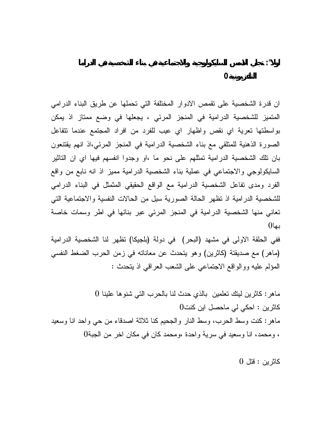ان قدرة الشخصية على تقمص الادوار المختلفة التي تحملها عن طريق البناء الدرامي المتميز للشخصية الدرامية في المنجز المرئي ، يجعلها في وضع ممتاز اذ يمكن بواسطتها تعرية اي نقص واظهار اي عيب للفرد من افراد المجتمع عندما تتفاعل الصورة الذهنية للمتلقي مع بناء الشخصية الدرامية في المنجز المرئي،اذ انهم يقتنعون بان تلك الشخصية الدرامية تمثلهم على نحو ما ،او وجدوا انفسهم فيها اي ان التاثير السايكولوجي والاجتماعي في عملية بناء الشخصية الدرامية مميز اذ انه نابع من واقع الفرد ومدى تفاعل الشخصية الدرامية مع الواقع الحقيقي المثمثل في البناء الدرامي للشخصية الدرامية اذ تظهر الحالة الصورية سيل من الحالات النفسية والاجتماعية التي تعاني منها الشخصية الدرامية في المنجز المرئي عبر بنائها في اطر وسمات خاصة

**اولا": تجلي الاسس السايكولوجية والاجتماعية في بناء الشخصية في الدراما**

ففي الحلقة الاولى في مشهد (البحر) في دولة (بلجيكا) تظهر لنا الشخصية الدرامية (ماهر) مع صديقتة (كاثرين) وهو يتحدث عن معاناته في زمن الحرب الضغط النفسي المؤلم عليه ووالواقع الاجتماعي على الشعب العراقي اذ يتحدث :

ماهر: كاثرين ليتك تعلمين بالذي حدث لنا بالحرب التي شنوها علينا 0 كاثرين : احكي لي ماحصل اين كنت0 ماهر: كنت وسط الحرب، وسط النار والجحيم كنا ثلاثة اصدقاء من حي واحد انا وسعيد ، ومحمد، انا وسعيد في سرية واحدة ،ومحمد كان في مكان اخر من الجبة0

كاثرين : قتل 0

بها0

 **التلفزيونية0**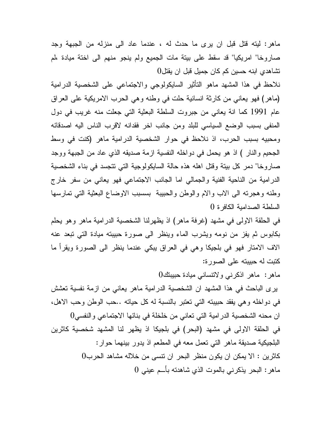ماهر: ليته قتل قبل ان يرى ما حدث له ، عندما عاد الى منزله من الجبهة وجد صاروخا" امريكيا" قد سقط على بيتة مات الجميع ولم ينجو منهم الى اختة ميادة ،لم تشاهدي ابنه حسين كم كان جميل قبل ان يقتل0

نلاحظ في هذا المشهد ماهو التأثير السايكولوجي والاجتماعي على الشخصية الدرامية (ماهر) فهو يعاني من كارثة انسانية حلت في وطنه وهي الحرب الامريكية على العراق عام 1991 كما انة يعاني من جبروت السلطة البعثية التي جعلت منه غريب في دول المنفى بسبب الوضع السياسي للبلد ومن جانب اخر فقدانه لاقرب الناس اليه اصدقائه ومحبيه بسبب الحرب، اذ نلاحظ في حوار الشخصية الدرامية ماهر (كنت في وسط الجحيم والنار ) اذ هو يحمل في دواخله النفسية ازمة صديقه الذي عاد من الجبهة ووجد صاروخا" دمر كل بيتة وقتل اهله هذه حالة السايكولوجية التي تتجسد في بناء الشخصية الدرامية من الناحية الفنية والجمالي اما الجانب الاجتماعي فهو يعاني من سفر خارج وطنه وهجرته الى الاب والام والوطن والحبيبة بسسبب الاوضاع البعثية التي تمارسها السلطة الصدامية الكافرة 0

في الحلقة الاولى في مشهد (غرفة ماهر) اذ يظهرلنا الشخصية الدرامية ماهر وهو يحلم بكابوس ثم يفز من نومه ويشرب الماء وينظر الى صورة حبيبته ميادة التي تبعد عنه الاف الامتار فهو في بلجيكا وهي في العراق يبكي عندما ينظر الى الصورة ويقرأ ما كتبت له حبيبته على الصورة:

ماهر: ماهر اذكرني ولاتنساني ميادة حبيبتك0

يرى الباحث في هذا المشهد ان الشخصية الدرامية ماهر يعاني من ازمة نفسية تعشش في دواخله وهي يفقد حبيبته التي تعتبر بالنسبة له كل حياته ..حب الوطن وحب الاهل، ان محنه الشخصية الدرامية التي تعاني من خلخلة في بنائها الاجتماعي والنفسي0 في الحلقة الاولى في مشهد (البحر) في بلجيكا اذ يظهر لنا المشهد شخصية كاثرين البلجيكية صديقة ماهر التي تعمل معه في المطعم اذ يدور بينهما حوار: كاثرين : الا يمكن ان يكون منظر البحر ان تنسى من خلاله مشاهد الحرب0 ماهر: البحر يذكرني بالموت الذي شاهدته بأـم عيني 0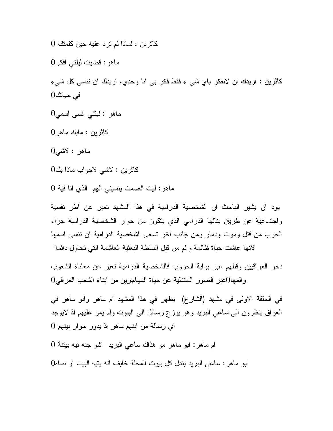كاثرين : لماذا لم ترد عليه حين كلمتك 0

ماهر: قضيت ليلتي افكر 0

كاثرين : اريدك ان لاتفكر باي شي ء فقط فكر بي انا وحدي، اريدك ان تنسى كل شيء في حياتك 0

ماهر : ليتني انسى اسمى $0$ 

كاثرين : مابك ماهر 0

ماهر : لاشي 0

كاثرين : لاشي لاجواب ماذا بك 0

ماهر: ليت الصمت ينسيني الهم الذي انا فية 0

يود ان يشير الباحث ان الشخصية الدرامية في هذا المشهد تعبر عن اطر نفسية واجتماعية عن طريق بنائها الدرامي الذي يتكون من حوار الشخصية الدرامية جراء الحرب من قتل وموت ودمار ومن جانب اخر تسعى الشخصية الدرامية ان تنسى اسمها لانها عاشت حياة ظالمة والم من قبل السلطة البعثية الغاشمة التي تحاول دائما "

دحر العراقيين وقتلهم عبر بوابة الحروب فالشخصية الدرامية تعبر عن معاناة الشعوب والمها0عبر الصور المتتالية عن حياة المهاجرين من ابناء الشعب العراقي 0

في الحلقة الاولى في مشهد (الشارع) يظهر في هذا المشهد ام ماهر وابو ماهر في العراق ينظرون الى ساعي البريد وهو يوزع رسائل الى البيوت ولم يمر عليهم اذ لايوجد اي رسالة من ابنهم ماهر اذ يدور حوار بينهم 0

ام ماهر: ابو ماهر مو هذاك ساعي البريد اشو جنه تيه بيتنة 0

ابو ماهر: ساعي البريد يندل كل بيوت المحلة خايف انه يتيه البيت او نساه 0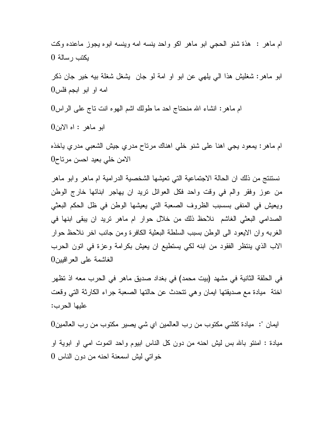ام ماهر : هذة شنو الحجي ابو ماهر اكو واحد ينسه امه وينسه ابوه يجوز ماعنده وكت يكتب رسالة 0

ابو ماهر: شغليش هذا الي يلهي عن ابو او امة لو جان يشغل شغلة بيه خير جان ذكر امه او ابو ابجم فلس 0

ام ماهر: انشاء االله منحتاج احد ما طولك اشم الهوه انت تاج على الراس 0

ابو ماهر : اه الابن 0

ام ماهر: يمعود يجي اهنا على شنو خلي اهناك مرتاح مدري جيش الشعبي مدري ياخذه الامن خلي بعيد احسن مرتاح 0

نستنتج من ذلك ان الحالة الاجتماعية التي تعيشها الشخصية الدرامية ام ماهر وابو ماهر من عوز وفقر والم في وقت واحد فكل العوائل تريد ان يهاجر ابنائها خارج الوطن ويعيش في المنفى بسسبب الظروف الصعبة التي يعيشها الوطن في ظل الحكم البعثي الصدامي البعثي الغاشم نلاحظ ذلك من خلال حوار ام ماهر تريد ان يبقى ابنها في الغربه وان الايعود الى الوطن بسبب السلطة البعثية الكافرة ومن جانب اخر نلاحظ حوار الاب الذي ينتظر الفقود من ابنه لكي يستطيع ان يعيش بكرامة وعزة في اتون الحرب الغاشمة على العراقيين 0

في الحلقة الثانية في مشهد (بيت محمد) في بغداد صديق ماهر في الحرب معه اذ تظهر اختة ميادة مع صديقتها ايمان وهي تتحدث عن حالتها الصعبة جراء الكارثة التي وقعت عليها الحرب :

ايمان ": ميادة كلشي مكتوب من رب العالمين اي شي يصير مكتوب من رب العالمين 0 ميادة : امنتو باالله بس ليش احنه من دون كل الناس ابيوم واحد اتموت امي او ابوية او خواتي ليش اسمعنة احنه من دون الناس 0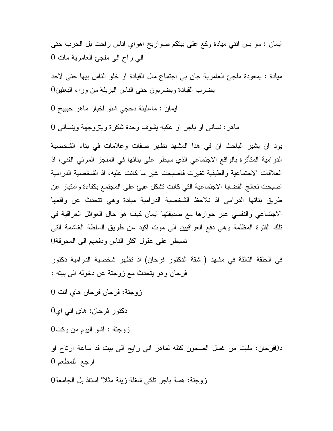ايمان : مو بس انتي ميادة وكع على بيتكم صواريخ اهواي اناس راحت بل الحرب حتى الي راح الى ملجئ العامرية مات 0

ميادة : يمعودة ملجئ العامرية جان بي اجتماع مال القيادة او خلو الناس بيها حتى لاحد يضرب القيادة ويضربون حتى الناس البريئة من وراء البعثين 0

ايمان : ماعلينة دحجي شنو اخبار ماهر حبيبج 0

ماهر: نساني او باجر او عكبه يشوف وحدة شكرة ويتزوجهة وينساني 0

يود ان يشير الباحث ان في هذا المشهد تظهر صفات وعلامات في بناء الشخصية الدرامية المتأثرة بالواقع الاجتماعي الذي سيطر على بنائها في المنجز المرئي الفني، اذ العلاقات الاجتماعية والطبقية تغيرت فاصبحت غير ما كانت عليه، اذ الشخصية الدرامية اصبحت تعالج القضايا الاجتماعية التي كانت تشكل عبئ على المجتمع بكفاءة وامتياز عن طريق بنائها الدرامي اذ نلاحظ الشخصية الدرامية ميادة وهي تتحدث عن واقعها الاجتماعي والنفسي عبر حوارها مع صديقتها ايمان كيف هو حال العوائل العراقية في تلك الفترة المظلمة وهي دفع العراقيين الى موت اكيد عن طريق السلطة الغاشمة التي تسيطر على عقول اكثر الناس ودفعهم الى المحرقة 0

في الحلقة الثالثة في مشهد ( شقة الدكتور فرحان) اذ تظهر شخصية الدرامية دكتور فرحان وهو يتحدث مع زوجتة عن دخوله الى بيته :

زوجتة: فرحان فرحان هاي انت 0

دكتور فرحان: هاي اني اي 0

زوجتة : اشو اليوم من وكت 0

د0فرحان: مليت من غسل الصحون كتله لماهر اني رايح الى بيت فد ساعة ارتاح او ارجع للمطعم 0

زوجتة: هسة باجر تلكي شغلة زينة مثلا" استاذ بل الجامعة 0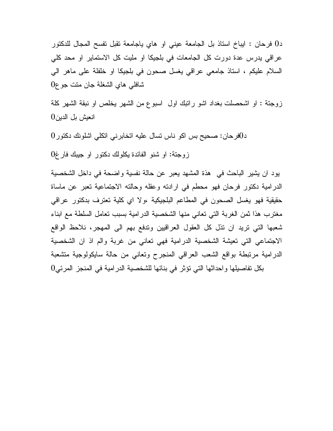د0 فرحان : ايباخ استاذ بل الجامعة عيني او هاي ياجامعة تقبل تفسح المجال للدكتور عراقي يدرس عدة دورت كل الجامعات في بلجيكا او مليت كل الاستماير او محد كلي السلام عليكم ، استاذ جامعي عراقي يغسل صحون في بلجيكا او خلفلة على ماهر الي شافلي هاي الشغلة جان متت جوع 0

زوجتة : او اشحصلت بغداد اشو راتبك اول اسبوع من الشهر يخلص او نبقة الشهر كلة انعيش بل الدين 0

د0فرحان: صحيح بس اكو ناس تسال عليه اتخابرني اتكلي اشلونك دكتور 0

زوجتة: او شنو الفائدة يكلولك دكتور او جيبك فارغ 0

يود ان يشير الباحث في هذة المشهد يعبر عن حالة نفسية واضحة في داخل الشخصية الدرامية دكتور فرحان فهو محطم في ارادته وعقله وحالته الاجتماعية تعبر عن ماساة حقيقية فهو يغسل الصحون في المطاعم البلجيكية ،ولا اي كلية تعترف بدكتور عراقي مغترب هذا ثمن الغربة التي تعاني منها الشخصية الدرامية بسبب تعامل السلطة مع ابناء شعبها التي تريد ان تذل كل العقول العراقيين وتدفع بهم الى المهجر، نلاحظ الواقع الاجتماعي التي تعيشة الشخصية الدرامية فهي تعاني من غربة والم اذ ان الشخصية الدرامية مرتبطة بواقع الشعب العراقي المنجرح وتعاني من حالة سايكولوجية متشعبة بكل تفاصيلها واحداثها التي تؤثر في بنائها للشخصية الدرامية في المنجز المرئي 0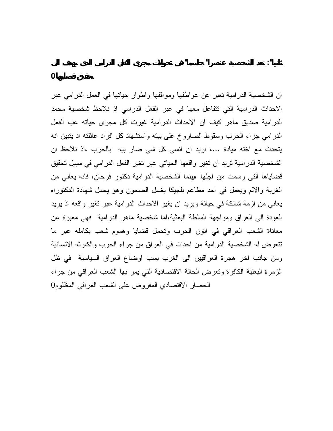ان الشخصية الدرامية تعبر عن عواطفها ومواقفها واطوار حياتها في العمل الدرامي عبر الاحداث الدرامية التي تتفاعل معها في عبر الفعل الدرامي اذ نلاحظ شخصية محمد الدرامية صديق ماهر كيف ان الاحداث الدرامية غيرت كل مجرى حياته عب الفعل الدرامي جراء الحرب وسقوط الصاروخ على بيته واستشهاد كل افراد عائلته اذ يتبين انه يتحدث مع اخته ميادة ،... اريد ان انسى كل شي صار بيه بالحرب ،اذ نلاحظ ان الشخصية الدرامية تريد ان تغير واقعها الحياتي عبر تغير الفعل الدرامي في سبيل تحقيق قضاياها التي رسمت من اجلها ،بينما الشخصية الدرامية دكتور فرحان، فانه يعاني من الغربة والالم ويعمل في احد مطاعم بلجيكا يغسل الصحون وهو يحمل شهادة الدكتوراه يعاني من ازمة شائكة في حياتة ويريد ان يغير الاحداث الدرامية عبر تغير واقعه اذ يريد العودة الى العراق ومواجهة السلطة البعثية،اما شخصية ماهر الدرامية فهي معبرة عن معاناة الشعب العراقي في اتون الحرب وتحمل قضايا وهموم شعب بكامله عبر ما تتعرض له الشخصية الدرامية من احداث في العراق من جراء الحرب والكارثه الانسانية ومن جانب اخر هجرة العراقيين الى الغرب بسب اوضاع العراق السياسية في ظل الزمرة البعثية الكافرة وتعرض الحالة الاقتصادية التي يمر بها الشعب العراقي من جراء الحصار الاقتصادي المفروض على الشعب العراقي المظلوم 0

**ثانيا": تعد الشخصية عنصرا" حاسما" في تحولات مجرى الفعل الدرامي الذي يهدف الى**

**تحقيق قضايها0**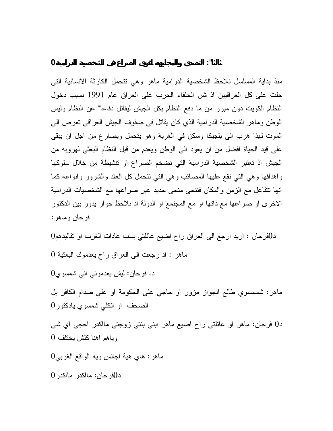منذ بداية المسلسل نلاحظ الشخصية الدرامية ماهر وهي تتحمل الكارثة الانسانية التي حلت على كل العراقيين اذ شن الحلفاء الحرب على العراق عام 1991 بسبب دخول النظام الكويت دون مبرر من ما دفع النظام بكل الجيش ليقاتل دفاعا" عن النظام وليس الوطن وماهر الشخصية الدرامية الذي كان يقاتل في صفوف الجيش العراقي تعرض الى الموت لهذا هرب الى بلجيكا وسكن في الغربة وهو يتحمل ويصارع من اجل ان يبقى على قيد الحياة افضل من ان يعود الى الوطن ويعدم من قبل النظام البعثي لهروبه من الجيش اذ تعتبر الشخصية الدرامية التي تضخم الصراع او تنشيطة من خلال سلوكها واهدافها وهي التي تقع عليها المصائب وهي التي تتحمل كل العقد والشرور وانواعه كما انها تتفاعل مع الزمن والمكان فتنحى منحى جديد عبر صراعها مع الشخصيات الدرامية الاخرى او صراعها مع ذاتها او مع المجتمع او الدولة اذ نلاحظ حوار يدور بين الدكتور فرحان وماهر :

د0فرحان : اريد ارجع الى العراق راح اضيع عائلتي بسب عادات الغرب او تقاليدهم 0

ماهر : اذ رجعت الى العراق راح يعدموك البعثية 0

د. فرحان: ليش يعدموني اني شمسوي 0

ماهر: شسمسوي طالع ابجواز مزور او حاجي على الحكومة او على صدام الكافر بل الصحف او اتكلي شمسوي يادكتور 0

د0 فرحان: ماهر او عائلتي راح اضيع ماهر ابني بنتي زوجتي مااكدر احجي اي شي وياهم اهنا كلش يختلف 0

ماهر: هاي هية اجانس ويه الواقع الغربي 0

د0فرحان: مااكدر مااكدر 0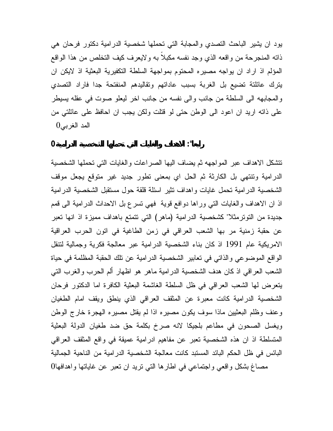يود ان يشير الباحث التصدي والمجابة التي تحملها شخصية الدرامية دكتور فرحان هي ذاته المنجرحة من واقعه الذي وجد نفسه مكبلاً به ولايعرف كيف التخلص من هذا الواقع المؤلم اذ اراد ان يواجه مصيره المحتوم بمواجهة السلطة التكفيرية البعثية اذ لايكن ان يترك عائلتة تضيع بل الغربة بسبب عاداتهم وتقاليدهم المنفتحة جدا فاراد التصدي والمجابهه الى السلطة من جانب والى نفسه من جانب اخر ليعلو صوت في عقله يسيطر على ذاته اريد ان اعود الى الوطن حتى لو قتلت ولكن يجب ان احافظ على عائلتي من المد الغربي0

**رابعا": الاهداف والغايات التي تحملها الشخصية الدرامية 0**

تتشكل الاهداف عبر المواجهه ثم يضاف اليها الصراعات والغايات التي تحملها الشخصية الدرامية وتنتهي بل الكارثة ثم الحل اي بمعنى تطور جديد غير متوقع يجعل موقف الشخصية الدرامية تحمل غايات واهداف تثير اسئلة قلقة حول مستقبل الشخصية الدرامية اذ ان الاهداف والغايات التي وراها دوافع قوية فهي تسرع بل الاحداث الدرامية الى قمم جديدة من التوترمثلا" كشخصية الدرامية (ماهر) التي تتمتع باهداف مميزة اذ انها تعبر عن حقبة زمنية مر بها الشعب العراقي في زمن الطاغية في اتون الحرب العراقية الامريكية عام 1991 اذ كان بناء الشخصية الدرامية عبر معالجة فكرية وجمالية لتنقل الواقع الموضوعي والذاتي في تعابير الشخصية الدرامية عن تلك الحقبة المظلمة في حياة الشعب العراقي اذ كان هدف الشخصية الدرامية ماهر هو اظهار ألم الحرب والغرب التي يتعرض لها الشعب العراقي في ظل السلطة الغاشمة البعثية الكافرة اما الدكتور فرحان الشخصية الدرامية كانت معبرة عن المثقف العراقي الذي ينطق ويقف امام الطغيان وعنف وظلم البعثيين ماذا سوف يكون مصيره اذا لم يقتل مصيره الهجرة خارج الوطن ويغسل الصحون في مطاعم بلجيكا لانه صرخ بكلمة حق ضد طغيان الدولة البعثية المتسلطة اذ ان هذه الشخصية تعبر عن مفاهيم ادرامية عميقة في واقع المثقف العراقي البائس في ظل الحكم البائد المستبد كانت معالجة الشخصية الدرامية من الناحية الجمالية مصاغ بشكل واقعي واجتماعي في اطارها التي تريد ان تعبر عن غاياتها واهدافها 0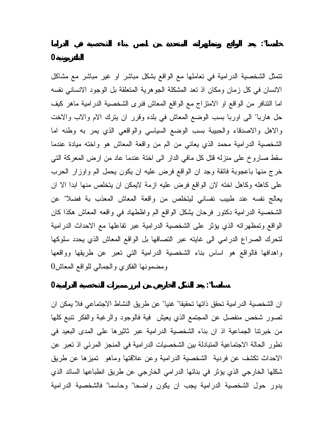تتمثل الشخصية الدرامية في تعاملها مع الواقع بشكل مباشر او غير مباشر مع مشاكل الانسان في كل زمان ومكان اذ تعد المشكلة الجوهرية المتعلقة بل الوجود الانساني نفسه اما التنافر من الواقع او الامتزاج مع الواقع المعاش فنرى الشخصية الدرامية ماهر كيف حل هاربا" الى اوربا بسب الوضع المعاش في بلده وقرر ان يترك الام والاب والاخت والاهل والاصدقاء والحبيبة بسب الوضع السياسي والواقعي الذي يمر به وطنه اما الشخصية الدرامية محمد الذي يعاني من الم من واقعة المعاش هو واخته ميادة عندما سقط صاروخ على منزله قتل كل مافي الدار الى اختة عندما عاد من ارض المعركة التي خرج منها باعجوبة فائقة وجد ان الواقع فرض عليه ان يكون يحمل الم واوزار الحرب على كاهله وكاهل اخته لان الواقع فرض عليه ازمة لايمكن ان يتخلص منها ابدا الا ان يعالج نفسه عند طبيب نفساني ليتخلص من واقعة المعاش المعذب بة فضلا" عن الشخصية الدرامية دكتور فرحان يشكل الواقع الم واظطهاد في واقعه المعاش هكذا كان الواقع وتمظهراته الذي يؤثر على الشخصية الدرامية عبر تفاعلها مع الاحداث الدرامية لتحرك الصراع الدرامي الى غايته عبر التصاقها بل الواقع المعاش الذي يحدد سلوكها واهدافها فالواقع هو اساس بناء الشخصية الدرامية التي تعبر عن طريقها وواقعها ومضمونها الفكري والجمالي للواقع المعاش 0

**سادسا": يعد الشكل الخارجي من ابرز مميزات الشخصية الدرامية 0**

ان الشخصية الدرامية تحقق ذاتها تحقيقا" غنيا" عن طريق النشاط الاجتماعي فلا يمكن ان تصور شخص منفصل عن المجتمع الذي يعيش فية فالوجود والرغبة والفكر تنبع كلها من خبرتنا الجماعية اذ ان بناء الشخصية الدرامية عبر ثاثيرها على المدى البعيد في تطور الحالة الاجتماعية المتبادلة بين الشخصيات الدرامية في المنجز المرئي اذ تعبر عن الاحداث تكشف عن فردية الشخصية الدرامية وعن علاقتها وماهو تميزها عن طريق شكلها الخارجي الذي يؤثر في بنائها الدرامي الخارجي عن طريق انطباعها السائد الذي يدور حول الشخصية الدرامية يجب ان يكون واضحا" وحاسما" فالشخصية الدرامية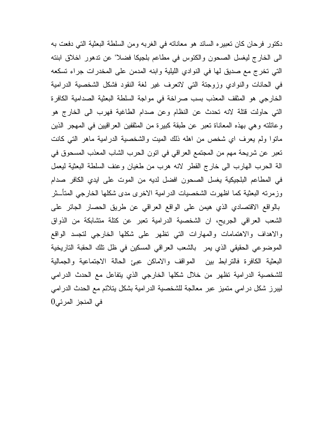دكتور فرحان كان تعبيره السائد هو معاناته في الغربه ومن السلطة البعثية التي دفعت به الى الخارج ليغسل الصحون والكئوس في مطاعم بلجيكا فضلا" عن تدهور اخلاق ابنته التي تخرج مع صديق لها في النوادي الليلية وابنه المدمن على المخدرات جراء تسكعه في الحانات والنوادي وزوجتة التي لاتعرف غير لغة النقود فشكل الشخصية الدرامية الخارجي هو المثقف المعذب بسب صراخة في مواجة السلطة البعثية الصدامية الكافرة التي حاولت قتلة لانه تحدث عن النظام وعن صدام الطاغية فهرب الى الخارج هو وعائلته وهي بهذه المعاناة تعبر عن طبقة كبيرة من المثقفين العراقيين في المهجر الذين ماتوا ولم يعرف اي شخص من اهله ذلك الميت والشخصية الدرامية ماهر التي كانت تعبر عن شريحة مهم من المجتمع العراقي في اتون الحرب الشاب المعذب المسحوق في الة الحرب الهارب الى خارج القطر لانه هرب من طغيان وعنف السلطة البعثية ليعمل في المطاعم البلجيكية يغسل الصحون افضل لديه من الموت على ايدي الكافر صدام وزمرته البعثية كما اظهرت الشخصيات الدرامية الاخرى مدى شكلها الخارجي المتأـثر بالواقع الاقتصادي الذي هيمن على الواقع العراقي عن طريق الحصار الجائر على الشعب العراقي الجريح، ان الشخصية الدرامية تعبر عن كتلة متشابكة من الذواق والاهداف والاهتمامات والمهارات التي تظهر على شكلها الخارجي لتجسد الواقع الموضوعي الحقيقي الذي يمر بالشعب العراقي المسكين في ظل تلك الحقبة التاريخية البعثية الكافرة فالترابط بين المواقف والاماكن عبئ الحالة الاجتماعية والجمالية للشخصية الدرامية تظهر من خلال شكلها الخارجي الذي يتفاعل مع الحدث الدرامي ليبرز شكل درامي متميز عبر معالجة للشخصية الدرامية بشكل يتلائم مع الحدث الدرامي في المنجز المرئي 0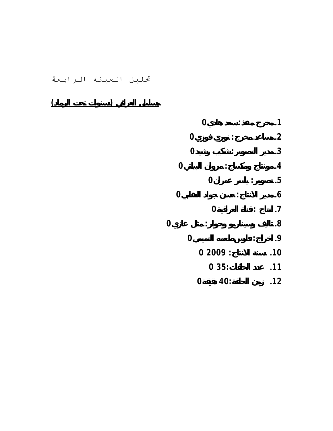تحليل العينة الرابعة

**مسلسل العراقي ( سنوات تحت الرماد)**

|                |             | $\overline{0}$ |             |     |  | .1        |
|----------------|-------------|----------------|-------------|-----|--|-----------|
|                |             | $\bf{0}$       |             |     |  | $\cdot$   |
|                |             | $\bf{0}$       |             |     |  | $\cdot$ 3 |
|                | $\mathbf 0$ |                |             |     |  | $\cdot$   |
|                |             |                | $\mathbf 0$ |     |  | .5        |
|                | 0           |                |             |     |  | $\cdot 6$ |
|                |             |                | 0           |     |  | $\cdot$   |
| $\overline{0}$ |             |                |             |     |  | 8.        |
|                |             | $\mathbf 0$    |             |     |  | .9        |
|                | 02009:      |                |             |     |  | .10       |
|                |             |                | 035:        |     |  | .11       |
|                |             | 0              |             | 40: |  | .12       |
|                |             |                |             |     |  |           |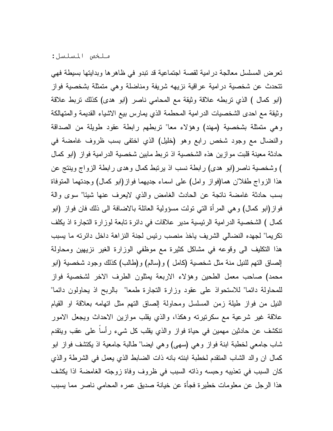ملخص المسلسل :

تعرض المسلسل معالجة درامية لقصة اجتماعية قد تبدو في ظاهرها وبدايتها بسيطة فهي تتحدث عن شخصية درامية عراقية نزيهه شريفة ومناضلة وهي متمثلة بشخصية فواز (ابو كمال ) الذي تربطه علاقة وثيقة مع المحامي ناصر (ابو هدى) كذلك تربط علاقة وثيقة مع احدى الشخصيات الدرامية المحطمة الذي يمارس بيع الاشياء القديمة والمتهالكة وهي متمثلة بشخصية (مهند) وهؤلاء معا" تربطهم رابطة عقود طويلة من الصداقة والنضال مع وجود شخص رابع وهو (خليل) الذي اختفى بسب ظروف غامضة في حادثة معينة قلبت موازين هذه الشخصية اذ تربط مابين شخصية الدرامية فواز (ابو كمال ) وشخصية ناصر(ابو هدى) رابطة نسب اذ يرتبط كمال وهدى رابطة الزواج وينتج عن هذا الزواج طفلا"ن هما(فواز وامل) على اسماء جديهما فواز(ابو كمال) وجدتهما المتوفاة بسب حادثة غامضة ناتجة عن الحادث الغامض والذي لايعرف عنها شيئا" سوى والة فواز(ابو كمال) وهي المرأة التي تولت مسؤولية العائلة بالاضافة الى ذلك فان فواز (ابو كمال ) الشخصية الدرامية الرئيسية مدير علاقات في دائرة تابعة لوزارة التجارة اذ يكلف تكريما" لجهده النضالي الشريف ياخذ منصب رئيس لجنة النزاهة داخل دائرته ما يسبب هذا التكليف الى وقوعه في مشاكل كثيرة مع موظفي الوزارة الغير نزيهين ومحاولة إلصاق التهم للنيل منة مثل شخصية (كامل ) و(سالم) و(طالب) كذلك وجود شخصية (ابو محمد) صاحب معمل الطحين وهؤلاء الاربعة يمثلون الطرف الاخر لشخصية فواز للمحاولة دائما" للاستحواذ على عقود وزارة التجارة طمعا" بالربح اذ يحاولون دائما" النيل من فواز طيلة زمن المسلسل ومحاولة إلصاق التهم مثل اتهامه بعلاقة او القيام علاقة غير شرعية مع سكرتيرته وهكذا، والذي يقلب موازين الاحداث ويجعل الامور تنكشف عن حادثين مهمين في حياة فواز والذي يقلب كل شيء رأساً على عقب ويتقدم شاب جامعي لخطبة ابنة فواز وهي (سهى) وهي ايضا" طالبة جامعية اذ يكتشف فواز ابو كمال ان والد الشاب المتقدم لخطبة ابنته بانه ذات الضابط الذي يعمل في الشرطة والذي كان السبب في تعذيبه وحبسه وذاته السبب في ظروف وفاة زوجته الغامضة اذا يكشف هذا الرجل عن معلومات خطيرة فجأة عن خيانة صديق عمره المحامي ناصر مما يسبب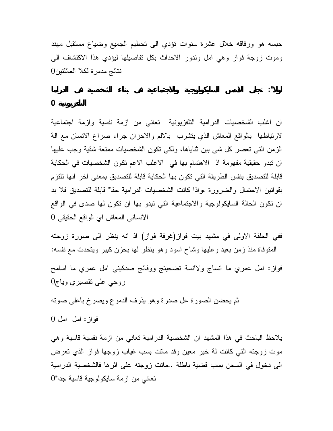حبسه هو ورفاقه خلال عشرة سنوات تؤدي الى تحطيم الجميع وضياع مستقبل مهند وموت زوجة فواز وهي امل وتدور الاحداث بكل تفاصيلها ليؤدي هذا الاكتشاف الى نتائج مدمرة لكلا العائلتين 0

**اولا": تجلي الاسس السايكولوجية والاجتماعية في بناء الشخصية في الدراما**

## **التلفزيونية 0**

ان اغلب الشخصيات الدرامية التلفزيونية تعاني من ازمة نفسية وازمة اجتماعية لارتباطها بالواقع المعاش الذي يتشرب بالالم والاحزان جراء صراع الانسان مع الة الزمن التي تعصر كل شي بين ثناياها، ولكي تكون الشخصيات ممتعة شقية وجب عليها ان تبدو حقيقية مفهومة اذ الاهتمام بها في الاغلب الاعم تكون الشخصيات في الحكاية قابلة للتصديق بنفس الطريقة التي تكون بها الحكاية قابلة للتصديق بمعنى اخر انها تلتزم بقوانين الاحتمال والضرورة ،واذا كانت الشخصيات الدرامية حقا" قابلة للتصديق فلا بد ان تكون الحالة السايكولوجية والاجتماعية التي تبدو بها ان تكون لها صدى في الواقع الانساني المعاش اي الواقع الحقيقي 0

ففي الحلقة الاولى في مشهد بيت فواز(غرفة فواز) اذ انه ينظر الى صورة زوجته المتوفاة منذ زمن بعيد وعليها وشاح اسود وهو ينظر لها بحزن كبير ويتحدث مع نفسه : فواز: امل عمري ما انساج ولاانسة تضحيتج ووفائج صدكيني امل عمري ما اسامح روحي على تقصيري وياج 0

ثم يحضن الصورة عل صدرة وهو يذرف الدموع ويصرخ باعلى صوته

فواز: امل امل 0

يلاحظ الباحث في هذا المشهد ان الشخصية الدرامية تعاني من ازمة نفسية قاسية وهي موت زوجته التي كانت لة خير معين وقد ماتت بسب غياب زوجها فواز الذي تعرض الى دخول في السجن بسب قضية باطلة ..ماتت زوجته على اثرها فالشخصية الدرامية تعاني من ازمة سايكولوجية قاسية جدا" 0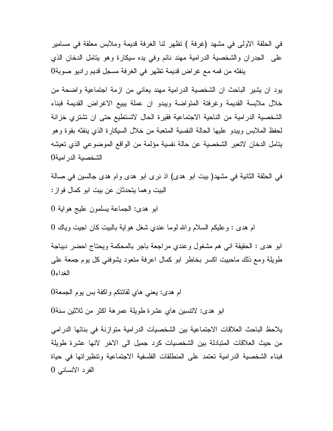في الحلقة الاولى في مشهد (غرفة ) تظهر لنا الغرفة قديمة وملابس معلقة في مسامير على الجدران والشخصية الدرامية مهند نائم وفي يده سيكارة وهو يتامل الدخان الذي ينفثه من فمه مع غراض قديمة تظهر في الغرفة مسجل قديم راديو صوبة 0

يود ان يشير الباحث ان الشخصية الدرامية مهند يعاني من ازمة اجتماعية واضحة من خلال ملابسة القديمة وغرفتة المتواضة ويبدو ان عملة يبيع الاغراض القديمة فبناء الشخصية الدرامية من الناحية الاجتماعية فقيرة الحال لاتستطيع حتى ان تشتري خزانة لحفظ الملابس ويبدو عليها الحالة النفسية المتعبة من خلال السيكارة الذي ينفثه بقوة وهو يتامل الدخان لاتعبر الشخصية عن حالة نفسية مؤلمة من الواقع الموضوعي الذي تعيشه الشخصية الدرامية 0

في الحلقة الثانية في مشهد( بيت ابو هدى) اذ نرى ابو هدى وام هدى جالسين في صالة البيت وهما يتحدثان عن بيت ابو كمال فواز :

ابو هدى: الجماعة يسلمون عليج هواية 0

ام هدى : وعليكم السلام واالله لوما عندي شغل هواية بالبيت كان اجيت وياك 0

ابو هدى : الحقيقة اني هم مشغول وعندي مراجعة باجر بالمحكمة ويحتاج احضر ديباجة طويلة ومع ذلك ماحبيت اكسر بخاطر ابو كمال اعرفة متعود يشوفني كل يوم جمعة على الغداء 0

ام هدى: يعني هاي لقائتكم واكفة بس يوم الجمعة 0

ابو هدى: لاتنسين هاي عشرة طويلة عمرهة اكثر من ثلاثين سنة 0

يلاحظ الباحث العلاقات الاجتماعية بين الشخصيات الدرامية متوازنة في بنائها الدرامي من حيث العلاقات المتبادلة بين الشخصيات كرد جميل الى الاخر لانها عشرة طويلة فبناء الشخصية الدرامية تعتمد على المنطلقات الفلسفية الاجتماعية وتنظيراتها في حياة الفرد الانساني 0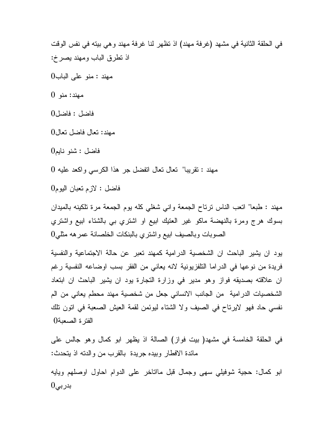في الحلقة الثانية في مشهد (غرفة مهند) اذ تظهر لنا غرفة مهند وهي بيته في نفس الوقت اذ تطرق الباب ومهند يصرخ :

مهند : منو على الباب 0

مهند: منو 0

فاضل : فاضل 0

مهند: تعال فاضل تعال 0

فاضل : شنو نايم 0

مهند : تقريبا" تعال تعال اتفضل جر هذا الكرسي واكعد عليه 0

فاضل : لازم تعبان اليوم 0

مهند : طبعا" اتعب الناس ترتاح الجمعة واني شغلي كله يوم الجمعة مرة تلكينه بالميدان بسوك هرج ومرة بالنهضة ماكو غير العتيك ابيع او اشتري بي بالشتاء ابيع واشتري الصوبات وبالصيف ابيع واشتري بالبنكات الخلصانة عمرهه مثلي 0

يود ان يشير الباحث ان الشخصية الدرامية كمهند تعبر عن حالة الاجتماعية والنفسية فريدة من نوعها في الدراما التلفزيونية لانه يعاني من الفقر بسب اوضاعه النفسية رغم ان علاقته بصديقه فواز وهو مدير في وزارة التجارة يود ان يشير الباحث ان ابتعاد الشخصيات الدرامية من الجانب الانساني جعل من شخصية مهند محطم يعاني من الم نفسي حاد فهو لايرتاح في الصيف ولا الشتاء ليوئمن لقمة العيش الصعبة في اتون تلك الفترة الصعبة0

في الحلقة الخامسة في مشهد( بيت فواز) الصالة اذ يظهر ابو كمال وهو جالس على مائدة الافطار وبيده جريدة بالقرب من والدته اذ يتحدث :

ابو كمال: حجية شوفيلي سهى وجمال قبل مااتاخر على الدوام احاول اوصلهم ويايه  $0$ بدربی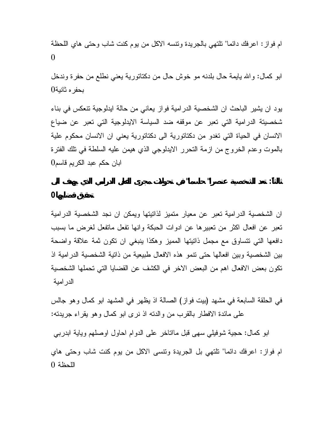ام فواز: اعرفك دائما" تلتهي بالجريدة وتنسه الاكل من يوم كنت شاب وحتى هاي اللحظة 0

ابو كمال: واالله يايمة حال بلدنه مو خوش حال من دكتاتورية يعني نطلع من حفرة وندخل بحفره ثانية 0

يود ان يشير الباحث ان الشخصية الدرامية فواز يعاني من حالة ايدلوجية تنعكس في بناء شخصيتة الدرامية التي تعبر عن موقفه ضد السياسة الايدلوجية التي تعبر عن ضياع الانسان في الحياة التي تغدو من دكتاتورية الى دكتاتورية يعني ان الانسان محكوم علية بالموت وعدم الخروج من ازمة التحرر الايدلوجي الذي هيمن عليه السلطة في تلك الفترة ابان حكم عبد الكريم قاسم 0

**ثالثاً: تعد الشخصية عنصرا" حاسما" في تحولات مجرى الفعل الدرامي الذي يهدف الى**

**تحقيق قضايها 0**

ان الشخصية الدرامية تعبر عن معيار متميز لذاتيتها ويمكن ان نجد الشخصية الدرامية تعبر عن افعال اكثر من تعبيرها عن ادوات الحبكة وانها تفعل ماتفعل لغرض ما بسبب دافعها التي تتساوق مع مجمل ذاتيتها المميز وهكذا ينبغي ان تكون ثمة علاقة واضحة بين الشخصية وبين افعالها حتى تنمو هذه الافعال طبيعية من ذاتية الشخصية الدرامية اذ تكون بعض الافعال اهم من البعض الاخر في الكشف عن القضايا التي تحملها الشخصية الدرامية

في الحلقة السابعة في مشهد (بيت فواز) الصالة اذ يظهر في المشهد ابو كمال وهو جالس على مائدة الافطار بالقرب من والدته اذ نرى ابو كمال وهو يقراء جريدته :

ابو كمال: حجية شوفيلي سهى قبل مااتاخر على الدوام احاول اوصلهم وياية ابدربي ام فواز: اعرفك دائما" تلتهي بل الجريدة وتنسى الاكل من يوم كنت شاب وحتى هاي اللحظة 0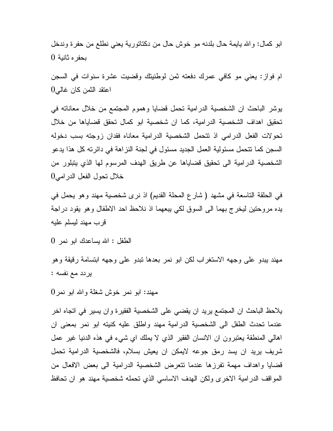ابو كمال: واالله يايمة حال بلدنه مو خوش حال من دكتاتورية يعني نطلع من حفرة وندخل بحفره ثانية 0

ام فواز: يعني مو كافي عمرك دفعته ثمن لوطنيتك وقضيت عشرة سنوات في السجن اعتقد الثمن كان غالي 0

يوشر الباحث ان الشخصية الدرامية تحمل قضايا وهموم المجتمع من خلال معاناته في تحقيق اهداف الشخصية الدرامية، كما ان شخصية ابو كمال تحقق قضاياها من خلال تحولات الفعل الدرامي اذ تتحمل الشخصية الدرامية معاناه فقدان زوجته بسب دخوله السجن كما تتحمل مسئولية العمل الجديد مسئول في لجنة النزاهة في دائرته كل هذا يدعو الشخصية الدرامية الى تحقيق قضاياها عن طريق الهدف المرسوم لها الذي يتبلور من خلال تحول الفعل الدرامي 0

في الحلقة التاسعة في مشهد ( شارع المحلة القديم) اذ نرى شخصية مهند وهو يحمل في يده مروحتين ليخرج بهما الى السوق لكي يبعهما اذ نلاحظ احد الاطفال وهو يقود دراجة قرب مهند ليسلم عليه

الطفل : االله يساعدك ابو نمر 0

مهند يبدو على وجهه الاستغراب لكن ابو نمر بعدها تبدو على وجهه ابتسامة رقيقة وهو يردد مع نفسه :

مهند: ابو نمر خوش شغلة واالله ابو نمر 0

يلاحظ الباحث ان المجتمع يريد ان يقضي على الشخصية الفقيرة وان يسير في اتجاه اخر عندما تحدث الطفل الى الشخصية الدرامية مهند واطلق عليه كنيته ابو نمر بمعنى ان اهالي المنطقة يعتبرون ان الانسان الفقير الذي لا يملك اي شيء في هذه الدنيا غير عمل شريف يريد ان يسد رمق جوعه لايمكن ان يعيش بسلام، فالشخصية الدرامية تحمل قضايا واهداف مهمة تفرزها عندما تتعرض الشخصية الدرامية الى بعض الافعال من المواقف الدرامية الاخرى ولكن الهدف الاساسي الذي تحمله شخصية مهند هو ان تحافظ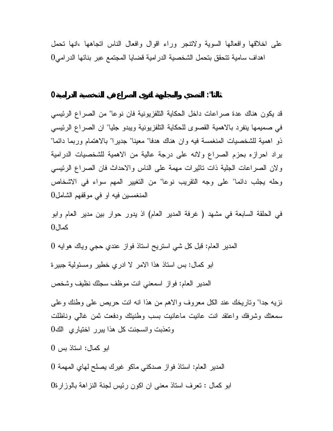على اخلاقها وافعالها السوية ولاتنجر وراء اقوال وافعال الناس اتجاهها ،انها تحمل اهداف سامية تتحقق بتحمل الشخصية الدرامية قضايا المجتمع عبر بنائها الدرامي 0

**ثالثا": التصدي والمجابهة لقوى الصراع في الشخصية الدرامية0**

قد يكون هناك عدة صراعات داخل الحكاية التلفزيونية فان نوعا" من الصراع الرئيسي في صميمها ينفرد بالاهمية القصوى للحكاية التلفزيونية ويبدو جليا" ان الصراع الرئيسي ذو اهمية للشخصيات المنغمسة فيه وان هناك هدفا" معينا" جديرا" بالاهتمام وربما دائما" يراد احرازه بحزم الصراع ولانه على درجة عالية من الاهمية للشخصيات الدرامية ولان الصراعات الجلية ذات تاثيرات مهمة على الناس والاحداث فان الصراع الرئيسي وحله يجلب دائما" على وجه التقريب نوعا" من التغيير المهم سواء في الاشخاص المنغمسين فيه او في موقفهم الشامل 0

في الحلقة السابعة في مشهد ( غرفة المدير العام) اذ يدور حوار بين مدير العام وابو كمال 0

المدير العام: قبل كل شي استريح استاذ فواز عندي حجي وياك هوايه 0

ابو كمال: بس استاذ هذا الامر لا ادري خطير ومسئولية جبيرة

المدير العام: فواز اسمعني انت موظف سجلك نظيف وشخص

نزيه جدا" وتاريخك عند الكل معروف والاهم من هذا انه انت حريص على وطنك وعلى سمعتك وشرفك واعتقد انت عانيت ماعانيت بسب وطنيتك ودفعت ثمن غالي وناظلت وتعذبت وانسجنت كل هذا يبرر اختياري الك 0

ابو كمال: استاذ بس 0

المدير العام: استاذ فواز صدكني ماكو غيرك يصلح لهاي المهمة 0

ابو كمال : تعرف استاذ معنى ان اكون رئيس لجنة النزاهة بالوزارة 0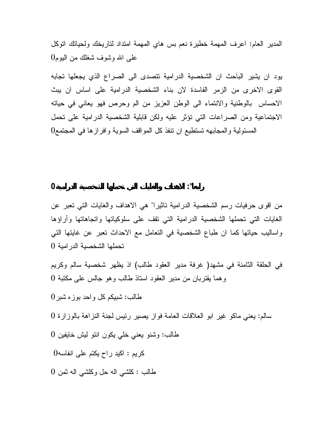المدير العام: اعرف المهمة خطيرة نعم بس هاي المهمة امتداد لتاريخك ولحياتك اتوكل على االله وشوف شغلك من اليوم 0

يود ان يشير الباحث ان الشخصية الدرامية تتصدى الى الصراع الذي يجعلها تجابه القوى الاخرى من الزمر الفاسدة لان بناء الشخصية الدرامية على اساس ان يبث الاحساس بالوطنية والانتماء الى الوطن العزيز من الم وحرص فهو يعاني في حياته الاجتماعية ومن الصراعات التي تؤثر عليه ولكن قابلية الشخصية الدرامية على تحمل المسئولية والمجابهه تستطيع ان تنفذ كل المواقف السوية وافرازها في المجتمع 0

**رابعا": الاهداف والغايات التي تحملها الشخصية الدرامية 0**

من اقوى حرفيات رسم الشخصية الدرامية تاثيرا" هي الاهداف والغايات التي تعبر عن الغايات التي تحملها الشخصية الدرامية التي تقف على سلوكياتها واتجاهاتها وآراؤها واساليب حياتها كما ان طباع الشخصية في التعامل مع الاحداث تعبر عن غايتها التي تحملها الشخصية الدرامية 0

في الحلقة الثامنة في مشهد( غرفة مدير العقود طالب) اذ يظهر شخصية سالم وكريم وهما يقتربان من مدير العقود استاذ طالب وهو جالس على مكتبة 0

طالب: شبيكم كل واحد بوزه شبر 0

سالم: يعني ماكو غير ابو العلاقات العامة فواز يصير رئيس لجنة النزاهة بالوزارة 0

طالب: وشنو يعني خلي يكون انتو ليش خايفين 0

كريم : اكيد راح يكتم على انفاسه0

طالب : كلشي اله حل وكلشي اله ثمن 0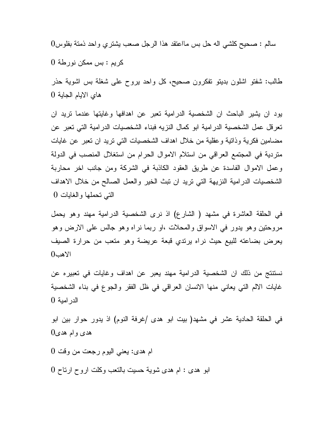سالم : صحيح كلشي اله حل بس مااعتقد هذا الرجل صعب يشتري واحد ذمتة بفلوس 0

كريم : بس ممكن نورطة 0

طالب: شفتو اشلون بديتو تفكرون صحيح، كل واحد يروح على شغلة بس اشوية حذر هاي الايام الجاية 0

يود ان يشير الباحث ان الشخصية الدرامية تعبر عن اهدافها وغايتها عندما تريد ان تعرقل عمل الشخصية الدرامية ابو كمال النزيه فبناء الشخصيات الدرامية التي تعبر عن مضامين فكرية وذاتية وعقلية من خلال اهداف الشخصيات التي تريد ان تعبر عن غايات متردية في المجتمع العراقي من استلام الاموال الحرام من استغلال المنصب في الدولة وعمل الاموال الفاسدة عن طريق العقود الكاذبة في الشركة ومن جانب اخر محاربة الشخصيات الدرامية النزيهة التي تريد ان تبث الخير والعمل الصالح من خلال الاهداف التي تحملها والغايات 0

في الحلقة العاشرة في مشهد ( الشارع) اذ نرى الشخصية الدرامية مهند وهو يحمل مروحتين وهو يدور في الاسواق والمحلات ،او ربما نراه وهو جالس على الارض وهو يعرض بضاعته للبيع حيث نراه يرتدي قبعة عريضة وهو متعب من حرارة الصيف الاهب 0

نستنتج من ذلك ان الشخصية الدرامية مهند يعبر عن اهداف وغايات في تعبيره عن غايات الالم التي يعاني منها الانسان العراقي في ظل الفقر والجوع في بناء الشخصية الدرامية 0

في الحلقة الحادية عشر في مشهد( بيت ابو هدى /غرفة النوم) اذ يدور حوار بين ابو هدى وام هدى 0

ام هدى: يعني اليوم رجعت من وقت 0

ابو هدى : ام هدى شوية حسيت بالتعب وكلت اروح ارتاح 0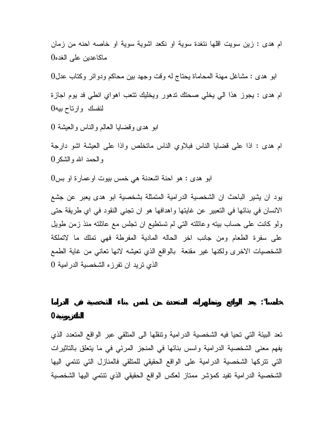ام هدى : زين سويت اقلها نتغدة سوية او نكعد اشوية سوية او خاصه احنه من زمان ماكاعدين على الغده 0

ابو هدى : مشاغل مهنة المحاماة يحتاج له وقت وجهد بين محاكم ودوائر وكتاب عدل 0 ام هدى : يجوز هذا الي يخلي صحتك تدهور ويخليك تتعب اهواي انطي فد يوم اجازة لنفسك وارتاح بيه 0

ابو هدى وقضايا العالم والناس والعيشة 0

ام هدى : اذا على قضايا الناس فبلاوي الناس ماتخلص واذا على العيشة اشو دارجة والحمد االله والشكر 0

ابو هدى : هو احنة اشعدنة هي خمس بيوت اوعمارة او بس 0

يود ان يشير الباحث ان الشخصية الدرامية المتمثلة بشخصية ابو هدى يعبر عن جشع الانسان في بنائها في التعبير عن غايتها واهدافها هو ان تجني النقود في اي طريقة حتى ولو كانت على حساب بيته وعائلته التي لم تستطيع ان تجلس مع عائلته منذ زمن طويل على سفرة الطعام ومن جانب اخر الحاله المادية المفرطة فهي تملك ما لاتملكة الشخصيات الاخرى ولكنها غير مقنعة بالواقع الذي تعيشه لانها تعاني من غاية الطمع الذي تريد ان تفرزه الشخصية الدرامية 0

**التلفزيونية 0**

تعد البيئة التي تحيا فيه الشخصية الدرامية وتنقلها الى المتلقي عبر الواقع المتعدد الذي يفهم معنى الشخصية الدرامية واسس بنائها في المنجز المرئي في ما يتعلق بالتاثيرات التي تتركها الشخصية الدرامية على الواقع الحقيقي للمتلقي فالمنازل التي تنتمي اليها الشخصية الدرامية تفيد كمؤشر ممتاز لعكس الواقع الحقيقي الذي تنتمي اليها الشخصية

**خامسا": يعد الواقع وتمظهراته المتعددة من اسس بناء الشخصية في الدراما**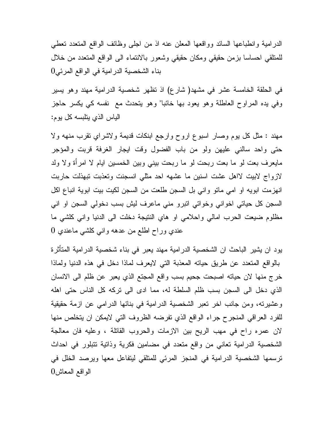الدرامية وانطباعها السائد وواقعها المعلن عنه اذ من اجلى وظائف الواقع المتعدد تعطي للمتلقي احساسا بزمن حقيقي ومكان حقيقي وشعور بالانتماء الى الواقع المتعدد من خلال بناء الشخصية الدرامية في الواقع المرئي 0

في الحلقة الخامسة عشر في مشهد( شارع) اذ تظهر شخصية الدرامية مهند وهو يسير وفي يده المراوح العاطلة وهو يعود بها خائبا" وهو يتحدث مع نفسه كي يكسر حاجز الياس الذي يتلبسه كل يوم :

مهند : مثل كل يوم وصار اسبوع اروح وارجع ابنكات قديمة ولاشراي تقرب منهه ولا حتى واحد سالني عليهن ولو من باب الفضول وقت ايجار الغرفة قربت والمؤجر مايعرف بعت لو ما بعت ربحت لو ما ربحت بيني وبين الخمسين ايام لا امرأة ولا ولد لازواج لابيت لااهل عشت اسنين ما عشهه احد مثلي انسجنت وتعذبت تبهذلت حاربت انهزمت ابويه او امي ماتو واني بل السجن طلعت من السجن لكيت بيت ابوية انباع اكل السجن كل حياتي اخواني وخواتي اتبرو مني ماعرف ليش بسب دخولي السجن او اني مظلوم ضيعت الحرب امالي واحلامي او هاي النتيجة دخلت الى الدنيا واني كلشي ما عندي وراح اطلع من عدهه واني كلشي ماعندي 0

يود ان يشير الباحث ان الشخصية الدرامية مهند يعبر في بناء شخصية الدرامية المتأثرة بالواقع المتعدد عن طريق حياته المعذبة التي لايعرف لماذا دخل في هذه الدنيا ولماذا خرج منها لان حياته اصبحت جحيم بسب واقع المجتع الذي يعبر عن ظلم الى الانسان الذي دخل الى السجن بسب ظلم السلطة له، مما ادى الى تركه كل الناس حتى اهله وعشيرته، ومن جانب اخر تعبر الشخصية الدرامية في بنائها الدرامي عن ازمة حقيقية للفرد العراقي المنجرح جراء الواقع الذي تفرضه الظروف التي لايمكن ان يتخلص منها لان عمره راح في مهب الريح بين الازمات والحروب القاتلة ، وعليه فان معالجة الشخصية الدرامية تعاني من واقع متعدد في مضامين فكرية وذاتية تتبلور في احداث ترسمها الشخصية الدرامية في المنجز المرئي للمتلقي ليتفاعل معها ويرصد الخلل في الواقع المعاش 0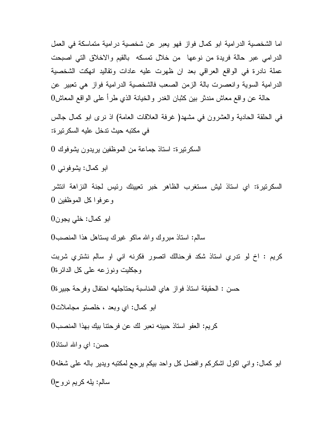اما الشخصية الدرامية ابو كمال فواز فهو يعبر عن شخصية درامية متماسكة في العمل الدرامي عبر حالة فريدة من نوعها من خلال تمسكه بالقيم والاخلاق التي اصبحت عملة نادرة في الواقع العراقي بعد ان ظهرت عليه عادات وتقاليد انهكت الشخصية الدرامية السوية وانعصرت بالة الزمن الصعب فالشخصية الدرامية فواز هي تعبير عن حالة عن واقع معاش مندثر بين كثبان الغدر والخيانة الذي طرأ على الواقع المعاش

في الحلقة الحادية والعشرون في مشهد( غرفة العلاقات العامة) اذ نرى ابو كمال جالس في مكتبه حيث تدخل عليه السكرتيرة :

السكرتيرة: استاذ جماعة من الموظفين يريدون يشوفوك

ابو كمال: يشوفوني

السكرتيرة: اي استاذ ليش مستغرب الظاهر خبر تعيينك رئيس لجنة النزاهة انتشر وعرفوا كل الموظفين

ابو كمال: خلي يجون

سالم: استاذ مبروك واالله ماكو غيرك يستاهل هذا المنصب

كريم : اخ لو تدري استاذ شكد فرحنالك اتصور فكرنه اني او سالم نشتري شربت وجكليت ونوزعه على كل الدائرة

حسن : الحقيقة استاذ فواز هاي المناسبة يحتاجلهه احتفال وفرحة جبيرة

ابو كمال: اي وبعد ، خلصتو مجاملات

كريم: العفو استاذ حبينه نعبر لك عن فرحتنا بيك بهذا المنصب

حسن: اي واالله استاذ

ابو كمال: واني اكول اشكركم وافضل كل واحد بيكم يرجع لمكتبه ويدير باله على شغله سالم: يله كريم نروح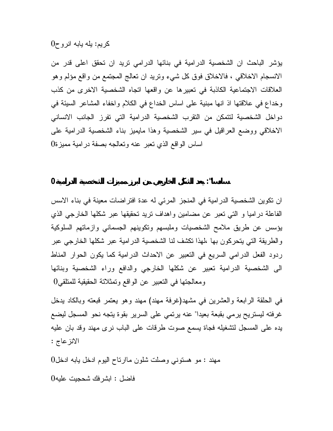## كريم: يله يابه انروح 0

يؤشر الباحث ان الشخصية الدرامية في بنائها الدرامي تريد ان تحقق اعلى قدر من الانسجام الاخلاقي ، فالاخلاق فوق كل شيء وتريد ان تعالج المجتمع من واقع مؤلم وهو العلاقات الاجتماعية الكاذبة في تعبيرها عن واقعها اتجاه الشخصية الاخرى من كذب وخداع في علاقتها اذ انها مبنية على اساس الخداع في الكلام واخفاء المشاعر السيئة في دواخل الشخصية لتتمكن من التقرب الشخصية الدرامية التي تفرز الجانب الانساني الاخلاقي ووضع العراقيل في سير الشخصية وهذا مايميز بناء الشخصية الدرامية على اساس الواقع الذي تعبر عنه وتعالجه بصفة درامية مميزة 0

**سادسا": يعد الشكل الخارجي من ابرز مميزات الشخصية الدرامية 0**

ان تكوين الشخصية الدرامية في المنجز المرئي له عدة افتراضات معينة في بناء الاسس الفاعلة دراميا و التي تعبر عن مضامين واهداف تريد تحقيقها عبر شكلها الخارجي الذي يؤسس عن طريق ملامح الشخصيات وملبسهم وتكوينهم الجسماني وازماتهم السلوكية والطريقة التي يتحركون بها ،لهذا تكشف لنا الشخصية الدرامية عبر شكلها الخارجي عبر ردود الفعل الدرامي السريع في التعبير عن الاحداث الدرامية كما يكون الحوار المناط الى الشخصية الدرامية تعبير عن شكلها الخارجي والدافع وراء الشخصية وبنائها ومعالجتها في التعبير عن الواقع وتمثلاتة الحقيقية للمتلقي0

في الحلقة الرابعة والعشرين في مشهد(غرفة مهند) مهند وهو يعتمر قبعته وبالكاد يدخل غرفته ليستريح يرمي بقبعة بعيدا" عنه يرتمي على السرير بقوة يتجه نحو المسجل ليضع يده على المسجل لتشغيله فجاة يسمع صوت طرقات على الباب نرى مهند وقد بان عليه الانزعاج :

مهند : مو هستوني وصلت شلون ماارتاح اليوم ادخل يابه ادخل 0

فاضل : ابشرفك شحجيت عليه 0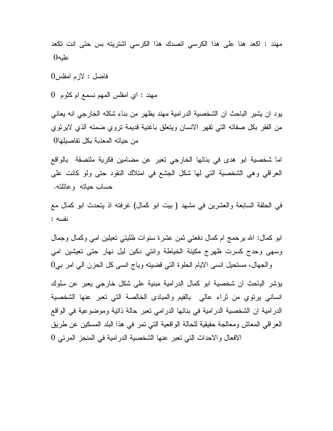مهند : اكعد هنا على هذا الكرسي اتصدك هذا الكرسي اشتريته بس حتى انت تكعد عليه0

فاضل : لازم امفلس 0

مهند : اي امفلس المهم نسمع ام كثوم 0

يود ان يشير الباحث ان الشخصية الدرامية مهند يظهر من بناء شكله الخارجي انه يعاني من الفقر بكل صفاته التي تقهر الانسان ويتعلق باغنية قديمة تروي ضمئه الذي لايرتوي من حياته المعذبة بكل تفاصيلها0

اما شخصية ابو هدى في بنائها الخارجي تعبر عن مضامين فكرية ملتصقة بالواقع العراقي وهي الشخصية التي لها شكل الجشع في امتلاك النقود حتى ولو كانت على حساب حياته وعائلته .

في الحلقة السابعة والعشرين في مشهد ( بيت ابو كمال) غرفته اذ يتحدث ابو كمال مع نفسه :

ابو كمال: االله يرحمج ام كمال دفعتي ثمن عشرة سنوات ظليتي تعيلين امي وكمال وجمال وسهى وحدج كسرت ظهرج مكينة الخياطة وانتي دكين ليل نهار حتى تعيشين امي  $0$ والجهال، مستحيل انسى الايام الحلوة التي قضيته وياج انسى كل الحزن الى امر بي

يؤشر الباحث ان شخصية ابو كمال الدرامية مبنية على شكل خارجي يعبر عن سلوك انساني يرتوي من ثراء عالي بالقيم والمبادى الخالصة التي تعبر عنها الشخصية الدرامية ان الشخصية الدرامية في بنائها الدرامي تعبر حالة ذاتية وموضوعية في الواقع العراقي المعاش ومعالجة حقيقية للحالة الواقعية التي تمر في هذا البلد المسكين عن طريق الافعال والاحداث التي تعبر عنها الشخصية الدرامية في المنجز المرئي 0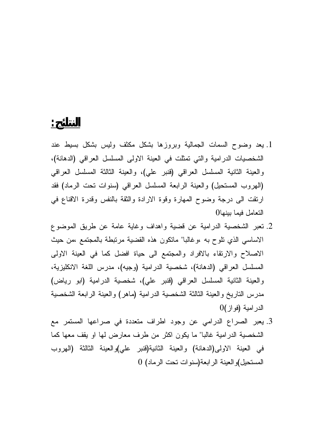.1 يعد وضوح السمات الجمالية وبروزها بشكل مكثف وليس بشكل بسيط عند الشخصيات الدرامية والتي تمثلت في العينة الاولى المسلسل العراقي (الدهانة)، والعينة الثانية المسلسل العراقي (قنبر علي)، والعينة الثالثة المسلسل العراقي (الهروب المستحيل) والعينة الرابعة المسلسل العراقي (سنوات تحت الرماد) فقد ارتقت الى درجة وضوح المهارة وقوة الارادة والثقة بالنفس وقدرة الاقناع في التعامل فيما بينها0

**النتائج:**

- .2 تعبر الشخصية الدرامية عن قضية واهداف وغاية عامة عن طريق الموضوع الاساسي الذي تلوح به ،وغالبا" ماتكون هذه القضية مرتبطة بالمجتمع ،من حيث الاصلاح والارتقاء بالافراد والمجتمع الى حياة افضل كما في العينة الاولى المسلسل العراقي (الدهانة)، شخصية الدرامية (وجيه)، مدرس اللغة الانكليزية، والعينة الثانية المسلسل العراقي (قنبر علي)، شخصية الدرامية (ابو رياض) مدرس التاريخ والعينة الثالثة الشخصية الدرامية (ماهر) والعينة الرابعة الشخصية الدرامية (فواز)0
- .3 يعبر الصراع الدرامي عن وجود اطراف متعددة في صراعها المستمر مع الشخصية الدرامية غالبا" ما يكون اكثر من طرف معارض لها او يقف معها كما في العينة الاولى(الدهانة) والعينة الثانية(قنبر علي)والعينة الثالثة (الهروب المستحيل)والعينة الرابعة(سنوات تحت الرماد) 0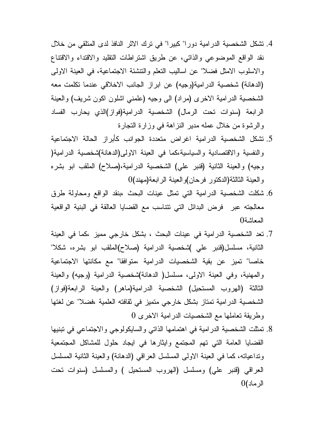- .4 تشكل الشخصية الدرامية دورا" كبيرا" في ترك الاثر النافذ لدى المتلقي من خلال نقد الواقع الموضوعي والذاتي، عن طريق اشتراطات التقليد والاقتداء والاقتناع والاسلوب الامثل فضلا" عن اساليب التعلم والتنشئة الاجتماعية، في العينة الاولى (الدهانة) شخصية الدرامية(وجيه) عن ابراز الجانب الاخلاقي عندما تكلمت معه الشخصية الدرامية الاخرى (مراد) الى وجيه (علمني اشلون اكون شريف) والعينة الرابعة (سنوات تحت الرمال) الشخصية الدرامية(فواز)الذي يحارب الفساد والرشوة من خلال عمله مدير النزاهة في وزارة التجارة
- .5 تشكل الشخصية الدرامية اغراض متعددة الجوانب كأبراز الحالة الاجتماعية والنفسية والاقتصادية والسياسية،كما في العينة الاولى(الدهانة)شخصية الدرامية( وجيه) والعينة الثانية (قنبر علي) الشخصية الدرامية،(صلاح) الملقب ابو بشره والعينة الثالثة(الدكتور فرحان)والعينة الرابعة(مهند)0
- .6 شكلت الشخصية الدرامية التي تمثل عينات البحث ،بنقد الواقع ومحاولة طرق معالجته عبر فرض البدائل التي تتناسب مع القضايا العالقة في البنية الواقعية المعاشة0
- .7 تعد الشخصية الدرامية في عينات البحث ، بشكل خارجي مميز ،كما في العينة الثانية، مسلسل(قنبر علي )شخصية الدرامية (صلاح)الملقب ابو بشره، شكلا" خاصا" تميز عن بقية الشخصيات الدرامية ،متوافقا" مع مكانتها الاجتماعية والمهنية، وفي العينة الاولى، مسلسل( الدهانة)شخصية الدرامية (وجيه) والعينة الثالثة (الهروب المستحيل) الشخصية الدرامية(ماهر) والعينة الرابعة(فواز) الشخصية الدرامية تمتاز بشكل خارجي متميز في ثقافته العلمية ،فضلا" عن لغتها وطريقة تعاملها مع الشخصيات الدرامية الاخرى 0
- .8 تمثلت الشخصية الدرامية في اهتمامها الذاتي والسايكولوجي والاجتماعي في تبنيها القضايا العامة التي تهم المجتمع وايثارها في ايجاد حلول للمشاكل المجتمعية وتداعياته، كما في العينة الاولى المسلسل العراقي (الدهانة) والعينة الثانية المسلسل العراقي (قنبر علي) ومسلسل (الهروب المستحيل ) والمسلسل (سنوات تحت الرماد)0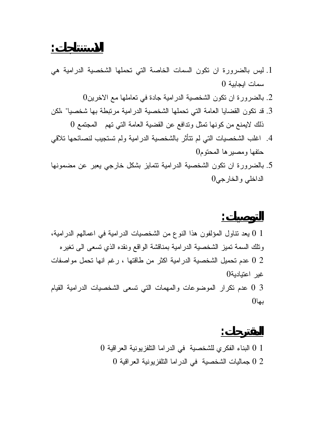- .1 ليس بالضرورة ان تكون السمات الخاصة التي تحملها الشخصية الدرامية هي سمات ايجابية 0
	- .2 بالضرورة ان تكون الشخصية الدرامية جادة في تعاملها مع الاخرين0
- .3 قد تكون القضايا العامة التي تحملها الشخصية الدرامية مرتبطة بها شخصيا" ،لكن ذلك لايمنع من كونها تمثل وتدافع عن القضية العامة التي تهم المجتمع 0
- .4 اغلب الشخصيات التي لم تتأثر بالشخصية الدرامية ولم تستجيب لنصائحها تلاقي حتفها ومصيرها المحتوم0
- .5 بالضرورة ان تكون الشخصية الدرامية تتمايز بشكل خارجي يعبر عن مضمونها الداخلي والخارجي0

**التوصيات:** 1 0 يعد تناول المؤلفون هذا النوع من الشخصيات الدرامية في اعمالهم الدرامية، وتلك السمة تميز الشخصية الدرامية بمناقشة الواقع ونقده الذي تسعى الى تغيره 2 0 عدم تحميل الشخصية الدرامية اكثر من طاقتها ، رغم انها تحمل مواصفات غير اعتيادية0 3 0 عدم تكرار الموضوعات والمهمات التي تسعى الشخصيات الدرامية القيام بها0

**المقترحات:** 1 0 البناء الفكري للشخصية في الدراما التلفزيونية العراقية 0 2 0 جماليات الشخصية في الدراما التلفزيونية العراقية 0

**الاستنتاجات:**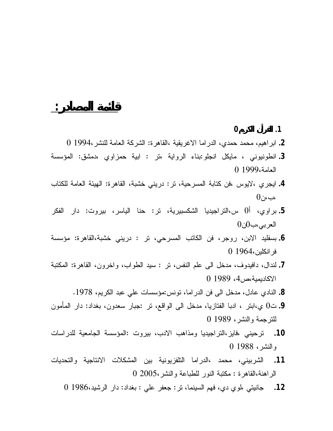**.1 القرأن الكريم0 .2** ابراهيم، محمد حمدي، الدراما الاغريقية ،القاهرة: الشركة العامة للنشر1994، 0

**قائمة المصادر:** 

- **.3** انطونيوني ، مايكل انجلو:بناء الرواية ،تر : ابية حمزاوي ،دمشق: المؤسسة العامة1999، 0
- **.4** ايجري ،لايوس ،فن كتابة المسرحية، تر: دريني خشبة، القاهرة: الهيئة العامة للكتاب ،ب، $\mathfrak{o}_i$ ،
- **.5** براوي، أ0 س،التراجيديا الشكسبيرية، تر: حنا الياسر، بيروت: دار الفكر العربي،ب0ن0
- **.6** بسفليد الابن، روجر، فن الكاتب المسرحي، تر : دريني خشبة،القاهرة: مؤسسة فرانكلين1964، 0
- **.7** لندال، دافيدوف، مدخل الى علم النفس، تر : سيد الطواب، واخرون، القاهرة: المكتبة الاكاديمية،ص،4 1989 0
	- **.8** النادي عادل، مدخل الى فن الدراما، تونس:مؤسسات علي عبد الكريم، .1978
- **.9** ت0 ي،ابتر ، ادبا الفتازيا، مدخل الى الواقع، تر :جبار سعدون، بغداد: دار المأمون للترجمة والنشر، 1989 0
- **.10** ترحيني ،فايز،التراجيديا ومذاهب الادب، بيروت :المؤسسة الجامعية للدراسات والنشر، 1988 0
- **.11** الشربيني، محمد ،الدراما التلفزيونية بين المشكلات الانتاجية والتحديات الراهنة،القاهرة : مكتبة النور للطباعة والنشر2005، 0
	- **.12** جانيتي ،لوي دي، فهم السينما، تر: جعفر علي : بغداد: دار الرشيد1986، 0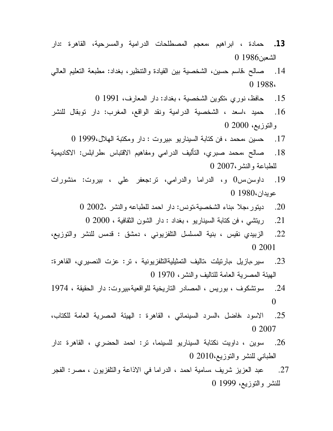- **.13** حمادة ، ابراهيم ،معجم المصطلحات الدرامية والمسرحية، القاهرة :دار الشعبن1986
- .14 صالح ،قاسم حسين، الشخصية بين القيادة والتنظير، بغداد: مطبعة التعليم العالي 1988،
	- .15 حافظ، نوري ،تكوين الشخصية ، بغداد: دار المعارف، 1991
- .16 حميد ،اسعد ، الشخصية الدرامية ونقد الواقع، المغرب: دار توبقال للنشر والتوزيع، 2000
	- .17 حسين ،محمد ، فن كتابة السيناريو ،بيروت : دار ومكتبة الهلال1999،
- .18 صالح ،محمد صبري، التأليف الدرامي ومفاهيم الاقتباس ،طرابلس: الاكاديمية للطباعة والنشر2007،
- .19 داوسن،س0 و، الدراما والدرامي، تر:جعفر علي ، بيروت: منشورات عويدان1980،
	- .20 ديتور،جلا ،بناء الشخصية،تونس: دار احمد للطباعه والنشر 2002،
		- .21 ريتشي ، فن كتابة السيناريو ، بغداد : دار الشون الثقافية ، 2000
- .22 الزبيدي نقيس ، بنية المسلسل التلفزيوني ، دمشق : قدمس للنشر والتوزيع، 2001
- .23 سير،بازيل ،بارتيلت ،تاليف التمثيليةالتلفزيونية ، تر: عزت النصيري، القاهرة: الهيئة المصرية العامة للتاليف والنشر، 1970
- .24 سوتشكوف ، بوريس ، المصادر التاريخية للواقعية،بيروت: دار الحقيقة ،
- .25 الاسود ،فاضل ،السرد السينمائي ، القاهرة : الهيئة المصرية العامة للكتاب، 2007
- .26 سوين ، داويت نكتابة السيناريو للسينما، تر: احمد الحضري ، القاهرة :دار الطباني للنشر والتوزيع2010،
- .27 عبد العزيز شريف ،سامية احمد ، الدراما في الاذاعة والتلفزيون ، مصر: الفجر للنشر والتوزيع، 1999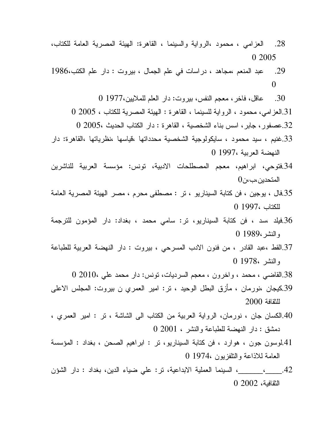- .28 العزامي ، محمود ،الرواية والسينما ، القاهرة: الهيئة المصرية العامة للكتاب، 2005
- .29 عبد المنعم ،مجاهد ، دراسات في علم الجمال ، بيروت : دار علم الكتب،
	- .30 عاقل، فاخر، معجم النفس، بيروت: دار العلم للملايين1977،
	- .31العزامي، محمود ، الرواية للسينما ، القاهرة : الهيئة المصرية للكتاب ، 2005
	- .32عصفور، جابر، اسس بناء الشخصية ، القاهرة : دار الكتاب الحديث 2005،
- .33غنيم ، سيد محمود ، سايكولوجية الشخصية محدداتها ،قياسها ،نظرياتها ،القاهرة: دار النهضة العربية 1997،
- .34فتوحي، ابراهيم، معجم المصطلحات الادبية، تونس: مؤسسة العربية للناشرين المتحدين، ب
- .35فال ، يوجين ، فن كتابة السيناريو ، تر : مصطفى محرم ، مصر الهيئة المصرية العامة للكتاب 1997،
- .36فيلد ،سد ، فن كتابة السيناريو، تر: سامي محمد ، بغداد: دار المؤمون للترجمة والنشر1989،
- .37القط ،عبد القادر ، من فنون الادب المسرحي ، بيروت : دار النهضة العربية للطباعة والنشر 1978،
	- .38القاضي ، محمد ، واخرون ، معجم السرديات، تونس: دار محمد علي 2010،
- .39كيجان ،نورمان ، مأزق البطل الوحيد ، تر: امير العمري ن بيروت: المجلس الاعلى للثقافة
- .40الكسان جان ، نورمان، الرواية العربية من الكتاب الى الشاشة ، تر : امير العمري ، دمشق : دار النهضة للطباعة والنشر ، 2001
- .41لوسون جون ، هوارد ، فن كتابة السيناريو، تر : ابراهيم الصحن ، بغداد : المؤسسة العامة للاذاعة والتلفزيون 1974،
- .42\_\_\_\_،\_\_\_\_\_\_، السينما العملية الابداعية، تر: علي ضياء الدين، بغداد : دار الشؤن الثقافية، 2002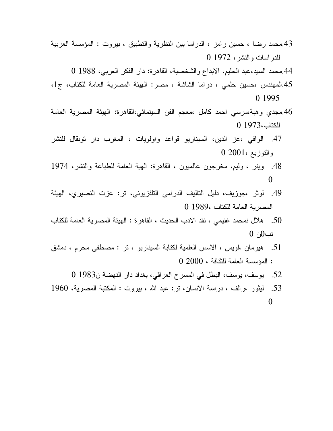- .43محمد رضا ، حسين رامز ، الدراما بين النظرية والتطبيق ، بيروت : المؤسسة العربية للدراسات والنشر، 1972
	- .44محمد السيد،عبد الحليم، الابداع والشخصية، القاهرة: دار الفكر العربي، 1988
- 45.المهندس ،حسين حلمي ، دراما الشاشة ، مصر: الهيئة المصرية العامة للكتاب، ج1، 1995
- .46مجدي وهبة،مرسي احمد كامل ،معجم الفن السينمائي،القاهرة: الهيئة المصرية العامة للكتاب1973،
- .47 الوافي ،عز الدين، السيناريو قواعد واولويات ، المغرب دار توبقال للنشر والتوزيع 2001،
- .48 وينر ، وليم، مخرجون عالميون ، القاهرة: الهية العامة للطباعة والنشر،
- .49 لوثر ،جوزيف، دليل التاليف الدرامي التلفزيوني، تر: عزت النصيري، الهيئة المصرية العامة للكتاب 1989،
- .50 هلال نمحمد غنيمي ، نقد الادب الحديث ، القاهرة : الهيئة المصرية العامة للكتاب نب0ن
- .51 هيرمان ،لويس ، الاسس العلمية لكتابة السيناريو ، تر : مصطفى محرم ، دمشق : المؤسسة العامة للثقافة ، 2000
	- .52 يوسف، يوسف، البطل في المسرح العراقي، بغداد دار النهضة ن1983
- .53 ليثور ،رالف ، دراسة الانسان، تر: عبد االله ، بيروت : المكتبة المصرية،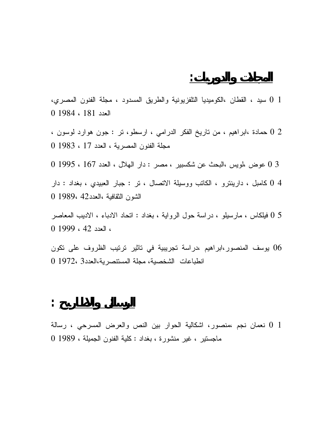1 0 سيد ، القطان ،الكوميديا التلفزيونية والطريق المسدود ، مجلة الفنون المصري، العدد 181 ، 1984 0

2 0 حمادة ،ابراهيم ، من تاريخ الفكر الدرامي ، ارسطو، تر : جون هوارد لوسون ، مجلة الفنون المصرية ، العدد 17 ، 1983 0

3 0 عوض ،لويس ،البحث عن شكسبير ، مصر : دار الهلال ، العدد 167 ، 1995 0

4 0 كامبل ، دارينترو ، الكاتب ووسيلة الاتصال ، تر : جبار العبيدي ، بغداد : دار الشون الثقافية ،العدد42 1989، 0

5 0 فيلكاس ، مارسيلو ، دراسة حول الرواية ، بغداد : اتحاد الادباء ، الاديب المعاصر ، العدد 42 ، 1999 0

06 يوسف المنصور،ابراهيم ،دراسة تجريبية في تاثير ترتيب الظروف على تكون انطباعات الشخصية، مجلة المستنصرية،العدد3 1972، 0

$$
\vdots \underline{\hspace{1cm}}
$$

1 0 نعمان نجم ،منصور، اشكالية الحوار بين النص والعرض المسرحي ، رسالة ماجستير ، غير منشورة ، بغداد : كلية الفنون الجميلة ، 1989 0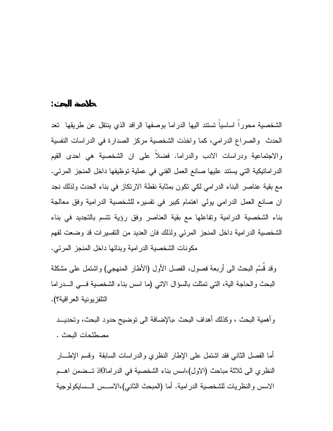الشخصية محوراً اساسياً تستند اليها الدراما بوصفها الرافد الذي ينتقل عن طريقها تعد الحدث والصراع الدرامي، كما واخذت الشخصية مركز الصدارة في الدراسات النفسية والاجتماعية ودراسات الادب والدراما. فضلاً على ان الشخصية هي احدى القيم الدراماتيكية التي يستند عليها صانع العمل الفني في عملية توظيفها داخل المنجز المرئي. مع بقية عناصر البناء الدرامي لكي تكون بمثابة نقطة الارتكاز في بناء الحدث ولذلك نجد ان صانع العمل الدرامي يولي اهتمام كبير في تفسيره للشخصية الدرامية وفق معالجة بناء الشخصية الدرامية وتفاعلها مع بقية العناصر وفق رؤية تتسم بالتجديد في بناء الشخصية الدرامية داخل المنجز المرئي ولذلك فان العديد من التفسيرات قد وضعت لفهم مكونات الشخصية الدرامية وبنائها داخل المنجز المرئي .

**خلاصة البحث :**

وقد قُسم البحث الى أربعة فصول، الفصل الأول (الأطار المنهجي) واشتمل على مشكلة البحث والحاجة الية، التي تمثلت بالسؤال الاتي (ما اسس بناء الشخصية فـي الـدراما التلفزيونية العراقية؟ ).

وأهمية البحث ، وكذلك أهداف البحث ،بالإضافة الى توضيح حدود البحث، وتحديـد مصطلحات البحث .

أما الفصل الثاني فقد اشتمل على الإطار النظري والدراسات السابقة وقسم الإطـار النظري الى ثلاثة مباحث (الاول)،اسس بناء الشخصية في الدراما0اذ تـضمن اهـم الاسس والنظريات للشخصية الدرامية. أما (المبحث الثاني)،الاسـس الـسايكولوجية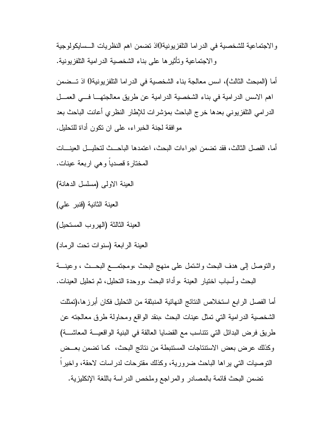والاجتماعية للشخصية في الدراما التلفزيونية0اذ تضمن اهم النظريات الـسايكولوجية والاجتماعية وتأثيرها على بناء الشخصية الدرامية التلفزيونية .

أما (المبحث الثالث)، اسس معالجة بناء الشخصية في الدراما التلفزيونية0 اذ تـضمن اهم الاسس الدرامية في بناء الشخصية الدرامية عن طريق معالجتهـا فـي العمـل الدرامي التلفزيوني بعدها خرج الباحث بمؤشرات للإطار النظري أعانت الباحث بعد موافقة لجنة الخبراء، على ان تكون أداة للتحليل .

أما، الفصل الثالث، فقد تضمن اجراءات البحث، اعتمدها الباحـث لتحليـل العينـات المختارة قصدياً وهي اربعة عينات .

- العينة الاولى (مسلسل الدهانة )
- العينة الثانية (قنبر علي )
- العينة الثالثة (الهروب المستحيل )
- العينة الرابعة (سنوات تحت الرماد )

والتوصل إلى هدف البحث واشتمل على منهج البحث ،ومجتمـع البحـث ، وعينـة البحث وأسباب اختيار العينة ،وأداة البحث ،ووحدة التحليل، ثم تحليل العينات .

أما الفصل الرابع استخلاص النتائج النهائية المنبثقة من التحليل فكان أبرزها،(تمثلت الشخصية الدرامية التي تمثل عينات البحث ،بنقد الواقع ومحاولة طرق معالجته عن طريق فرض البدائل التي تتناسب مع القضايا العالقة في البنية الواقعيـة المعاشـة) وكذلك عرض بعض الاستنتاجات المستنبطة من نتائج البحث، كما تضمن بعـض التوصيات التي يراها الباحث ضرورية، وكذلك مقترحات لدراسات لاحقة، واخيراً تضمن البحث قائمة بالمصادر والمراجع وملخص الدراسة باللغة الإنكليزية .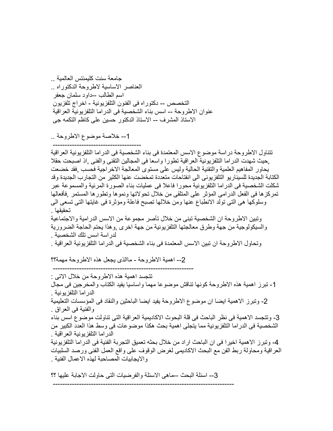جامعة سنت كليمنتس العالمية .. العناصر الاساسية لاطروحة الدكتوراه .. اسم الطالب --داود سلمان جعفر التخصص -- دكتوراه فى الفنون التلفزيونية - اخراج تلفزيون عنوان الاطروحة -- اسس بناء الشخصية فى الدراما التلفزيونية العراقية الاستاذ المشرف -- الاستاذ الدكتور حسين على كاظم التكمه جي

--1 خلاصة موضوع الاطروحة ..

 ------------------------------------- تتناول الاطر وحة در اسة موضوع الاسس المعتمدة فى بناء الشخصية فى الدر اما التلفزيونية العر اقية ,حيث شهدت الدراما التلفزيونية العراقية تطورا واسعا فى المجالين التقنى والفنى ,اذ اصبحت حقلا يحاور المفاهيم العلمية والتقنية الحالية وليس على مستوى المعالجة الاخراجية فحسب ,فقد خضعت الكتابة الجديدة للسيناريو التلفزيونى الى انفتاحات متعددة تمخضت عنها الكثير من التجارب الجديدة وقد شكلت الشخصية فى الدراما التلفزيونية محورا فاعلا فى عمليات بناء الصورة المرئية والمسموعة عبر تمركزها فى الفعل الدرامى المؤثر على المتلقى من خلال تحولاتها ونموها وتطورها المستمر ٬فأفعالها وسلوآها هى التى تولد الانطباع عنها ومن خلالها تصبح فاعلة ومؤثرة فى غايتها التى تسعى الى تحقيقها . وتبين الاطروحة ان الشخصية تبنى من خلال تآصر مجموعة من الاسس الدرامية والاجتماعية والسيكولوجية من جهة وطرق معالجتها التلفزيونية من جهة اخرى ,وهذا يحتم الحاجة الضرورية لدراسة اسس تلك الشخصية . وتحاول الاطروحة ان تبين الاسس المعتمدة فى بناء الشخصية فى الدراما التلفزيونية العراقية .

--2 اهمية الاطروحة - ماالذى يجعل هذه الاطروحة مهمة؟؟

 ----------------------------------------------------------- تتجسد اهمية هذه الاطروحة من خلال الاتى : 1- تبرز اهمية هذه الاطروحة كونها تناقش موضوعا مهما واساسيا يفيد الكتاب والمخرجين فى مجال الدراما التلفزيونية . -2 وتبرز الاهمية ايضا ان موضوع الاطروحة يفيد ايضا الباحثين والنقاد فى المؤسسات التعليمية والفنية فى العراق . 3- وتتجسد الاهمية فى نظر الباحث فى قلة البحوث الاكاديمية العراقية التى تناولت موضوع اسس بناء الشخصية فى الدراما التلفزيونية مما يتجلى اهمية بحث هكذا موضوعات فى وسط هذا العدد الكبير من الدراما التلفزيونية العراقية . -4 وتبرز الاهمية اخيرا فى ان الباحث اراد من خلال بحثه تعميق التجربة الفنية فى الدراما التلفزيونية العراقية ومحاولة ربط الفن مع البحث الاآاديمى لغرض الوقوف على واقع العمل الفنى ورصد السلبيات والايجابيات المصاحبة لهذه الاعمال الفنية .

--3 اسئلة البحث --ماهى الاسئلة والفرضيات التى حاولت الاجابة عليها ؟؟

----------------------------------------------------------------------------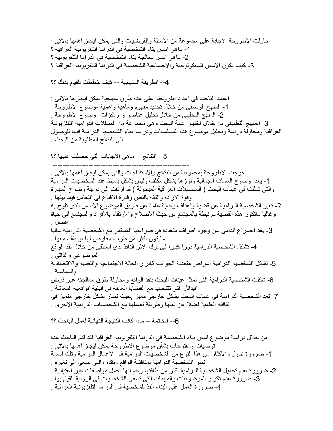حاولت الاطروحة الاجابة على مجموعة من الاسئلة والفرضيات والتى يمكن ايجاز اهمها بالاتى : -1 ماهى اسس بناء الشخصية فى الدراما التلفزيونية العراقية ؟ -2 ماهى اسس معالجة بناء الشخصية فى الدراما التلفزيونية ؟ 3- كيف تكون الاسس السيكولوجية والاجتماعية للشخصية فى الدراما التلفزيونية العراقية ؟

--4 الطريقة المنهجية -- آيف خططت للقيام بذلك ؟؟

 -------------------------------------------------------- اعتمد الباحث فى اعداد اطروحته على عدة طرق منهجية يمكن ايجازها بالاتى : -1 المنهج الوصفى من خلال تحديد مفهوم وماهية واهمية موضوع الاطروحة . -2 المنهج التحليلى من خلال تحليل عناصر ومرتكزات موضوع الاطروحة . -3 المنهج التطبيقى من خلال اختيار عينة البحث وهى مجموعة من المسللات الدرامية التلفزيونية العراقية ومحاولة دراسة وتحليل موضوع هذه المسلسلات ودراسة بناء الشخصية الدرامية فيها للوصول الى النتائج المطلوبة من البحث .

--5 النتائج -- ماهى الاجابات التى حصلت عليها ؟؟ ---------------------------------------------------------

خرجت الاطروحة بمجموعة من النتائج والاستنتاجات والتى يمكن ايجاز اهمها بالاتى : -1 يعد وضوح السمات الجمالية وبرزها بشكل مكثف وليس بشكل بسيط عند الشخصيات الدرامية والتى تمثلت فى عينات البحث ( المسلسلات العراقية المبحوثة ) قد ارتقت الى درجة وضوح المهارة وقوة الارادة والثقة بالنفس وقدرة الاقناع فى التعامل فيما بينها . -2 تعبر الشخصية الدرامية عن قضية واهداف وغاية عامة عن طريق الموضوع الاساس الذى تلوح به وغالبا ماتكون هذه القضية مرتبطة بالمجتمع من حيث الاصلاح والارتقاء بالافراد والمجتمع الى حياة افضل . -3 يعد الصراع الدامى عن وجود اطراف متعددة فى صراعها المستمر مع الشخصية الدرامية غالبا مايكون اآثر من طرف معارض لها او يقف معها . -4 تشكل الشخصية الدرامية دورا آبيرا فى ترك الاثر النافذ لدى المتلقى من خلال نقد الواقع الموضوعى والذاتى .

5- تشكل الشخصية الدرامية اغراض متعددة الجوانب كابراز الحالة الاجتماعية والنفسية والاقتصادية والسياسية .

-6 شكلت الشخصية الدرامية التى تمثل عينات البحث بنقد الواقع ومحاولة طرق معالجته عبر فرض البدائل التى تتناسب مع القضايا العالقة فى البنية الواقعية المعاشة .

-7 تعد الشخصية الدرامية فى عينات البحث بشكل خارجى مميز ,حيث تمتاز بشكل خارجى متميز فى ثقافته العلمية فضلا عن لغتها وطريقة تعاملها مع الشخصيات الدرامية الاخرى .

--6 الخاتمة -- ماذا آانت النتيجة النهائية لعمل الباحث ؟؟

 -------------------------------------------------------------- من خلال دراسة موضوع اسس بناء الشخصية فى الدراما التلفزيونية العراقية فقد قدم الباحث عدة توصيات ومقترحات بشأن موضوع الاطروحة يمكن ايجاز اهمها بالاتى : -1 ضرورة تناول والاآثار من هذا النوع من الشخصيات الدرامية فى الاعمال الدرامية وتلك السمة تميز الشخصية الدرامية بمناقشة الواقع ونقده والتى تسعى الى تغيره . -2 ضرورة عدم تحميل الشخصية الدرامية اآثر من طاقتها رغم انها تحمل مواصفات غير اعتيادية . -3 ضرورة عدم تكرار الموضوعات والمهمات التى تسعى الشخصيات فى الرواية القيام بها . -4 ضرورة العمل على البناء الفذ للشخصية فى الدراما التلفزيونية العراقية .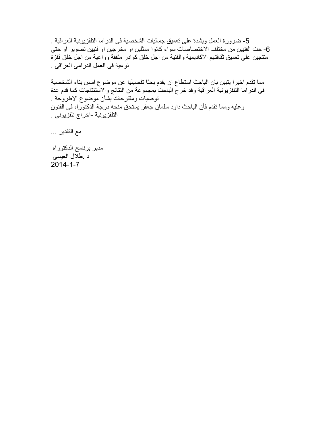-5 ضرورة العمل وبشدة على تعميق جماليات الشخصية فى الدراما التلفزيونية العراقية . 6- حث الفنيين من مختلف الاختصاصات سواء كانوا ممثلين او مخرجين او فنيين تصوير او حتى منتجين على تعميق ثقافتهم الاكاديمية والفنية من اجل خلق كوادر مثقفة وواعية من اجل خلق قفزة نوعية فى العمل الدرامى العراقى .

مما تقدم اخيرا يتبين بان الباحث استطاع ان يقدم بحثا تفصيليا عن موضوع اسس بناء الشخصية فى الدراما التلفزيونية العراقية وقد خرج الباحث بمجموعة من النتائج والاستنتاجات كما قدم عدة توصيات ومقترحات بشأن موضوع الاطروحة . وعليه ومما تقدم فأن الباحث داود سلمان جعفر يستحق منحه درجة الدآتوراه فى الفنون التلفزيونية -اخراج تلفزيونى .

مع التقدير ...

مدير برنامج الدكتوراه د .طلال العيسى  $2014 - 1 - 7$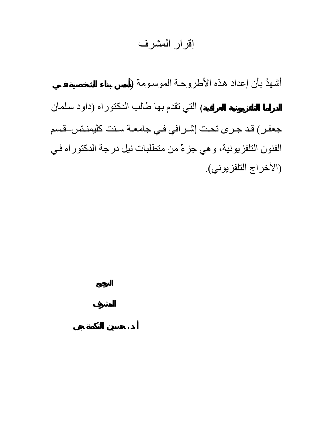## إقرار المشرف

أشهدُ بأن إعداد هذه الأطروحة الموسومة (

**الدراما التلفزيونية العراقية**) التي تقدم بها طالب الدآتوراه (داود سѧلمان

**. . حسين التكمة جي**

جعفر) قد جرى تحت إشرافي في جامعـة سـنت كليمنـتس\_قسم الفنون التلفزيونية، وهي جزءٌ من متطلبات نيل درجة الدكتوراه في (الأخراج التلفزيوني).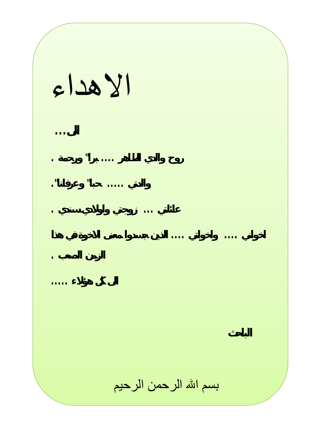الاهداء **الى ... روح والدي الطاهر .... برا" ورحمة . والدتي ..... حبا" وعرفانا ". عائلتي ... زوجت واولادي سندي . اخواني .... واخواتي .... لذين جسدوا معنى الاخوة في هذا الزمن الصعب . الى كل ؤلاء .....** بسم االله الرحمن الرحيم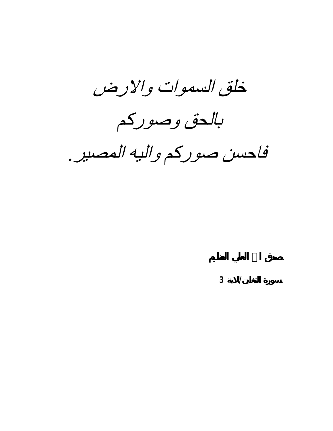خلق السموات والارض

بالحق وصوركم

فاحسن صوركم واليه المصير .

**سورة التغابن/الاية 3**